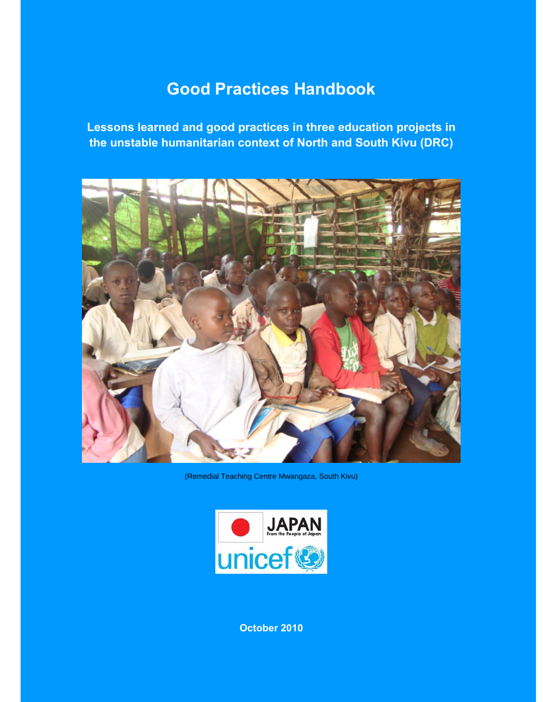# **Good Practices Handbook**

**Lessons learned and good practices in three education projects in the unstable humanitarian context of North and South Kivu (DRC)** 



(Remedial Teaching Centre Mwangaza, South Kivu)



**October 2010**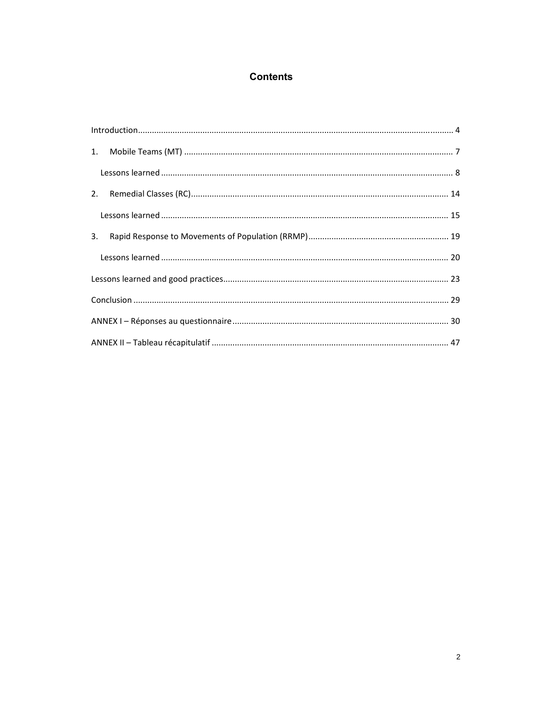## **Contents**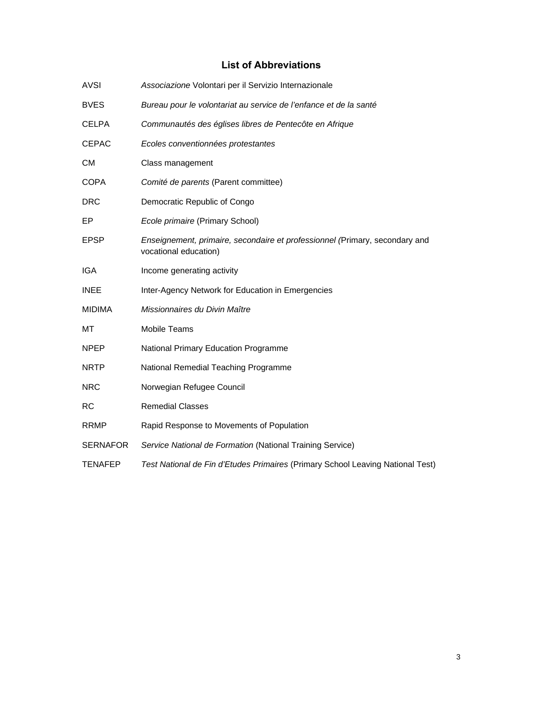## **List of Abbreviations**

| <b>AVSI</b>     | Associazione Volontari per il Servizio Internazionale                                                |
|-----------------|------------------------------------------------------------------------------------------------------|
| <b>BVES</b>     | Bureau pour le volontariat au service de l'enfance et de la santé                                    |
| <b>CELPA</b>    | Communautés des églises libres de Pentecôte en Afrique                                               |
| <b>CEPAC</b>    | Ecoles conventionnées protestantes                                                                   |
| <b>CM</b>       | Class management                                                                                     |
| <b>COPA</b>     | Comité de parents (Parent committee)                                                                 |
| <b>DRC</b>      | Democratic Republic of Congo                                                                         |
| EP              | Ecole primaire (Primary School)                                                                      |
| <b>EPSP</b>     | Enseignement, primaire, secondaire et professionnel (Primary, secondary and<br>vocational education) |
| <b>IGA</b>      | Income generating activity                                                                           |
| <b>INEE</b>     | Inter-Agency Network for Education in Emergencies                                                    |
| <b>MIDIMA</b>   | Missionnaires du Divin Maître                                                                        |
| МT              | <b>Mobile Teams</b>                                                                                  |
| <b>NPEP</b>     | National Primary Education Programme                                                                 |
| <b>NRTP</b>     | National Remedial Teaching Programme                                                                 |
| <b>NRC</b>      | Norwegian Refugee Council                                                                            |
| <b>RC</b>       | <b>Remedial Classes</b>                                                                              |
| <b>RRMP</b>     | Rapid Response to Movements of Population                                                            |
| <b>SERNAFOR</b> | Service National de Formation (National Training Service)                                            |
| <b>TENAFEP</b>  | Test National de Fin d'Etudes Primaires (Primary School Leaving National Test)                       |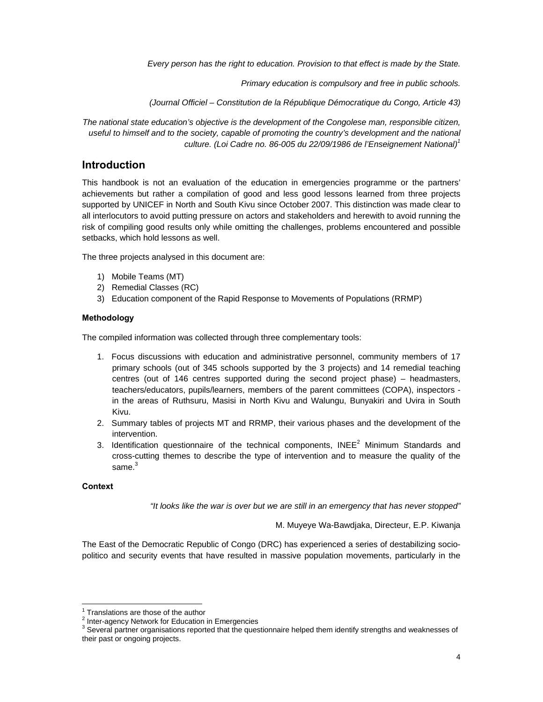*Every person has the right to education. Provision to that effect is made by the State.* 

*Primary education is compulsory and free in public schools.* 

*(Journal Officiel – Constitution de la République Démocratique du Congo, Article 43)* 

*The national state education's objective is the development of the Congolese man, responsible citizen, useful to himself and to the society, capable of promoting the country's development and the national culture. (Loi Cadre no. 86-005 du 22/09/1986 de l'Enseignement National)1*

## **Introduction**

This handbook is not an evaluation of the education in emergencies programme or the partners' achievements but rather a compilation of good and less good lessons learned from three projects supported by UNICEF in North and South Kivu since October 2007. This distinction was made clear to all interlocutors to avoid putting pressure on actors and stakeholders and herewith to avoid running the risk of compiling good results only while omitting the challenges, problems encountered and possible setbacks, which hold lessons as well.

The three projects analysed in this document are:

- 1) Mobile Teams (MT)
- 2) Remedial Classes (RC)
- 3) Education component of the Rapid Response to Movements of Populations (RRMP)

## **Methodology**

The compiled information was collected through three complementary tools:

- 1. Focus discussions with education and administrative personnel, community members of 17 primary schools (out of 345 schools supported by the 3 projects) and 14 remedial teaching centres (out of 146 centres supported during the second project phase) – headmasters, teachers/educators, pupils/learners, members of the parent committees (COPA), inspectors in the areas of Ruthsuru, Masisi in North Kivu and Walungu, Bunyakiri and Uvira in South Kivu.
- 2. Summary tables of projects MT and RRMP, their various phases and the development of the intervention.
- 3. Identification questionnaire of the technical components, INEE $^2$  Minimum Standards and cross-cutting themes to describe the type of intervention and to measure the quality of the same.<sup>3</sup>

#### **Context**

*"It looks like the war is over but we are still in an emergency that has never stopped"* 

M. Muyeye Wa-Bawdjaka, Directeur, E.P. Kiwanja

The East of the Democratic Republic of Congo (DRC) has experienced a series of destabilizing sociopolitico and security events that have resulted in massive population movements, particularly in the

  $<sup>1</sup>$  Translations are those of the author</sup>

<sup>&</sup>lt;sup>2</sup> Inter-agency Network for Education in Emergencies

 $^3$  Several partner organisations reported that the questionnaire helped them identify strengths and weaknesses of their past or ongoing projects.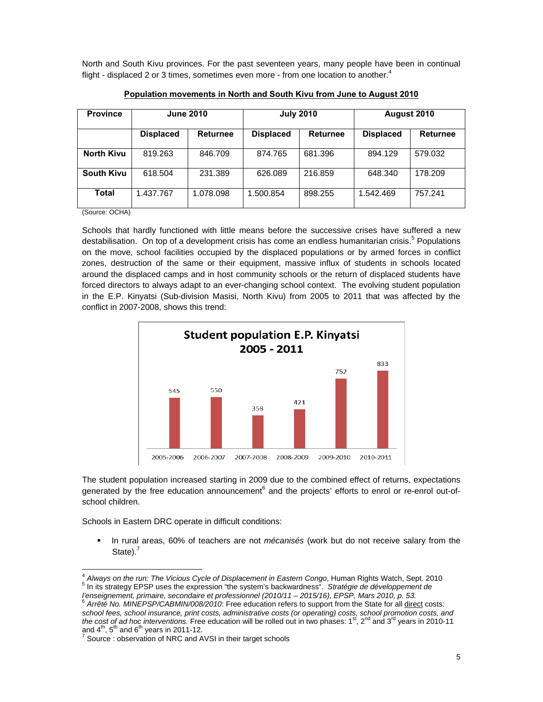North and South Kivu provinces. For the past seventeen years, many people have been in continual flight - displaced 2 or 3 times, sometimes even more - from one location to another.<sup>4</sup>

| <b>Province</b>   | <b>June 2010</b>                    |           |                  | <b>July 2010</b> | August 2010      |                 |  |
|-------------------|-------------------------------------|-----------|------------------|------------------|------------------|-----------------|--|
|                   | <b>Displaced</b><br><b>Returnee</b> |           | <b>Displaced</b> | <b>Returnee</b>  | <b>Displaced</b> | <b>Returnee</b> |  |
| <b>North Kivu</b> | 819.263                             | 846.709   | 874.765          | 681.396          | 894.129          | 579.032         |  |
| <b>South Kivu</b> | 618.504                             | 231.389   | 626.089          | 216.859          | 648.340          | 178.209         |  |
| Total             | 1.437.767                           | 1.078.098 | 1.500.854        | 898.255          | 1.542.469        | 757.241         |  |

**Population movements in North and South Kivu from June to August 2010**

(Source: OCHA)

Schools that hardly functioned with little means before the successive crises have suffered a new destabilisation. On top of a development crisis has come an endless humanitarian crisis.<sup>5</sup> Populations on the move, school facilities occupied by the displaced populations or by armed forces in conflict zones, destruction of the same or their equipment, massive influx of students in schools located around the displaced camps and in host community schools or the return of displaced students have forced directors to always adapt to an ever-changing school context. The evolving student population in the E.P. Kinyatsi (Sub-division Masisi, North Kivu) from 2005 to 2011 that was affected by the conflict in 2007-2008, shows this trend:



The student population increased starting in 2009 due to the combined effect of returns, expectations generated by the free education announcement<sup>6</sup> and the projects' efforts to enrol or re-enrol out-ofschool children.

Schools in Eastern DRC operate in difficult conditions:

<u> 1989 - Andrea Albert III, martin a bh</u>

 In rural areas, 60% of teachers are not *mécanisés* (work but do not receive salary from the State). $<sup>7</sup>$ </sup>

<sup>&</sup>lt;sup>4</sup> Always on the run: The Vicious Cycle of Displacement in Eastern Congo, Human Rights Watch, Sept. 2010<br><sup>5</sup> In its strategy EDSB uses the expression "the expterm's beskurerdesse". Strategie de développement de <sup>5</sup> In its strategy EPSP uses the expression "the system's backwardness". Stratégie de développement de

*l'enseignement, primaire, secondaire et professionnel (2010/11 – 2015/16), EPSP, Mars 2010, p. 53.* 6  *Arrêté No. MINEPSP/CABMIN/008/2010*: Free education refers to support from the State for all direct costs:

*school fees, school insurance, print costs, administrative costs (or operating) costs, school promotion costs, and the cost of ad hoc interventions.* Free education will be rolled out in two phases: 1<sup>st</sup>, 2<sup>nd</sup> and 3<sup>rd</sup> years in 2010-11 and  $4^{\text{th}}$ ,  $5^{\text{th}}$  and  $6^{\text{th}}$  years in 2011-12.

Source : observation of NRC and AVSI in their target schools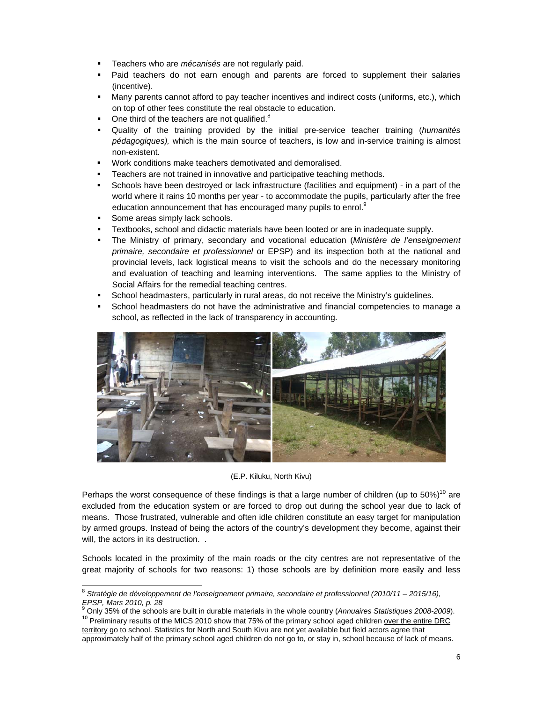- Teachers who are *mécanisés* are not regularly paid.
- Paid teachers do not earn enough and parents are forced to supplement their salaries (incentive).
- Many parents cannot afford to pay teacher incentives and indirect costs (uniforms, etc.), which on top of other fees constitute the real obstacle to education.
- $\blacksquare$  One third of the teachers are not qualified.<sup>8</sup>
- Quality of the training provided by the initial pre-service teacher training (*humanités pédagogiques),* which is the main source of teachers, is low and in-service training is almost non-existent.
- Work conditions make teachers demotivated and demoralised.
- Teachers are not trained in innovative and participative teaching methods.
- Schools have been destroyed or lack infrastructure (facilities and equipment) in a part of the world where it rains 10 months per year - to accommodate the pupils, particularly after the free education announcement that has encouraged many pupils to enrol. $9$
- Some areas simply lack schools.

- Textbooks, school and didactic materials have been looted or are in inadequate supply.
- The Ministry of primary, secondary and vocational education (*Ministère de l'enseignement primaire, secondaire et professionnel* or EPSP) and its inspection both at the national and provincial levels, lack logistical means to visit the schools and do the necessary monitoring and evaluation of teaching and learning interventions. The same applies to the Ministry of Social Affairs for the remedial teaching centres.
- School headmasters, particularly in rural areas, do not receive the Ministry's guidelines.
- School headmasters do not have the administrative and financial competencies to manage a school, as reflected in the lack of transparency in accounting.



(E.P. Kiluku, North Kivu)

Perhaps the worst consequence of these findings is that a large number of children (up to  $50\%$ )<sup>10</sup> are excluded from the education system or are forced to drop out during the school year due to lack of means. Those frustrated, vulnerable and often idle children constitute an easy target for manipulation by armed groups. Instead of being the actors of the country's development they become, against their will, the actors in its destruction. .

Schools located in the proximity of the main roads or the city centres are not representative of the great majority of schools for two reasons: 1) those schools are by definition more easily and less

<sup>8</sup> *Stratégie de développement de l'enseignement primaire, secondaire et professionnel (2010/11 – 2015/16), EPSP, Mars 2010, p. 28*

<sup>&</sup>lt;sup>9</sup> Only 35% of the schools are built in durable materials in the whole country (Annuaires Statistiques 2008-2009). <sup>10</sup> Preliminary results of the MICS 2010 show that 75% of the primary school aged children over the entire DRC

territory go to school. Statistics for North and South Kivu are not yet available but field actors agree that approximately half of the primary school aged children do not go to, or stay in, school because of lack of means.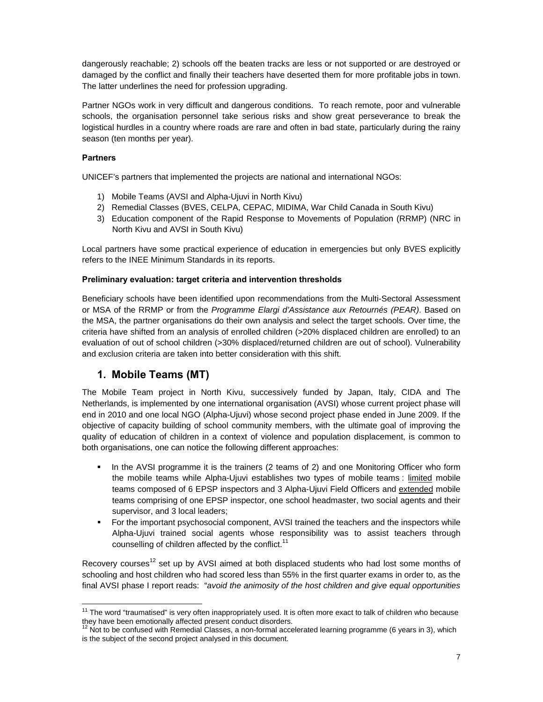dangerously reachable; 2) schools off the beaten tracks are less or not supported or are destroyed or damaged by the conflict and finally their teachers have deserted them for more profitable jobs in town. The latter underlines the need for profession upgrading.

Partner NGOs work in very difficult and dangerous conditions. To reach remote, poor and vulnerable schools, the organisation personnel take serious risks and show great perseverance to break the logistical hurdles in a country where roads are rare and often in bad state, particularly during the rainy season (ten months per year).

## **Partners**

UNICEF's partners that implemented the projects are national and international NGOs:

- 1) Mobile Teams (AVSI and Alpha-Ujuvi in North Kivu)
- 2) Remedial Classes (BVES, CELPA, CEPAC, MIDIMA, War Child Canada in South Kivu)
- 3) Education component of the Rapid Response to Movements of Population (RRMP) (NRC in North Kivu and AVSI in South Kivu)

Local partners have some practical experience of education in emergencies but only BVES explicitly refers to the INEE Minimum Standards in its reports.

## **Preliminary evaluation: target criteria and intervention thresholds**

Beneficiary schools have been identified upon recommendations from the Multi-Sectoral Assessment or MSA of the RRMP or from the *Programme Elargi d'Assistance aux Retournés (PEAR)*. Based on the MSA, the partner organisations do their own analysis and select the target schools. Over time, the criteria have shifted from an analysis of enrolled children (>20% displaced children are enrolled) to an evaluation of out of school children (>30% displaced/returned children are out of school). Vulnerability and exclusion criteria are taken into better consideration with this shift.

## **1. Mobile Teams (MT)**

The Mobile Team project in North Kivu, successively funded by Japan, Italy, CIDA and The Netherlands, is implemented by one international organisation (AVSI) whose current project phase will end in 2010 and one local NGO (Alpha-Ujuvi) whose second project phase ended in June 2009. If the objective of capacity building of school community members, with the ultimate goal of improving the quality of education of children in a context of violence and population displacement, is common to both organisations, one can notice the following different approaches:

- In the AVSI programme it is the trainers (2 teams of 2) and one Monitoring Officer who form the mobile teams while Alpha-Ujuvi establishes two types of mobile teams : limited mobile teams composed of 6 EPSP inspectors and 3 Alpha-Ujuvi Field Officers and extended mobile teams comprising of one EPSP inspector, one school headmaster, two social agents and their supervisor, and 3 local leaders;
- For the important psychosocial component, AVSI trained the teachers and the inspectors while Alpha-Ujuvi trained social agents whose responsibility was to assist teachers through counselling of children affected by the conflict.<sup>11</sup>

Recovery courses<sup>12</sup> set up by AVSI aimed at both displaced students who had lost some months of schooling and host children who had scored less than 55% in the first quarter exams in order to, as the final AVSI phase I report reads: "*avoid the animosity of the host children and give equal opportunities* 

  $11$  The word "traumatised" is very often inappropriately used. It is often more exact to talk of children who because they have been emotionally affected present conduct disorders.<br><sup>12</sup> Not to be confused with Remedial Classes, a non-formal accelerated learning programme (6 years in 3), which

is the subject of the second project analysed in this document.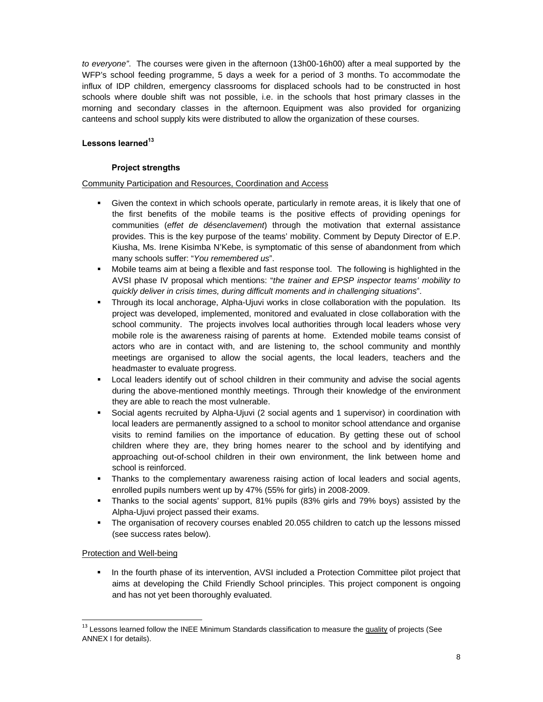*to everyone"*. The courses were given in the afternoon (13h00-16h00) after a meal supported by the WFP's school feeding programme, 5 days a week for a period of 3 months. To accommodate the influx of IDP children, emergency classrooms for displaced schools had to be constructed in host schools where double shift was not possible, i.e. in the schools that host primary classes in the morning and secondary classes in the afternoon. Equipment was also provided for organizing canteens and school supply kits were distributed to allow the organization of these courses.

## Lessons learned<sup>13</sup>

## **Project strengths**

#### Community Participation and Resources, Coordination and Access

- Given the context in which schools operate, particularly in remote areas, it is likely that one of the first benefits of the mobile teams is the positive effects of providing openings for communities (*effet de désenclavement*) through the motivation that external assistance provides. This is the key purpose of the teams' mobility. Comment by Deputy Director of E.P. Kiusha, Ms. Irene Kisimba N'Kebe, is symptomatic of this sense of abandonment from which many schools suffer: "*You remembered us*".
- Mobile teams aim at being a flexible and fast response tool. The following is highlighted in the AVSI phase IV proposal which mentions: "*the trainer and EPSP inspector teams' mobility to quickly deliver in crisis times, during difficult moments and in challenging situations*".
- Through its local anchorage, Alpha-Ujuvi works in close collaboration with the population. Its project was developed, implemented, monitored and evaluated in close collaboration with the school community. The projects involves local authorities through local leaders whose very mobile role is the awareness raising of parents at home. Extended mobile teams consist of actors who are in contact with, and are listening to, the school community and monthly meetings are organised to allow the social agents, the local leaders, teachers and the headmaster to evaluate progress.
- Local leaders identify out of school children in their community and advise the social agents during the above-mentioned monthly meetings. Through their knowledge of the environment they are able to reach the most vulnerable.
- Social agents recruited by Alpha-Ujuvi (2 social agents and 1 supervisor) in coordination with local leaders are permanently assigned to a school to monitor school attendance and organise visits to remind families on the importance of education. By getting these out of school children where they are, they bring homes nearer to the school and by identifying and approaching out-of-school children in their own environment, the link between home and school is reinforced.
- Thanks to the complementary awareness raising action of local leaders and social agents, enrolled pupils numbers went up by 47% (55% for girls) in 2008-2009.
- Thanks to the social agents' support, 81% pupils (83% girls and 79% boys) assisted by the Alpha-Ujuvi project passed their exams.
- The organisation of recovery courses enabled 20.055 children to catch up the lessons missed (see success rates below).

#### Protection and Well-being

**In the fourth phase of its intervention, AVSI included a Protection Committee pilot project that** aims at developing the Child Friendly School principles. This project component is ongoing and has not yet been thoroughly evaluated.

<sup>&</sup>lt;sup>13</sup> Lessons learned follow the INEE Minimum Standards classification to measure the quality of projects (See ANNEX I for details).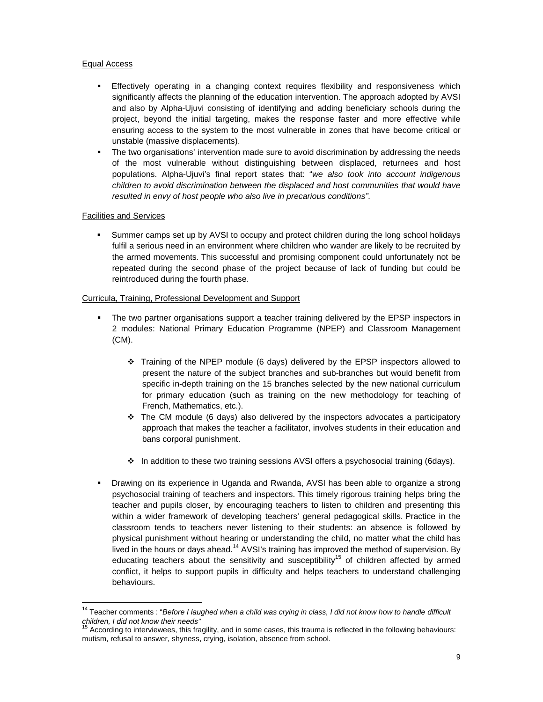#### Equal Access

- Effectively operating in a changing context requires flexibility and responsiveness which significantly affects the planning of the education intervention. The approach adopted by AVSI and also by Alpha-Ujuvi consisting of identifying and adding beneficiary schools during the project, beyond the initial targeting, makes the response faster and more effective while ensuring access to the system to the most vulnerable in zones that have become critical or unstable (massive displacements).
- The two organisations' intervention made sure to avoid discrimination by addressing the needs of the most vulnerable without distinguishing between displaced, returnees and host populations. Alpha-Ujuvi's final report states that: "*we also took into account indigenous children to avoid discrimination between the displaced and host communities that would have resulted in envy of host people who also live in precarious conditions"*.

## Facilities and Services

 Summer camps set up by AVSI to occupy and protect children during the long school holidays fulfil a serious need in an environment where children who wander are likely to be recruited by the armed movements. This successful and promising component could unfortunately not be repeated during the second phase of the project because of lack of funding but could be reintroduced during the fourth phase.

#### Curricula, Training, Professional Development and Support

- The two partner organisations support a teacher training delivered by the EPSP inspectors in 2 modules: National Primary Education Programme (NPEP) and Classroom Management (CM).
	- Training of the NPEP module (6 days) delivered by the EPSP inspectors allowed to present the nature of the subject branches and sub-branches but would benefit from specific in-depth training on the 15 branches selected by the new national curriculum for primary education (such as training on the new methodology for teaching of French, Mathematics, etc.).
	- $\cdot \cdot$  The CM module (6 days) also delivered by the inspectors advocates a participatory approach that makes the teacher a facilitator, involves students in their education and bans corporal punishment.
	- $\div$  In addition to these two training sessions AVSI offers a psychosocial training (6days).
- Drawing on its experience in Uganda and Rwanda, AVSI has been able to organize a strong psychosocial training of teachers and inspectors. This timely rigorous training helps bring the teacher and pupils closer, by encouraging teachers to listen to children and presenting this within a wider framework of developing teachers' general pedagogical skills. Practice in the classroom tends to teachers never listening to their students: an absence is followed by physical punishment without hearing or understanding the child, no matter what the child has lived in the hours or days ahead.<sup>14</sup> AVSI's training has improved the method of supervision. By educating teachers about the sensitivity and susceptibility<sup>15</sup> of children affected by armed conflict, it helps to support pupils in difficulty and helps teachers to understand challenging behaviours.

<sup>&</sup>lt;sup>14</sup> Teacher comments : "Before I laughed when a child was crying in class, I did not know how to handle difficult

*children, I did not know their needs"*  15 According to interviewees, this fragility, and in some cases, this trauma is reflected in the following behaviours: mutism, refusal to answer, shyness, crying, isolation, absence from school.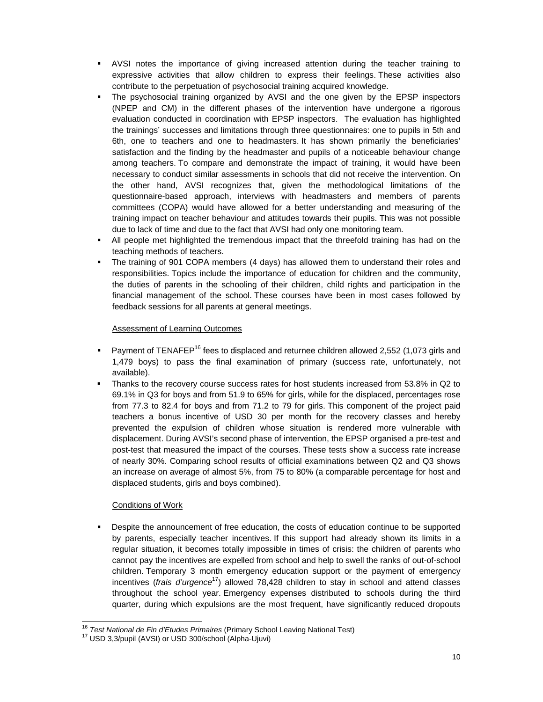- AVSI notes the importance of giving increased attention during the teacher training to expressive activities that allow children to express their feelings. These activities also contribute to the perpetuation of psychosocial training acquired knowledge.
- The psychosocial training organized by AVSI and the one given by the EPSP inspectors (NPEP and CM) in the different phases of the intervention have undergone a rigorous evaluation conducted in coordination with EPSP inspectors. The evaluation has highlighted the trainings' successes and limitations through three questionnaires: one to pupils in 5th and 6th, one to teachers and one to headmasters. It has shown primarily the beneficiaries' satisfaction and the finding by the headmaster and pupils of a noticeable behaviour change among teachers. To compare and demonstrate the impact of training, it would have been necessary to conduct similar assessments in schools that did not receive the intervention. On the other hand, AVSI recognizes that, given the methodological limitations of the questionnaire-based approach, interviews with headmasters and members of parents committees (COPA) would have allowed for a better understanding and measuring of the training impact on teacher behaviour and attitudes towards their pupils. This was not possible due to lack of time and due to the fact that AVSI had only one monitoring team.
- All people met highlighted the tremendous impact that the threefold training has had on the teaching methods of teachers.
- The training of 901 COPA members (4 days) has allowed them to understand their roles and responsibilities. Topics include the importance of education for children and the community, the duties of parents in the schooling of their children, child rights and participation in the financial management of the school. These courses have been in most cases followed by feedback sessions for all parents at general meetings.

#### Assessment of Learning Outcomes

- Payment of TENAFEP<sup>16</sup> fees to displaced and returnee children allowed 2,552 (1,073 girls and 1,479 boys) to pass the final examination of primary (success rate, unfortunately, not available).
- Thanks to the recovery course success rates for host students increased from 53.8% in Q2 to 69.1% in Q3 for boys and from 51.9 to 65% for girls, while for the displaced, percentages rose from 77.3 to 82.4 for boys and from 71.2 to 79 for girls. This component of the project paid teachers a bonus incentive of USD 30 per month for the recovery classes and hereby prevented the expulsion of children whose situation is rendered more vulnerable with displacement. During AVSI's second phase of intervention, the EPSP organised a pre-test and post-test that measured the impact of the courses. These tests show a success rate increase of nearly 30%. Comparing school results of official examinations between Q2 and Q3 shows an increase on average of almost 5%, from 75 to 80% (a comparable percentage for host and displaced students, girls and boys combined).

## Conditions of Work

 Despite the announcement of free education, the costs of education continue to be supported by parents, especially teacher incentives. If this support had already shown its limits in a regular situation, it becomes totally impossible in times of crisis: the children of parents who cannot pay the incentives are expelled from school and help to swell the ranks of out-of-school children. Temporary 3 month emergency education support or the payment of emergency incentives (*frais d'urgence*17) allowed 78,428 children to stay in school and attend classes throughout the school year. Emergency expenses distributed to schools during the third quarter, during which expulsions are the most frequent, have significantly reduced dropouts

 <sup>16</sup> *Test National de Fin d'Etudes Primaires* (Primary School Leaving National Test)<br><sup>17</sup> USD 3,3/pupil (AVSI) or USD 300/school (Alpha-Ujuvi)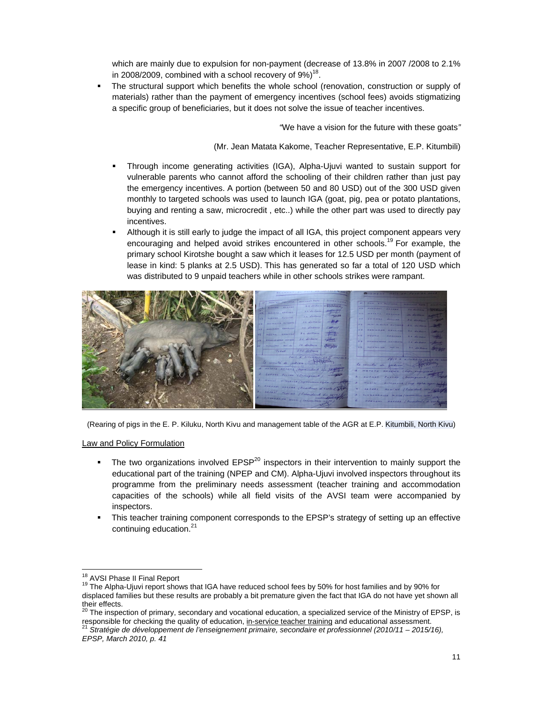which are mainly due to expulsion for non-payment (decrease of 13.8% in 2007 /2008 to 2.1% in 2008/2009, combined with a school recovery of  $9\%)^{18}$ .

 The structural support which benefits the whole school (renovation, construction or supply of materials) rather than the payment of emergency incentives (school fees) avoids stigmatizing a specific group of beneficiaries, but it does not solve the issue of teacher incentives.

*"*We have a vision for the future with these goats*"*

(Mr. Jean Matata Kakome, Teacher Representative, E.P. Kitumbili)

- Through income generating activities (IGA), Alpha-Ujuvi wanted to sustain support for vulnerable parents who cannot afford the schooling of their children rather than just pay the emergency incentives. A portion (between 50 and 80 USD) out of the 300 USD given monthly to targeted schools was used to launch IGA (goat, pig, pea or potato plantations, buying and renting a saw, microcredit , etc..) while the other part was used to directly pay incentives.
- Although it is still early to judge the impact of all IGA, this project component appears very encouraging and helped avoid strikes encountered in other schools.<sup>19</sup> For example, the primary school Kirotshe bought a saw which it leases for 12.5 USD per month (payment of lease in kind: 5 planks at 2.5 USD). This has generated so far a total of 120 USD which was distributed to 9 unpaid teachers while in other schools strikes were rampant.



(Rearing of pigs in the E. P. Kiluku, North Kivu and management table of the AGR at E.P. Kitumbili, North Kivu)

Law and Policy Formulation

- The two organizations involved EPSP<sup>20</sup> inspectors in their intervention to mainly support the educational part of the training (NPEP and CM). Alpha-Ujuvi involved inspectors throughout its programme from the preliminary needs assessment (teacher training and accommodation capacities of the schools) while all field visits of the AVSI team were accompanied by inspectors.
- This teacher training component corresponds to the EPSP's strategy of setting up an effective continuing education.<sup>21</sup>

their effects.<br><sup>20</sup> The inspection of primary, secondary and vocational education, a specialized service of the Ministry of EPSP, is responsible for checking the quality of education, in-service teacher training and educational assessment.<br><sup>21</sup> *Stratégie de développement de l'enseignement primaire, secondaire et professionnel (2010/11 – 2015/16),* <sup>21</sup>

<sup>&</sup>lt;sup>18</sup> AVSI Phase II Final Report

<sup>&</sup>lt;sup>19</sup> The Alpha-Ujuvi report shows that IGA have reduced school fees by 50% for host families and by 90% for displaced families but these results are probably a bit premature given the fact that IGA do not have yet shown all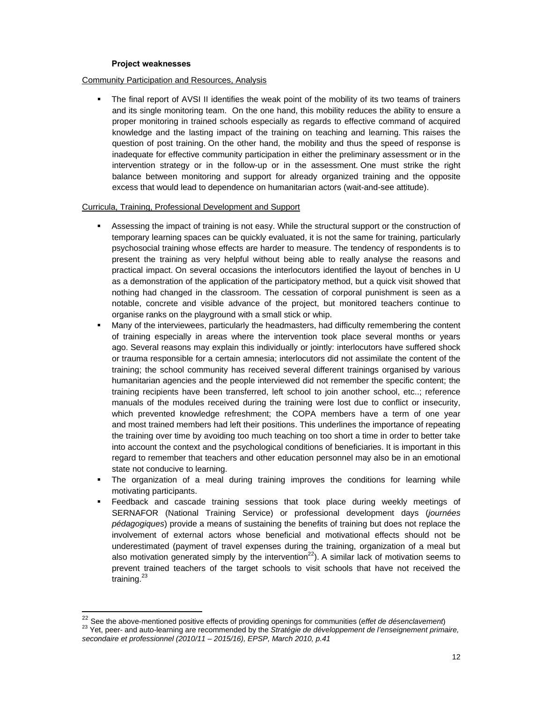#### **Project weaknesses**

#### Community Participation and Resources, Analysis

 The final report of AVSI II identifies the weak point of the mobility of its two teams of trainers and its single monitoring team. On the one hand, this mobility reduces the ability to ensure a proper monitoring in trained schools especially as regards to effective command of acquired knowledge and the lasting impact of the training on teaching and learning. This raises the question of post training. On the other hand, the mobility and thus the speed of response is inadequate for effective community participation in either the preliminary assessment or in the intervention strategy or in the follow-up or in the assessment. One must strike the right balance between monitoring and support for already organized training and the opposite excess that would lead to dependence on humanitarian actors (wait-and-see attitude).

#### Curricula, Training, Professional Development and Support

- Assessing the impact of training is not easy. While the structural support or the construction of temporary learning spaces can be quickly evaluated, it is not the same for training, particularly psychosocial training whose effects are harder to measure. The tendency of respondents is to present the training as very helpful without being able to really analyse the reasons and practical impact. On several occasions the interlocutors identified the layout of benches in U as a demonstration of the application of the participatory method, but a quick visit showed that nothing had changed in the classroom. The cessation of corporal punishment is seen as a notable, concrete and visible advance of the project, but monitored teachers continue to organise ranks on the playground with a small stick or whip.
- Many of the interviewees, particularly the headmasters, had difficulty remembering the content of training especially in areas where the intervention took place several months or years ago. Several reasons may explain this individually or jointly: interlocutors have suffered shock or trauma responsible for a certain amnesia; interlocutors did not assimilate the content of the training; the school community has received several different trainings organised by various humanitarian agencies and the people interviewed did not remember the specific content; the training recipients have been transferred, left school to join another school, etc..; reference manuals of the modules received during the training were lost due to conflict or insecurity, which prevented knowledge refreshment; the COPA members have a term of one year and most trained members had left their positions. This underlines the importance of repeating the training over time by avoiding too much teaching on too short a time in order to better take into account the context and the psychological conditions of beneficiaries. It is important in this regard to remember that teachers and other education personnel may also be in an emotional state not conducive to learning.
- The organization of a meal during training improves the conditions for learning while motivating participants.
- Feedback and cascade training sessions that took place during weekly meetings of SERNAFOR (National Training Service) or professional development days (*journées pédagogiques*) provide a means of sustaining the benefits of training but does not replace the involvement of external actors whose beneficial and motivational effects should not be underestimated (payment of travel expenses during the training, organization of a meal but also motivation generated simply by the intervention<sup>22</sup>). A similar lack of motivation seems to prevent trained teachers of the target schools to visit schools that have not received the training. $^{23}$

<sup>&</sup>lt;sup>22</sup> See the above-mentioned positive effects of providing openings for communities (effet de désenclavement)

<sup>&</sup>lt;sup>23</sup> Yet, peer- and auto-learning are recommended by the Stratégie de développement de l'enseignement primaire, *secondaire et professionnel (2010/11 – 2015/16), EPSP, March 2010, p.41*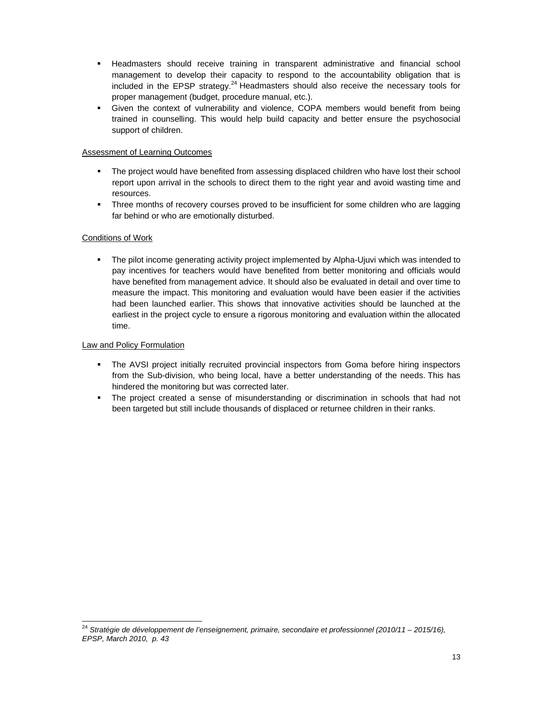- **EXT** Headmasters should receive training in transparent administrative and financial school management to develop their capacity to respond to the accountability obligation that is included in the EPSP strategy. $^{24}$  Headmasters should also receive the necessary tools for proper management (budget, procedure manual, etc.).
- Given the context of vulnerability and violence, COPA members would benefit from being trained in counselling. This would help build capacity and better ensure the psychosocial support of children.

## Assessment of Learning Outcomes

- The project would have benefited from assessing displaced children who have lost their school report upon arrival in the schools to direct them to the right year and avoid wasting time and resources.
- **Three months of recovery courses proved to be insufficient for some children who are lagging** far behind or who are emotionally disturbed.

## Conditions of Work

 The pilot income generating activity project implemented by Alpha-Ujuvi which was intended to pay incentives for teachers would have benefited from better monitoring and officials would have benefited from management advice. It should also be evaluated in detail and over time to measure the impact. This monitoring and evaluation would have been easier if the activities had been launched earlier. This shows that innovative activities should be launched at the earliest in the project cycle to ensure a rigorous monitoring and evaluation within the allocated time.

## Law and Policy Formulation

- The AVSI project initially recruited provincial inspectors from Goma before hiring inspectors from the Sub-division, who being local, have a better understanding of the needs. This has hindered the monitoring but was corrected later.
- The project created a sense of misunderstanding or discrimination in schools that had not been targeted but still include thousands of displaced or returnee children in their ranks.

 <sup>24</sup> *Stratégie de développement de l'enseignement, primaire, secondaire et professionnel (2010/11 – 2015/16), EPSP, March 2010, p. 43*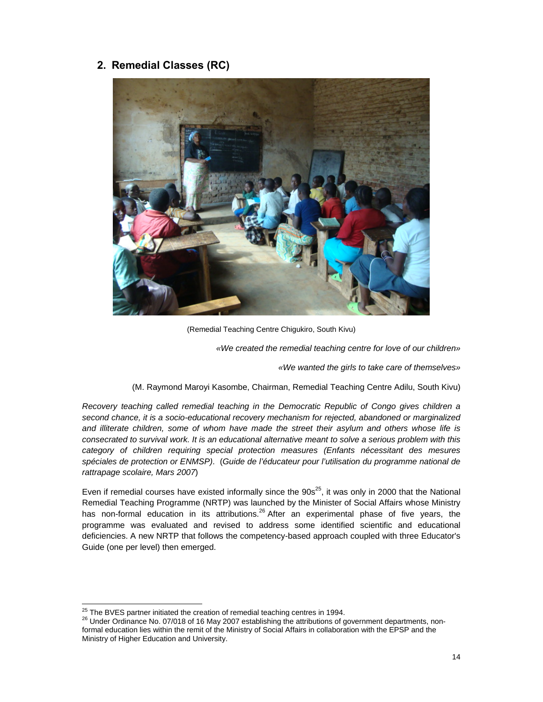## **2. Remedial Classes (RC)**



(Remedial Teaching Centre Chigukiro, South Kivu)

*«We created the remedial teaching centre for love of our children»* 

*«We wanted the girls to take care of themselves»* 

(M. Raymond Maroyi Kasombe, Chairman, Remedial Teaching Centre Adilu, South Kivu)

*Recovery teaching called remedial teaching in the Democratic Republic of Congo gives children a second chance, it is a socio-educational recovery mechanism for rejected, abandoned or marginalized and illiterate children, some of whom have made the street their asylum and others whose life is consecrated to survival work. It is an educational alternative meant to solve a serious problem with this category of children requiring special protection measures (Enfants nécessitant des mesures spéciales de protection or ENMSP)*. (*Guide de l'éducateur pour l'utilisation du programme national de rattrapage scolaire, Mars 2007*)

Even if remedial courses have existed informally since the  $90s^{25}$ , it was only in 2000 that the National Remedial Teaching Programme (NRTP) was launched by the Minister of Social Affairs whose Ministry has non-formal education in its attributions.<sup>26</sup> After an experimental phase of five years, the programme was evaluated and revised to address some identified scientific and educational deficiencies. A new NRTP that follows the competency-based approach coupled with three Educator's Guide (one per level) then emerged.

<sup>&</sup>lt;sup>25</sup> The BVES partner initiated the creation of remedial teaching centres in 1994.

<sup>26</sup> Under Ordinance No. 07/018 of 16 May 2007 establishing the attributions of government departments, nonformal education lies within the remit of the Ministry of Social Affairs in collaboration with the EPSP and the Ministry of Higher Education and University.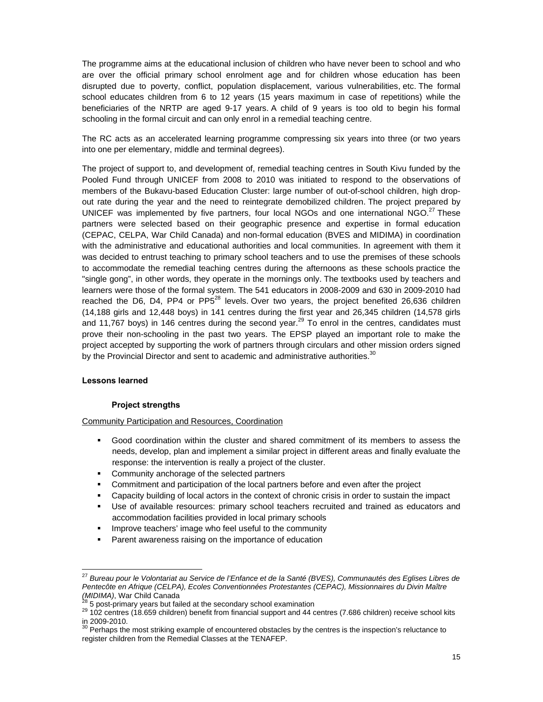The programme aims at the educational inclusion of children who have never been to school and who are over the official primary school enrolment age and for children whose education has been disrupted due to poverty, conflict, population displacement, various vulnerabilities, etc. The formal school educates children from 6 to 12 years (15 years maximum in case of repetitions) while the beneficiaries of the NRTP are aged 9-17 years. A child of 9 years is too old to begin his formal schooling in the formal circuit and can only enrol in a remedial teaching centre.

The RC acts as an accelerated learning programme compressing six years into three (or two years into one per elementary, middle and terminal degrees).

The project of support to, and development of, remedial teaching centres in South Kivu funded by the Pooled Fund through UNICEF from 2008 to 2010 was initiated to respond to the observations of members of the Bukavu-based Education Cluster: large number of out-of-school children, high dropout rate during the year and the need to reintegrate demobilized children. The project prepared by UNICEF was implemented by five partners, four local NGOs and one international NGO.<sup>27</sup> These partners were selected based on their geographic presence and expertise in formal education (CEPAC, CELPA, War Child Canada) and non-formal education (BVES and MIDIMA) in coordination with the administrative and educational authorities and local communities. In agreement with them it was decided to entrust teaching to primary school teachers and to use the premises of these schools to accommodate the remedial teaching centres during the afternoons as these schools practice the "single gong", in other words, they operate in the mornings only. The textbooks used by teachers and learners were those of the formal system. The 541 educators in 2008-2009 and 630 in 2009-2010 had reached the D6, D4, PP4 or PP5 $^{28}$  levels. Over two years, the project benefited 26,636 children (14,188 girls and 12,448 boys) in 141 centres during the first year and 26,345 children (14,578 girls and 11,767 boys) in 146 centres during the second year.<sup>29</sup> To enrol in the centres, candidates must prove their non-schooling in the past two years. The EPSP played an important role to make the project accepted by supporting the work of partners through circulars and other mission orders signed by the Provincial Director and sent to academic and administrative authorities. $30$ 

#### **Lessons learned**

#### **Project strengths**

<u> 1980 - Andrea Albert III, am bhliain 1980 - An t-Aontaithe ann an t-Aontaithe ann an t-Aontaithe ann an t-Aon</u>

Community Participation and Resources, Coordination

- Good coordination within the cluster and shared commitment of its members to assess the needs, develop, plan and implement a similar project in different areas and finally evaluate the response: the intervention is really a project of the cluster.
- **Community anchorage of the selected partners**
- Commitment and participation of the local partners before and even after the project
- Capacity building of local actors in the context of chronic crisis in order to sustain the impact
- Use of available resources: primary school teachers recruited and trained as educators and accommodation facilities provided in local primary schools
- **IMPROVE TEACHALLY IMAGE WHO feel useful to the community**
- **Parent awareness raising on the importance of education**

<sup>27</sup> *Bureau pour le Volontariat au Service de l'Enfance et de la Santé (BVES), Communautés des Eglises Libres de Pentecôte en Afrique (CELPA), Ecoles Conventionnées Protestantes (CEPAC), Missionnaires du Divin Maître* 

<sup>&</sup>lt;sup>28</sup> 5 post-primary years but failed at the secondary school examination <br><sup>29</sup> 102 centres (18.659 children) benefit from financial support and 44 centres (7.686 children) receive school kits in 2009-2010.<br><sup>30</sup> Perhaps the most striking example of encountered obstacles by the centres is the inspection's reluctance to

register children from the Remedial Classes at the TENAFEP.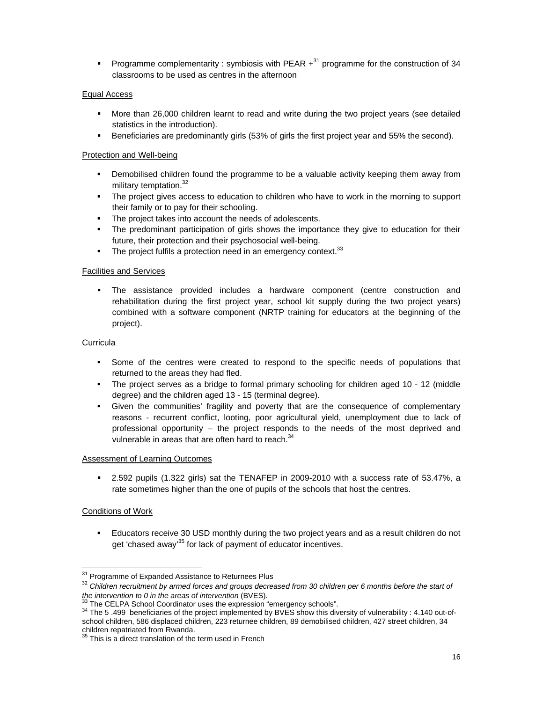Programme complementarity : symbiosis with PEAR  $+^{31}$  programme for the construction of 34 classrooms to be used as centres in the afternoon

### Equal Access

- More than 26,000 children learnt to read and write during the two project years (see detailed statistics in the introduction).
- **Beneficiaries are predominantly girls (53% of girls the first project year and 55% the second).**

### Protection and Well-being

- Demobilised children found the programme to be a valuable activity keeping them away from military temptation. $32$
- The project gives access to education to children who have to work in the morning to support their family or to pay for their schooling.
- The project takes into account the needs of adolescents.
- The predominant participation of girls shows the importance they give to education for their future, their protection and their psychosocial well-being.
- $\blacksquare$  The project fulfils a protection need in an emergency context.  $33$

#### Facilities and Services

 The assistance provided includes a hardware component (centre construction and rehabilitation during the first project year, school kit supply during the two project years) combined with a software component (NRTP training for educators at the beginning of the project).

### **Curricula**

- Some of the centres were created to respond to the specific needs of populations that returned to the areas they had fled.
- The project serves as a bridge to formal primary schooling for children aged 10 12 (middle degree) and the children aged 13 - 15 (terminal degree).
- Given the communities' fragility and poverty that are the consequence of complementary reasons - recurrent conflict, looting, poor agricultural yield, unemployment due to lack of professional opportunity – the project responds to the needs of the most deprived and vulnerable in areas that are often hard to reach.<sup>34</sup>

#### Assessment of Learning Outcomes

 2.592 pupils (1.322 girls) sat the TENAFEP in 2009-2010 with a success rate of 53.47%, a rate sometimes higher than the one of pupils of the schools that host the centres.

#### Conditions of Work

 Educators receive 30 USD monthly during the two project years and as a result children do not get 'chased away<sup>35</sup> for lack of payment of educator incentives.

<sup>&</sup>lt;sup>31</sup> Programme of Expanded Assistance to Returnees Plus

<sup>&</sup>lt;sup>32</sup> Children recruitment by armed forces and groups decreased from 30 children per 6 months before the start of the intervention to 0 in the areas of intervention (BVES).

 $^{33}$  The CELPA School Coordinator uses the expression "emergency schools".<br> $^{34}$  The 5 .499 beneficiaries of the project implemented by BVES show this diversity of vulnerability : 4.140 out-ofschool children, 586 displaced children, 223 returnee children, 89 demobilised children, 427 street children, 34

children repatriated from Rwanda.<br><sup>35</sup> This is a direct translation of the term used in French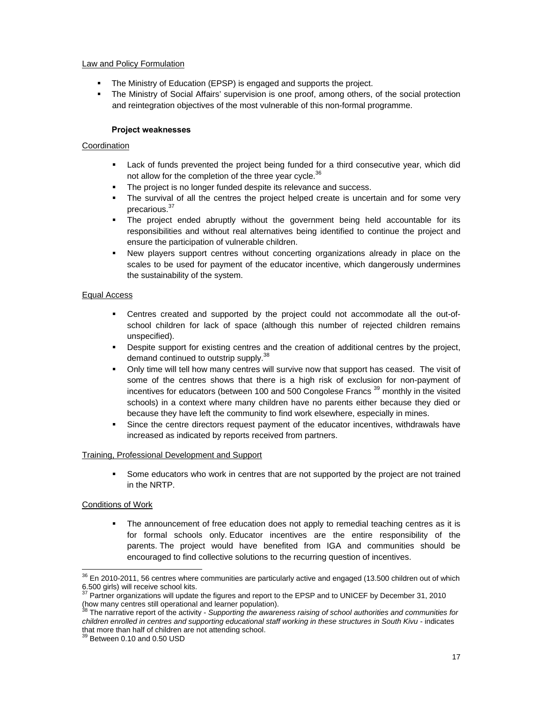#### Law and Policy Formulation

- **The Ministry of Education (EPSP) is engaged and supports the project.**
- The Ministry of Social Affairs' supervision is one proof, among others, of the social protection and reintegration objectives of the most vulnerable of this non-formal programme.

#### **Project weaknesses**

### Coordination

- Lack of funds prevented the project being funded for a third consecutive year, which did not allow for the completion of the three year cycle.<sup>36</sup>
- The project is no longer funded despite its relevance and success.
- The survival of all the centres the project helped create is uncertain and for some very precarious.<sup>37</sup>
- The project ended abruptly without the government being held accountable for its responsibilities and without real alternatives being identified to continue the project and ensure the participation of vulnerable children.
- New players support centres without concerting organizations already in place on the scales to be used for payment of the educator incentive, which dangerously undermines the sustainability of the system.

#### Equal Access

- Centres created and supported by the project could not accommodate all the out-ofschool children for lack of space (although this number of rejected children remains unspecified).
- Despite support for existing centres and the creation of additional centres by the project, demand continued to outstrip supply.<sup>38</sup>
- Only time will tell how many centres will survive now that support has ceased. The visit of some of the centres shows that there is a high risk of exclusion for non-payment of incentives for educators (between 100 and 500 Congolese Francs 39 monthly in the visited schools) in a context where many children have no parents either because they died or because they have left the community to find work elsewhere, especially in mines.
- Since the centre directors request payment of the educator incentives, withdrawals have increased as indicated by reports received from partners.

#### Training, Professional Development and Support

 Some educators who work in centres that are not supported by the project are not trained in the NRTP.

#### Conditions of Work

 The announcement of free education does not apply to remedial teaching centres as it is for formal schools only. Educator incentives are the entire responsibility of the parents. The project would have benefited from IGA and communities should be encouraged to find collective solutions to the recurring question of incentives.

<u> 1980 - Andrea Albert III, am bhliain 1980 - An t-Aontaithe ann an t-Aontaithe ann an t-Aontaithe ann an t-Aon</u>

 $36$  En 2010-2011, 56 centres where communities are particularly active and engaged (13.500 children out of which 6.500 girls) will receive school kits.

<sup>37</sup> Partner organizations will update the figures and report to the EPSP and to UNICEF by December 31, 2010

<sup>(</sup>how many centres still operational and learner population). 38 The narrative report of the activity - *Supporting the awareness raising of school authorities and communities for children enrolled in centres and supporting educational staff working in these structures in South Kivu* - indicates that more than half of children are not attending school.

 $39$  Between 0.10 and 0.50 USD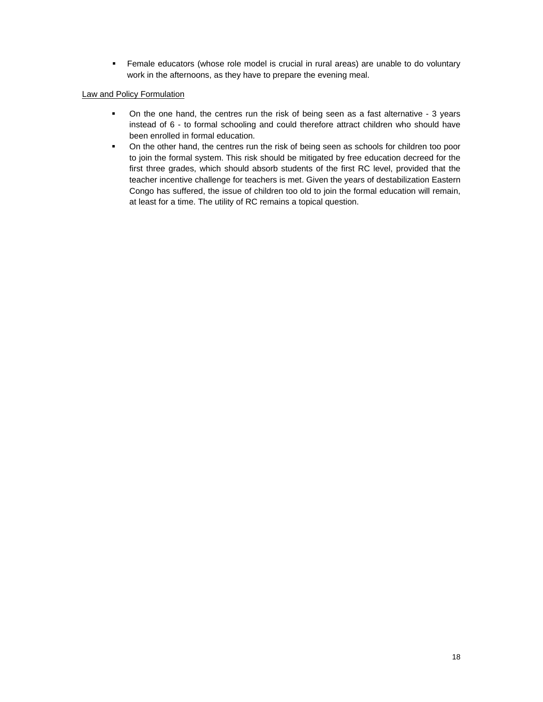Female educators (whose role model is crucial in rural areas) are unable to do voluntary work in the afternoons, as they have to prepare the evening meal.

### Law and Policy Formulation

- On the one hand, the centres run the risk of being seen as a fast alternative 3 years instead of 6 - to formal schooling and could therefore attract children who should have been enrolled in formal education.
- On the other hand, the centres run the risk of being seen as schools for children too poor to join the formal system. This risk should be mitigated by free education decreed for the first three grades, which should absorb students of the first RC level, provided that the teacher incentive challenge for teachers is met. Given the years of destabilization Eastern Congo has suffered, the issue of children too old to join the formal education will remain, at least for a time. The utility of RC remains a topical question.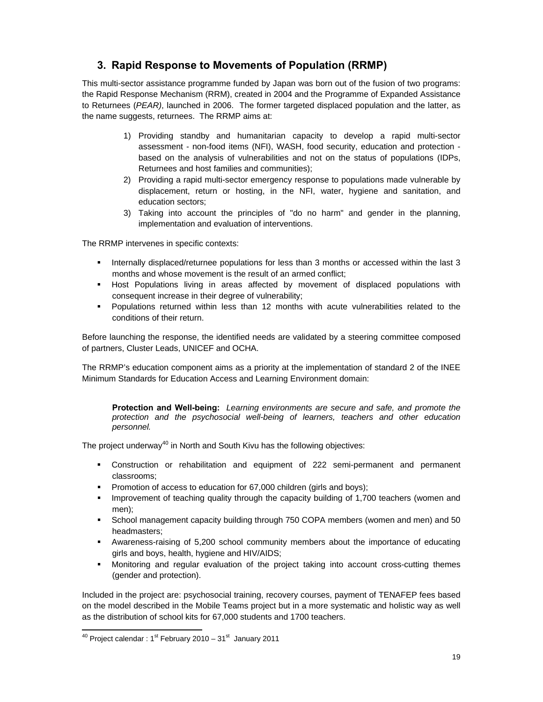## **3. Rapid Response to Movements of Population (RRMP)**

This multi-sector assistance programme funded by Japan was born out of the fusion of two programs: the Rapid Response Mechanism (RRM), created in 2004 and the Programme of Expanded Assistance to Returnees (*PEAR)*, launched in 2006. The former targeted displaced population and the latter, as the name suggests, returnees. The RRMP aims at:

- 1) Providing standby and humanitarian capacity to develop a rapid multi-sector assessment - non-food items (NFI), WASH, food security, education and protection based on the analysis of vulnerabilities and not on the status of populations (IDPs, Returnees and host families and communities);
- 2) Providing a rapid multi-sector emergency response to populations made vulnerable by displacement, return or hosting, in the NFI, water, hygiene and sanitation, and education sectors;
- 3) Taking into account the principles of "do no harm" and gender in the planning, implementation and evaluation of interventions.

The RRMP intervenes in specific contexts:

- Internally displaced/returnee populations for less than 3 months or accessed within the last 3 months and whose movement is the result of an armed conflict;
- **Host Populations living in areas affected by movement of displaced populations with** consequent increase in their degree of vulnerability;
- Populations returned within less than 12 months with acute vulnerabilities related to the conditions of their return.

Before launching the response, the identified needs are validated by a steering committee composed of partners, Cluster Leads, UNICEF and OCHA.

The RRMP's education component aims as a priority at the implementation of standard 2 of the INEE Minimum Standards for Education Access and Learning Environment domain:

**Protection and Well-being:** *Learning environments are secure and safe, and promote the protection and the psychosocial well-being of learners, teachers and other education personnel.* 

The project underway<sup>40</sup> in North and South Kivu has the following objectives:

- Construction or rehabilitation and equipment of 222 semi-permanent and permanent classrooms;
- Promotion of access to education for 67,000 children (girls and boys);
- Improvement of teaching quality through the capacity building of 1,700 teachers (women and men);
- School management capacity building through 750 COPA members (women and men) and 50 headmasters;
- Awareness-raising of 5,200 school community members about the importance of educating girls and boys, health, hygiene and HIV/AIDS;
- Monitoring and regular evaluation of the project taking into account cross-cutting themes (gender and protection).

Included in the project are: psychosocial training, recovery courses, payment of TENAFEP fees based on the model described in the Mobile Teams project but in a more systematic and holistic way as well as the distribution of school kits for 67,000 students and 1700 teachers.

<sup>&</sup>lt;u> 1980 - Andrea Albert III, am bhliain 1980 - An t-Aontaithe ann an t-Aontaithe ann an t-Aontaithe ann an t-Aon</u>  $^{40}$  Project calendar : 1<sup>st</sup> February 2010 – 31<sup>st</sup> January 2011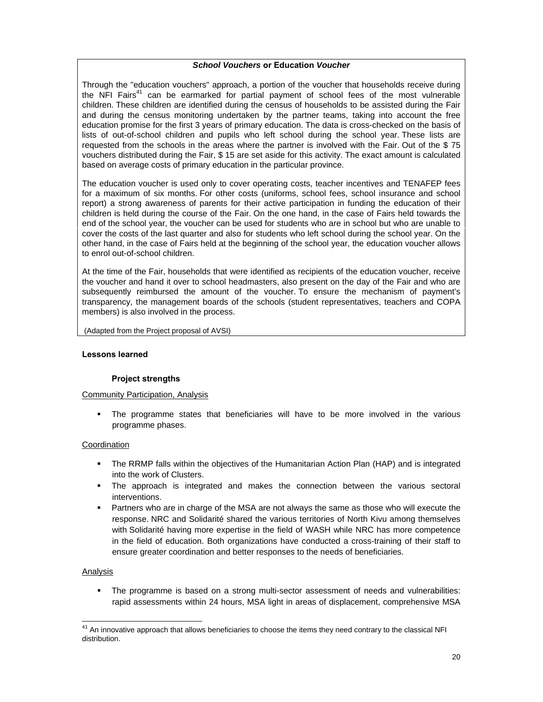#### *School Vouchers* **or Education** *Voucher*

Through the "education vouchers" approach, a portion of the voucher that households receive during the NFI Fairs<sup>41</sup> can be earmarked for partial payment of school fees of the most vulnerable children. These children are identified during the census of households to be assisted during the Fair and during the census monitoring undertaken by the partner teams, taking into account the free education promise for the first 3 years of primary education. The data is cross-checked on the basis of lists of out-of-school children and pupils who left school during the school year. These lists are requested from the schools in the areas where the partner is involved with the Fair. Out of the \$ 75 vouchers distributed during the Fair, \$ 15 are set aside for this activity. The exact amount is calculated based on average costs of primary education in the particular province.

The education voucher is used only to cover operating costs, teacher incentives and TENAFEP fees for a maximum of six months. For other costs (uniforms, school fees, school insurance and school report) a strong awareness of parents for their active participation in funding the education of their children is held during the course of the Fair. On the one hand, in the case of Fairs held towards the end of the school year, the voucher can be used for students who are in school but who are unable to cover the costs of the last quarter and also for students who left school during the school year. On the other hand, in the case of Fairs held at the beginning of the school year, the education voucher allows to enrol out-of-school children.

At the time of the Fair, households that were identified as recipients of the education voucher, receive the voucher and hand it over to school headmasters, also present on the day of the Fair and who are subsequently reimbursed the amount of the voucher. To ensure the mechanism of payment's transparency, the management boards of the schools (student representatives, teachers and COPA members) is also involved in the process.

(Adapted from the Project proposal of AVSI)

#### **Lessons learned**

#### **Project strengths**

#### Community Participation, Analysis

 The programme states that beneficiaries will have to be more involved in the various programme phases.

#### Coordination

- The RRMP falls within the objectives of the Humanitarian Action Plan (HAP) and is integrated into the work of Clusters.
- The approach is integrated and makes the connection between the various sectoral interventions.
- Partners who are in charge of the MSA are not always the same as those who will execute the response. NRC and Solidarité shared the various territories of North Kivu among themselves with Solidarité having more expertise in the field of WASH while NRC has more competence in the field of education. Both organizations have conducted a cross-training of their staff to ensure greater coordination and better responses to the needs of beneficiaries.

#### Analysis

 The programme is based on a strong multi-sector assessment of needs and vulnerabilities: rapid assessments within 24 hours, MSA light in areas of displacement, comprehensive MSA

  $^{41}$  An innovative approach that allows beneficiaries to choose the items they need contrary to the classical NFI distribution.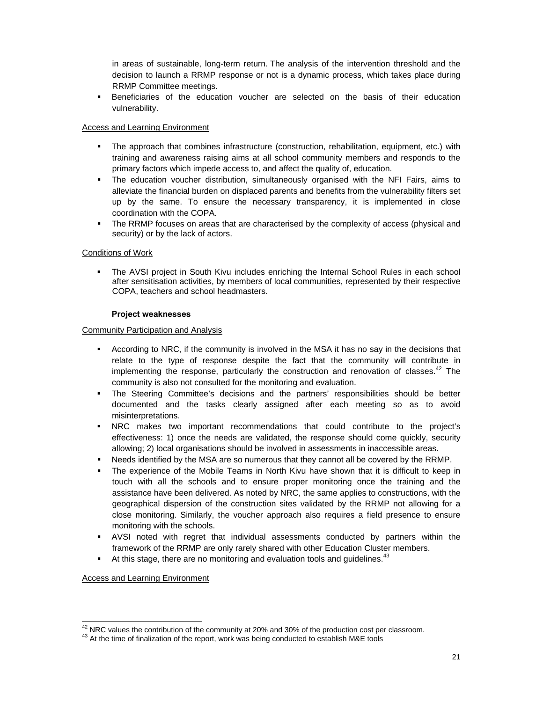in areas of sustainable, long-term return. The analysis of the intervention threshold and the decision to launch a RRMP response or not is a dynamic process, which takes place during RRMP Committee meetings.

 Beneficiaries of the education voucher are selected on the basis of their education vulnerability.

#### Access and Learning Environment

- The approach that combines infrastructure (construction, rehabilitation, equipment, etc.) with training and awareness raising aims at all school community members and responds to the primary factors which impede access to, and affect the quality of, education.
- The education voucher distribution, simultaneously organised with the NFI Fairs, aims to alleviate the financial burden on displaced parents and benefits from the vulnerability filters set up by the same. To ensure the necessary transparency, it is implemented in close coordination with the COPA.
- The RRMP focuses on areas that are characterised by the complexity of access (physical and security) or by the lack of actors.

#### Conditions of Work

 The AVSI project in South Kivu includes enriching the Internal School Rules in each school after sensitisation activities, by members of local communities, represented by their respective COPA, teachers and school headmasters.

#### **Project weaknesses**

#### Community Participation and Analysis

- According to NRC, if the community is involved in the MSA it has no say in the decisions that relate to the type of response despite the fact that the community will contribute in implementing the response, particularly the construction and renovation of classes.<sup>42</sup> The community is also not consulted for the monitoring and evaluation.
- The Steering Committee's decisions and the partners' responsibilities should be better documented and the tasks clearly assigned after each meeting so as to avoid misinterpretations.
- NRC makes two important recommendations that could contribute to the project's effectiveness: 1) once the needs are validated, the response should come quickly, security allowing; 2) local organisations should be involved in assessments in inaccessible areas.
- Needs identified by the MSA are so numerous that they cannot all be covered by the RRMP.
- The experience of the Mobile Teams in North Kivu have shown that it is difficult to keep in touch with all the schools and to ensure proper monitoring once the training and the assistance have been delivered. As noted by NRC, the same applies to constructions, with the geographical dispersion of the construction sites validated by the RRMP not allowing for a close monitoring. Similarly, the voucher approach also requires a field presence to ensure monitoring with the schools.
- AVSI noted with regret that individual assessments conducted by partners within the framework of the RRMP are only rarely shared with other Education Cluster members.
- At this stage, there are no monitoring and evaluation tools and guidelines.<sup>43</sup>

Access and Learning Environment

<sup>&</sup>lt;sup>42</sup> NRC values the contribution of the community at 20% and 30% of the production cost per classroom.<br><sup>43</sup> At the time of finalization of the report, work was being conducted to establish M&E tools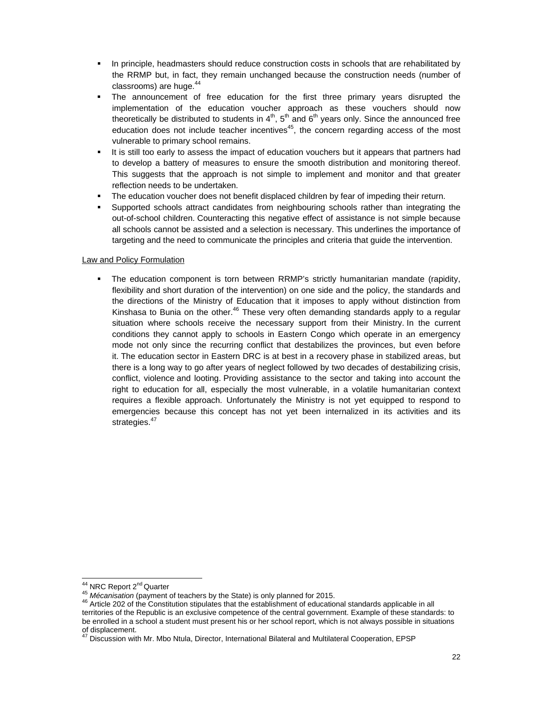- **In principle, headmasters should reduce construction costs in schools that are rehabilitated by** the RRMP but, in fact, they remain unchanged because the construction needs (number of classrooms) are huge. $44$
- The announcement of free education for the first three primary years disrupted the implementation of the education voucher approach as these vouchers should now theoretically be distributed to students in  $4<sup>th</sup>$ ,  $5<sup>th</sup>$  and  $6<sup>th</sup>$  years only. Since the announced free education does not include teacher incentives<sup>45</sup>, the concern regarding access of the most vulnerable to primary school remains.
- It is still too early to assess the impact of education vouchers but it appears that partners had to develop a battery of measures to ensure the smooth distribution and monitoring thereof. This suggests that the approach is not simple to implement and monitor and that greater reflection needs to be undertaken.
- The education voucher does not benefit displaced children by fear of impeding their return.
- Supported schools attract candidates from neighbouring schools rather than integrating the out-of-school children. Counteracting this negative effect of assistance is not simple because all schools cannot be assisted and a selection is necessary. This underlines the importance of targeting and the need to communicate the principles and criteria that guide the intervention.

## Law and Policy Formulation

 The education component is torn between RRMP's strictly humanitarian mandate (rapidity, flexibility and short duration of the intervention) on one side and the policy, the standards and the directions of the Ministry of Education that it imposes to apply without distinction from Kinshasa to Bunia on the other. $46$  These very often demanding standards apply to a regular situation where schools receive the necessary support from their Ministry. In the current conditions they cannot apply to schools in Eastern Congo which operate in an emergency mode not only since the recurring conflict that destabilizes the provinces, but even before it. The education sector in Eastern DRC is at best in a recovery phase in stabilized areas, but there is a long way to go after years of neglect followed by two decades of destabilizing crisis, conflict, violence and looting. Providing assistance to the sector and taking into account the right to education for all, especially the most vulnerable, in a volatile humanitarian context requires a flexible approach. Unfortunately the Ministry is not yet equipped to respond to emergencies because this concept has not yet been internalized in its activities and its strategies.<sup>47</sup>

<sup>&</sup>lt;sup>44</sup> NRC Report 2<sup>nd</sup> Quarter

<sup>45</sup> *Mécanisation* (payment of teachers by the State) is only planned for 2015.<br><sup>46</sup> Article 202 of the Constitution stipulates that the establishment of educational standards applicable in all territories of the Republic is an exclusive competence of the central government. Example of these standards: to be enrolled in a school a student must present his or her school report, which is not always possible in situations of displacement.

<sup>47</sup> Discussion with Mr. Mbo Ntula, Director, International Bilateral and Multilateral Cooperation, EPSP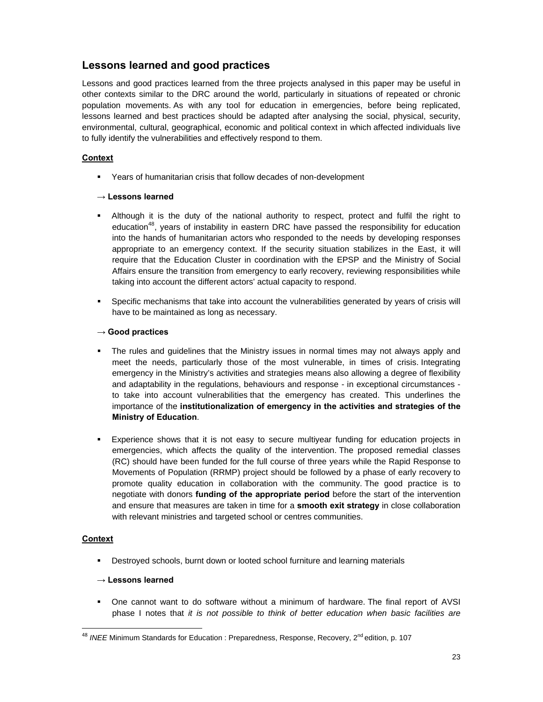## **Lessons learned and good practices**

Lessons and good practices learned from the three projects analysed in this paper may be useful in other contexts similar to the DRC around the world, particularly in situations of repeated or chronic population movements. As with any tool for education in emergencies, before being replicated, lessons learned and best practices should be adapted after analysing the social, physical, security, environmental, cultural, geographical, economic and political context in which affected individuals live to fully identify the vulnerabilities and effectively respond to them.

## **Context**

Years of humanitarian crisis that follow decades of non-development

## **→ Lessons learned**

- Although it is the duty of the national authority to respect, protect and fulfil the right to education<sup>48</sup>, years of instability in eastern DRC have passed the responsibility for education into the hands of humanitarian actors who responded to the needs by developing responses appropriate to an emergency context. If the security situation stabilizes in the East, it will require that the Education Cluster in coordination with the EPSP and the Ministry of Social Affairs ensure the transition from emergency to early recovery, reviewing responsibilities while taking into account the different actors' actual capacity to respond.
- Specific mechanisms that take into account the vulnerabilities generated by years of crisis will have to be maintained as long as necessary.

## **→ Good practices**

- The rules and guidelines that the Ministry issues in normal times may not always apply and meet the needs, particularly those of the most vulnerable, in times of crisis. Integrating emergency in the Ministry's activities and strategies means also allowing a degree of flexibility and adaptability in the regulations, behaviours and response - in exceptional circumstances to take into account vulnerabilities that the emergency has created. This underlines the importance of the **institutionalization of emergency in the activities and strategies of the Ministry of Education**.
- Experience shows that it is not easy to secure multiyear funding for education projects in emergencies, which affects the quality of the intervention. The proposed remedial classes (RC) should have been funded for the full course of three years while the Rapid Response to Movements of Population (RRMP) project should be followed by a phase of early recovery to promote quality education in collaboration with the community. The good practice is to negotiate with donors **funding of the appropriate period** before the start of the intervention and ensure that measures are taken in time for a **smooth exit strategy** in close collaboration with relevant ministries and targeted school or centres communities.

## **Context**

**-** Destroyed schools, burnt down or looted school furniture and learning materials

## **→ Lessons learned**

 One cannot want to do software without a minimum of hardware. The final report of AVSI phase I notes that *it is not possible to think of better education when basic facilities are* 

<sup>&</sup>lt;sup>48</sup> *INEE* Minimum Standards for Education : Preparedness, Response, Recovery, 2<sup>nd</sup> edition, p. 107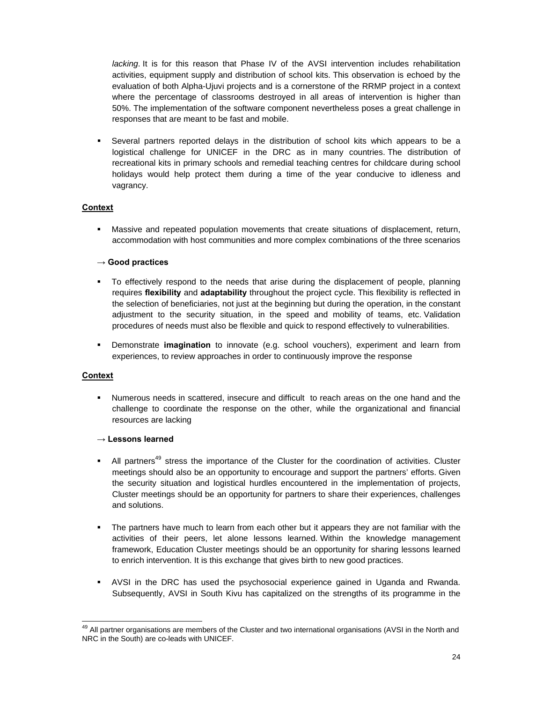*lacking*. It is for this reason that Phase IV of the AVSI intervention includes rehabilitation activities, equipment supply and distribution of school kits. This observation is echoed by the evaluation of both Alpha-Ujuvi projects and is a cornerstone of the RRMP project in a context where the percentage of classrooms destroyed in all areas of intervention is higher than 50%. The implementation of the software component nevertheless poses a great challenge in responses that are meant to be fast and mobile.

 Several partners reported delays in the distribution of school kits which appears to be a logistical challenge for UNICEF in the DRC as in many countries. The distribution of recreational kits in primary schools and remedial teaching centres for childcare during school holidays would help protect them during a time of the year conducive to idleness and vagrancy.

## **Context**

 Massive and repeated population movements that create situations of displacement, return, accommodation with host communities and more complex combinations of the three scenarios

#### **→ Good practices**

- To effectively respond to the needs that arise during the displacement of people, planning requires **flexibility** and **adaptability** throughout the project cycle. This flexibility is reflected in the selection of beneficiaries, not just at the beginning but during the operation, in the constant adjustment to the security situation, in the speed and mobility of teams, etc. Validation procedures of needs must also be flexible and quick to respond effectively to vulnerabilities.
- Demonstrate **imagination** to innovate (e.g. school vouchers), experiment and learn from experiences, to review approaches in order to continuously improve the response

#### **Context**

 Numerous needs in scattered, insecure and difficult to reach areas on the one hand and the challenge to coordinate the response on the other, while the organizational and financial resources are lacking

#### **→ Lessons learned**

- All partners<sup>49</sup> stress the importance of the Cluster for the coordination of activities. Cluster meetings should also be an opportunity to encourage and support the partners' efforts. Given the security situation and logistical hurdles encountered in the implementation of projects, Cluster meetings should be an opportunity for partners to share their experiences, challenges and solutions.
- The partners have much to learn from each other but it appears they are not familiar with the activities of their peers, let alone lessons learned. Within the knowledge management framework, Education Cluster meetings should be an opportunity for sharing lessons learned to enrich intervention. It is this exchange that gives birth to new good practices.
- AVSI in the DRC has used the psychosocial experience gained in Uganda and Rwanda. Subsequently, AVSI in South Kivu has capitalized on the strengths of its programme in the

 $^{49}$  All partner organisations are members of the Cluster and two international organisations (AVSI in the North and NRC in the South) are co-leads with UNICEF.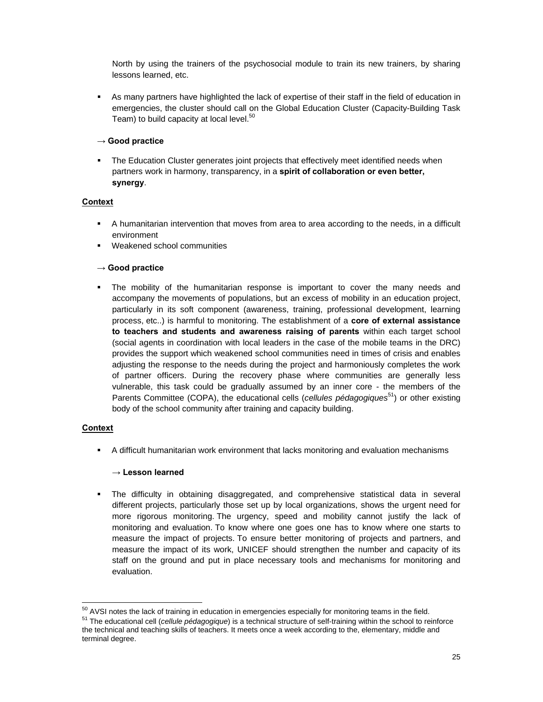North by using the trainers of the psychosocial module to train its new trainers, by sharing lessons learned, etc.

 As many partners have highlighted the lack of expertise of their staff in the field of education in emergencies, the cluster should call on the Global Education Cluster (Capacity-Building Task Team) to build capacity at local level.<sup>50</sup>

## **→ Good practice**

 The Education Cluster generates joint projects that effectively meet identified needs when partners work in harmony, transparency, in a **spirit of collaboration or even better, synergy**.

## **Context**

- A humanitarian intervention that moves from area to area according to the needs, in a difficult environment
- Weakened school communities

## **→ Good practice**

 The mobility of the humanitarian response is important to cover the many needs and accompany the movements of populations, but an excess of mobility in an education project, particularly in its soft component (awareness, training, professional development, learning process, etc..) is harmful to monitoring. The establishment of a **core of external assistance to teachers and students and awareness raising of parents** within each target school (social agents in coordination with local leaders in the case of the mobile teams in the DRC) provides the support which weakened school communities need in times of crisis and enables adjusting the response to the needs during the project and harmoniously completes the work of partner officers. During the recovery phase where communities are generally less vulnerable, this task could be gradually assumed by an inner core - the members of the Parents Committee (COPA), the educational cells (*cellules pédagogiques*<sup>51</sup>) or other existing body of the school community after training and capacity building.

#### **Context**

A difficult humanitarian work environment that lacks monitoring and evaluation mechanisms

#### **→ Lesson learned**

 The difficulty in obtaining disaggregated, and comprehensive statistical data in several different projects, particularly those set up by local organizations, shows the urgent need for more rigorous monitoring. The urgency, speed and mobility cannot justify the lack of monitoring and evaluation. To know where one goes one has to know where one starts to measure the impact of projects. To ensure better monitoring of projects and partners, and measure the impact of its work, UNICEF should strengthen the number and capacity of its staff on the ground and put in place necessary tools and mechanisms for monitoring and evaluation.

<sup>&</sup>lt;u> 1980 - Andrea Andrew Maria (h. 1980).</u><br>1901 - Andrew Maria (h. 1902).

<sup>&</sup>lt;sup>50</sup> AVSI notes the lack of training in education in emergencies especially for monitoring teams in the field.<br><sup>51</sup> The educational cell (*cellule pédagogique*) is a technical structure of self-training within the school t the technical and teaching skills of teachers. It meets once a week according to the, elementary, middle and terminal degree.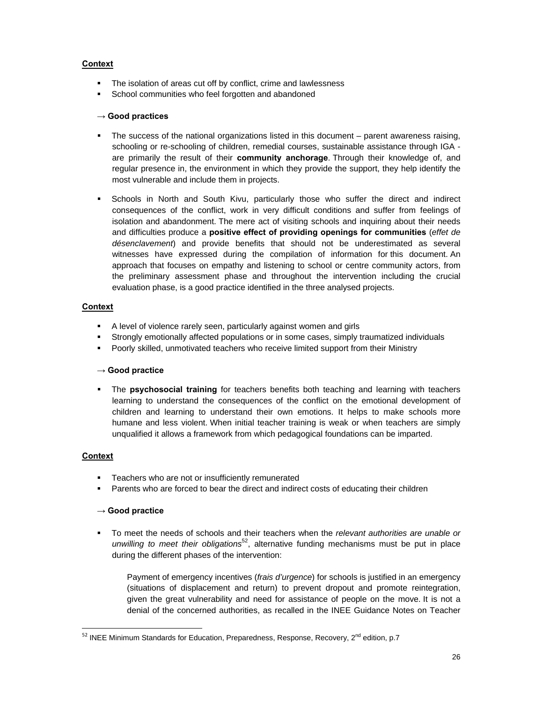## **Context**

- The isolation of areas cut off by conflict, crime and lawlessness
- School communities who feel forgotten and abandoned

### **→ Good practices**

- The success of the national organizations listed in this document parent awareness raising, schooling or re-schooling of children, remedial courses, sustainable assistance through IGA are primarily the result of their **community anchorage**. Through their knowledge of, and regular presence in, the environment in which they provide the support, they help identify the most vulnerable and include them in projects.
- Schools in North and South Kivu, particularly those who suffer the direct and indirect consequences of the conflict, work in very difficult conditions and suffer from feelings of isolation and abandonment. The mere act of visiting schools and inquiring about their needs and difficulties produce a **positive effect of providing openings for communities** (*effet de désenclavement*) and provide benefits that should not be underestimated as several witnesses have expressed during the compilation of information for this document. An approach that focuses on empathy and listening to school or centre community actors, from the preliminary assessment phase and throughout the intervention including the crucial evaluation phase, is a good practice identified in the three analysed projects.

## **Context**

- A level of violence rarely seen, particularly against women and girls
- Strongly emotionally affected populations or in some cases, simply traumatized individuals
- Poorly skilled, unmotivated teachers who receive limited support from their Ministry

#### **→ Good practice**

 The **psychosocial training** for teachers benefits both teaching and learning with teachers learning to understand the consequences of the conflict on the emotional development of children and learning to understand their own emotions. It helps to make schools more humane and less violent. When initial teacher training is weak or when teachers are simply unqualified it allows a framework from which pedagogical foundations can be imparted.

## **Context**

- Teachers who are not or insufficiently remunerated
- Parents who are forced to bear the direct and indirect costs of educating their children

#### **→ Good practice**

 To meet the needs of schools and their teachers when the *relevant authorities are unable or unwilling to meet their obligations*<sup>52</sup>, alternative funding mechanisms must be put in place during the different phases of the intervention:

Payment of emergency incentives (*frais d'urgence*) for schools is justified in an emergency (situations of displacement and return) to prevent dropout and promote reintegration, given the great vulnerability and need for assistance of people on the move. It is not a denial of the concerned authorities, as recalled in the INEE Guidance Notes on Teacher

 $52$  INEE Minimum Standards for Education, Preparedness, Response, Recovery,  $2^{nd}$  edition, p.7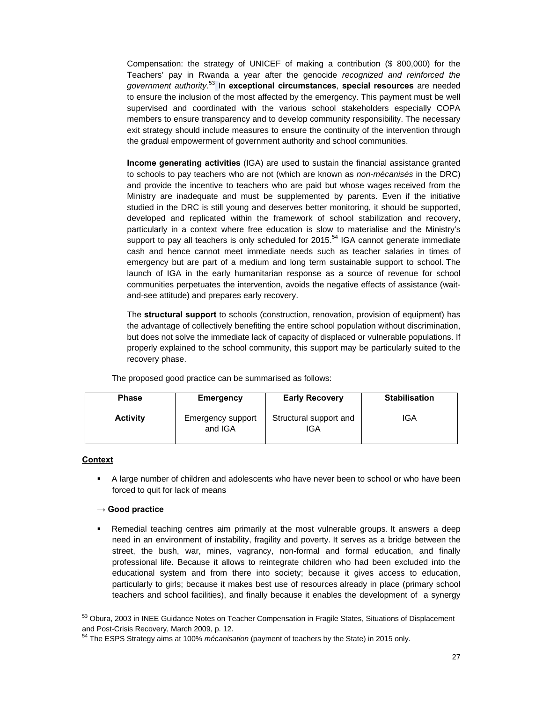Compensation: the strategy of UNICEF of making a contribution (\$ 800,000) for the Teachers' pay in Rwanda a year after the genocide *recognized and reinforced the government authority*. 53 In **exceptional circumstances**, **special resources** are needed to ensure the inclusion of the most affected by the emergency. This payment must be well supervised and coordinated with the various school stakeholders especially COPA members to ensure transparency and to develop community responsibility. The necessary exit strategy should include measures to ensure the continuity of the intervention through the gradual empowerment of government authority and school communities.

**Income generating activities** (IGA) are used to sustain the financial assistance granted to schools to pay teachers who are not (which are known as *non-mécanisés* in the DRC) and provide the incentive to teachers who are paid but whose wages received from the Ministry are inadequate and must be supplemented by parents. Even if the initiative studied in the DRC is still young and deserves better monitoring, it should be supported, developed and replicated within the framework of school stabilization and recovery, particularly in a context where free education is slow to materialise and the Ministry's support to pay all teachers is only scheduled for  $2015$ <sup>54</sup> IGA cannot generate immediate cash and hence cannot meet immediate needs such as teacher salaries in times of emergency but are part of a medium and long term sustainable support to school. The launch of IGA in the early humanitarian response as a source of revenue for school communities perpetuates the intervention, avoids the negative effects of assistance (waitand-see attitude) and prepares early recovery.

The **structural support** to schools (construction, renovation, provision of equipment) has the advantage of collectively benefiting the entire school population without discrimination, but does not solve the immediate lack of capacity of displaced or vulnerable populations. If properly explained to the school community, this support may be particularly suited to the recovery phase.

The proposed good practice can be summarised as follows:

| <b>Phase</b>    | Emergency                    | <b>Early Recovery</b>         | <b>Stabilisation</b> |
|-----------------|------------------------------|-------------------------------|----------------------|
| <b>Activity</b> | Emergency support<br>and IGA | Structural support and<br>IGA | IGA                  |

#### **Context**

 A large number of children and adolescents who have never been to school or who have been forced to quit for lack of means

## **→ Good practice**

 Remedial teaching centres aim primarily at the most vulnerable groups. It answers a deep need in an environment of instability, fragility and poverty. It serves as a bridge between the street, the bush, war, mines, vagrancy, non-formal and formal education, and finally professional life. Because it allows to reintegrate children who had been excluded into the educational system and from there into society; because it gives access to education, particularly to girls; because it makes best use of resources already in place (primary school teachers and school facilities), and finally because it enables the development of a synergy

 53 Obura, 2003 in INEE Guidance Notes on Teacher Compensation in Fragile States, Situations of Displacement and Post-Crisis Recovery, March 2009, p. 12.

<sup>54</sup> The ESPS Strategy aims at 100% *mécanisation* (payment of teachers by the State) in 2015 only.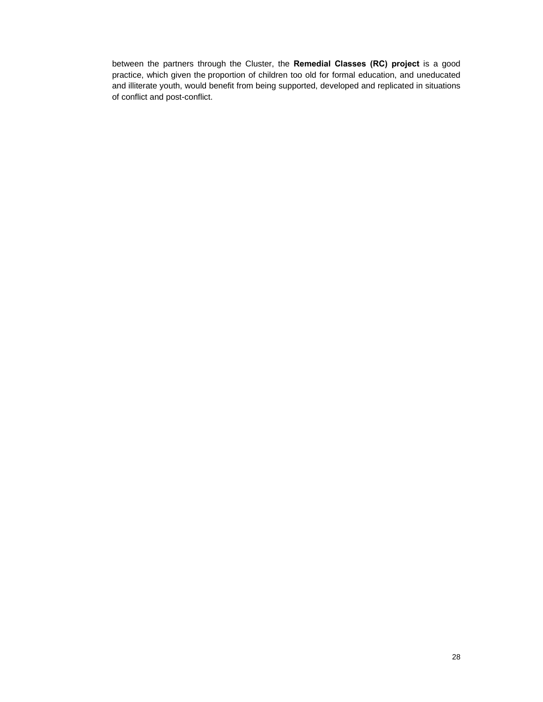between the partners through the Cluster, the **Remedial Classes (RC) project** is a good practice, which given the proportion of children too old for formal education, and uneducated and illiterate youth, would benefit from being supported, developed and replicated in situations of conflict and post-conflict.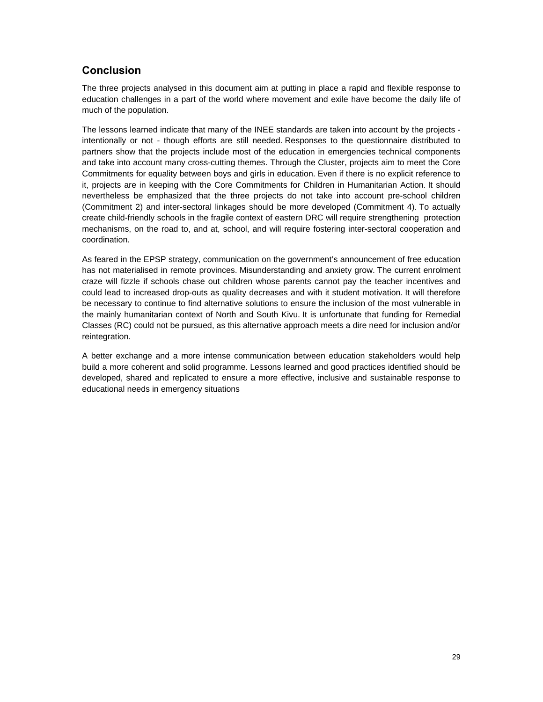## **Conclusion**

The three projects analysed in this document aim at putting in place a rapid and flexible response to education challenges in a part of the world where movement and exile have become the daily life of much of the population.

The lessons learned indicate that many of the INEE standards are taken into account by the projects intentionally or not - though efforts are still needed. Responses to the questionnaire distributed to partners show that the projects include most of the education in emergencies technical components and take into account many cross-cutting themes. Through the Cluster, projects aim to meet the Core Commitments for equality between boys and girls in education. Even if there is no explicit reference to it, projects are in keeping with the Core Commitments for Children in Humanitarian Action. It should nevertheless be emphasized that the three projects do not take into account pre-school children (Commitment 2) and inter-sectoral linkages should be more developed (Commitment 4). To actually create child-friendly schools in the fragile context of eastern DRC will require strengthening protection mechanisms, on the road to, and at, school, and will require fostering inter-sectoral cooperation and coordination.

As feared in the EPSP strategy, communication on the government's announcement of free education has not materialised in remote provinces. Misunderstanding and anxiety grow. The current enrolment craze will fizzle if schools chase out children whose parents cannot pay the teacher incentives and could lead to increased drop-outs as quality decreases and with it student motivation. It will therefore be necessary to continue to find alternative solutions to ensure the inclusion of the most vulnerable in the mainly humanitarian context of North and South Kivu. It is unfortunate that funding for Remedial Classes (RC) could not be pursued, as this alternative approach meets a dire need for inclusion and/or reintegration.

A better exchange and a more intense communication between education stakeholders would help build a more coherent and solid programme. Lessons learned and good practices identified should be developed, shared and replicated to ensure a more effective, inclusive and sustainable response to educational needs in emergency situations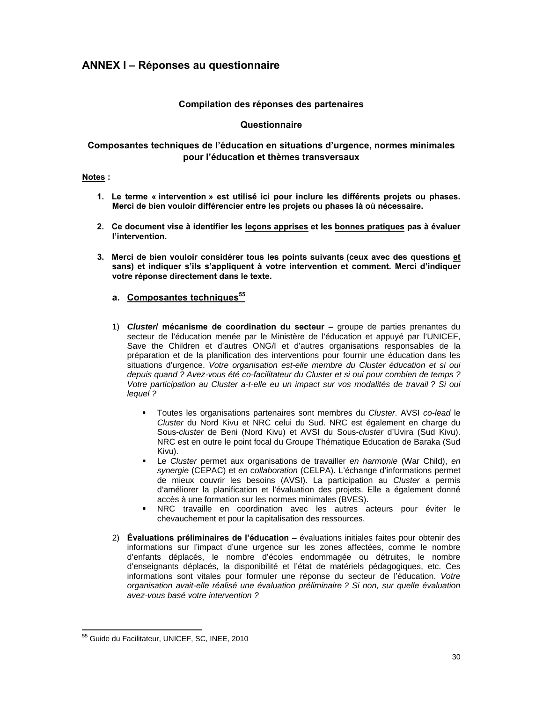## **ANNEX I – Réponses au questionnaire**

## **Compilation des réponses des partenaires**

## **Questionnaire**

## **Composantes techniques de l'éducation en situations d'urgence, normes minimales pour l'éducation et thèmes transversaux**

#### **Notes :**

- **1. Le terme « intervention » est utilisé ici pour inclure les différents projets ou phases. Merci de bien vouloir différencier entre les projets ou phases là où nécessaire.**
- **2. Ce document vise à identifier les leçons apprises et les bonnes pratiques pas à évaluer l'intervention.**
- **3. Merci de bien vouloir considérer tous les points suivants (ceux avec des questions et sans) et indiquer s'ils s'appliquent à votre intervention et comment. Merci d'indiquer votre réponse directement dans le texte.**

## **a. Composantes techniques<sup>55</sup>**

- 1) *Cluster***/ mécanisme de coordination du secteur** groupe de parties prenantes du secteur de l'éducation menée par le Ministère de l'éducation et appuyé par l'UNICEF, Save the Children et d'autres ONG/I et d'autres organisations responsables de la préparation et de la planification des interventions pour fournir une éducation dans les situations d'urgence. *Votre organisation est-elle membre du Cluster éducation et si oui depuis quand ? Avez-vous été co-facilitateur du Cluster et si oui pour combien de temps ? Votre participation au Cluster a-t-elle eu un impact sur vos modalités de travail ? Si oui lequel ?*
	- Toutes les organisations partenaires sont membres du *Cluster*. AVSI *co-lead* le *Cluster* du Nord Kivu et NRC celui du Sud. NRC est également en charge du Sous-*cluster* de Beni (Nord Kivu) et AVSI du Sous-*cluster* d'Uvira (Sud Kivu). NRC est en outre le point focal du Groupe Thématique Education de Baraka (Sud Kivu).
	- Le *Cluster* permet aux organisations de travailler *en harmonie* (War Child), *en synergie* (CEPAC) et *en collaboration* (CELPA). L'échange d'informations permet de mieux couvrir les besoins (AVSI). La participation au *Cluster* a permis d'améliorer la planification et l'évaluation des projets. Elle a également donné accès à une formation sur les normes minimales (BVES).
	- NRC travaille en coordination avec les autres acteurs pour éviter le chevauchement et pour la capitalisation des ressources.
- 2) **Évaluations préliminaires de l'éducation –** évaluations initiales faites pour obtenir des informations sur l'impact d'une urgence sur les zones affectées, comme le nombre d'enfants déplacés, le nombre d'écoles endommagée ou détruites, le nombre d'enseignants déplacés, la disponibilité et l'état de matériels pédagogiques, etc. Ces informations sont vitales pour formuler une réponse du secteur de l'éducation. *Votre organisation avait-elle réalisé une évaluation préliminaire ? Si non, sur quelle évaluation avez-vous basé votre intervention ?*

<u> 1980 - Andrea Albert III, am bhliain 1980 - An t-Aonaichte ann an t-Aonaichte ann an t-Aonaichte ann an t-Aon</u>

<sup>&</sup>lt;sup>55</sup> Guide du Facilitateur, UNICEF, SC, INEE, 2010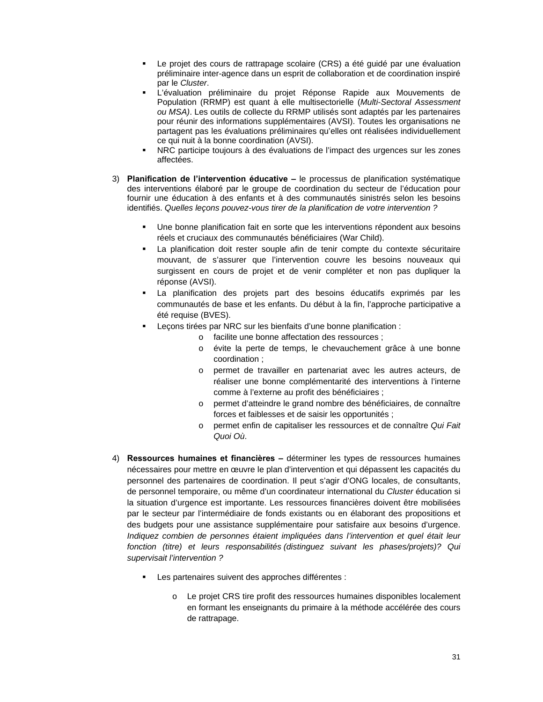- Le projet des cours de rattrapage scolaire (CRS) a été guidé par une évaluation préliminaire inter-agence dans un esprit de collaboration et de coordination inspiré par le *Cluster*.
- L'évaluation préliminaire du projet Réponse Rapide aux Mouvements de Population (RRMP) est quant à elle multisectorielle (*Multi-Sectoral Assessment ou MSA)*. Les outils de collecte du RRMP utilisés sont adaptés par les partenaires pour réunir des informations supplémentaires (AVSI). Toutes les organisations ne partagent pas les évaluations préliminaires qu'elles ont réalisées individuellement ce qui nuit à la bonne coordination (AVSI).
- NRC participe toujours à des évaluations de l'impact des urgences sur les zones affectées.
- 3) **Planification de l'intervention éducative** le processus de planification systématique des interventions élaboré par le groupe de coordination du secteur de l'éducation pour fournir une éducation à des enfants et à des communautés sinistrés selon les besoins identifiés. *Quelles leçons pouvez-vous tirer de la planification de votre intervention ?*
	- Une bonne planification fait en sorte que les interventions répondent aux besoins réels et cruciaux des communautés bénéficiaires (War Child).
	- La planification doit rester souple afin de tenir compte du contexte sécuritaire mouvant, de s'assurer que l'intervention couvre les besoins nouveaux qui surgissent en cours de projet et de venir compléter et non pas dupliquer la réponse (AVSI).
	- La planification des projets part des besoins éducatifs exprimés par les communautés de base et les enfants. Du début à la fin, l'approche participative a été requise (BVES).
	- Leçons tirées par NRC sur les bienfaits d'une bonne planification :
		- o facilite une bonne affectation des ressources ;
		- o évite la perte de temps, le chevauchement grâce à une bonne coordination ;
		- o permet de travailler en partenariat avec les autres acteurs, de réaliser une bonne complémentarité des interventions à l'interne comme à l'externe au profit des bénéficiaires ;
		- o permet d'atteindre le grand nombre des bénéficiaires, de connaître forces et faiblesses et de saisir les opportunités ;
		- o permet enfin de capitaliser les ressources et de connaître *Qui Fait Quoi Où*.
- 4) **Ressources humaines et financières –** déterminer les types de ressources humaines nécessaires pour mettre en œuvre le plan d'intervention et qui dépassent les capacités du personnel des partenaires de coordination. Il peut s'agir d'ONG locales, de consultants, de personnel temporaire, ou même d'un coordinateur international du *Cluster* éducation si la situation d'urgence est importante. Les ressources financières doivent être mobilisées par le secteur par l'intermédiaire de fonds existants ou en élaborant des propositions et des budgets pour une assistance supplémentaire pour satisfaire aux besoins d'urgence. *Indiquez combien de personnes étaient impliquées dans l'intervention et quel était leur fonction (titre) et leurs responsabilités (distinguez suivant les phases/projets)? Qui supervisait l'intervention ?*
	- Les partenaires suivent des approches différentes :
		- o Le projet CRS tire profit des ressources humaines disponibles localement en formant les enseignants du primaire à la méthode accélérée des cours de rattrapage.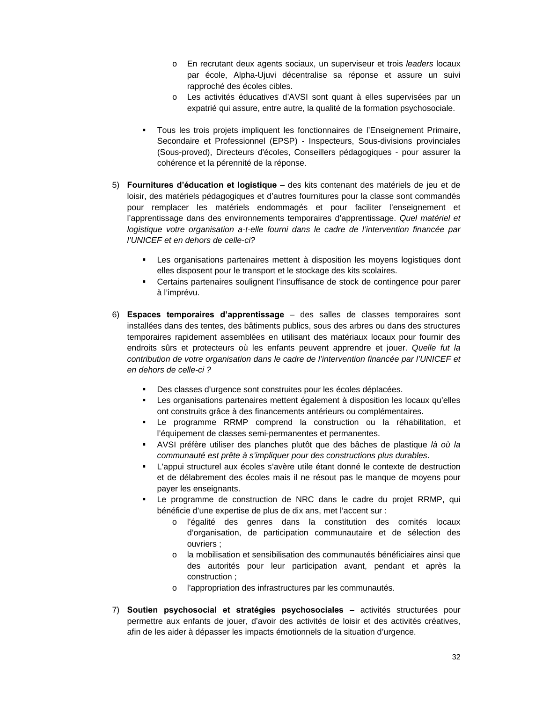- o En recrutant deux agents sociaux, un superviseur et trois *leaders* locaux par école, Alpha-Ujuvi décentralise sa réponse et assure un suivi rapproché des écoles cibles.
- o Les activités éducatives d'AVSI sont quant à elles supervisées par un expatrié qui assure, entre autre, la qualité de la formation psychosociale.
- Tous les trois projets impliquent les fonctionnaires de l'Enseignement Primaire, Secondaire et Professionnel (EPSP) - Inspecteurs, Sous-divisions provinciales (Sous-proved), Directeurs d'écoles, Conseillers pédagogiques - pour assurer la cohérence et la pérennité de la réponse.
- 5) **Fournitures d'éducation et logistique**  des kits contenant des matériels de jeu et de loisir, des matériels pédagogiques et d'autres fournitures pour la classe sont commandés pour remplacer les matériels endommagés et pour faciliter l'enseignement et l'apprentissage dans des environnements temporaires d'apprentissage. *Quel matériel et logistique votre organisation a-t-elle fourni dans le cadre de l'intervention financée par l'UNICEF et en dehors de celle-ci?*
	- Les organisations partenaires mettent à disposition les moyens logistiques dont elles disposent pour le transport et le stockage des kits scolaires.
	- Certains partenaires soulignent l'insuffisance de stock de contingence pour parer à l'imprévu.
- 6) **Espaces temporaires d'apprentissage** des salles de classes temporaires sont installées dans des tentes, des bâtiments publics, sous des arbres ou dans des structures temporaires rapidement assemblées en utilisant des matériaux locaux pour fournir des endroits sûrs et protecteurs où les enfants peuvent apprendre et jouer. *Quelle fut la contribution de votre organisation dans le cadre de l'intervention financée par l'UNICEF et en dehors de celle-ci ?*
	- Des classes d'urgence sont construites pour les écoles déplacées.
	- Les organisations partenaires mettent également à disposition les locaux qu'elles ont construits grâce à des financements antérieurs ou complémentaires.
	- Le programme RRMP comprend la construction ou la réhabilitation, et l'équipement de classes semi-permanentes et permanentes.
	- AVSI préfère utiliser des planches plutôt que des bâches de plastique *là où la communauté est prête à s'impliquer pour des constructions plus durables*.
	- L'appui structurel aux écoles s'avère utile étant donné le contexte de destruction et de délabrement des écoles mais il ne résout pas le manque de moyens pour payer les enseignants.
	- Le programme de construction de NRC dans le cadre du projet RRMP, qui bénéficie d'une expertise de plus de dix ans, met l'accent sur :
		- o l'égalité des genres dans la constitution des comités locaux d'organisation, de participation communautaire et de sélection des ouvriers ;
		- o la mobilisation et sensibilisation des communautés bénéficiaires ainsi que des autorités pour leur participation avant, pendant et après la construction ;
		- o l'appropriation des infrastructures par les communautés.
- 7) **Soutien psychosocial et stratégies psychosociales** activités structurées pour permettre aux enfants de jouer, d'avoir des activités de loisir et des activités créatives, afin de les aider à dépasser les impacts émotionnels de la situation d'urgence.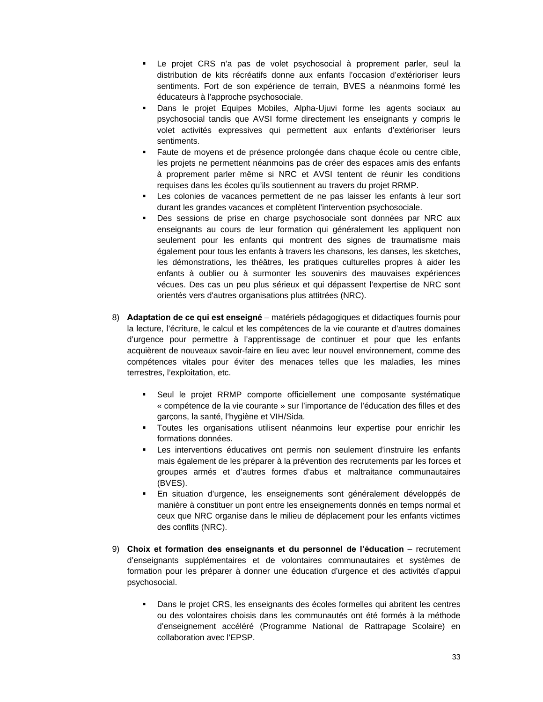- Le projet CRS n'a pas de volet psychosocial à proprement parler, seul la distribution de kits récréatifs donne aux enfants l'occasion d'extérioriser leurs sentiments. Fort de son expérience de terrain, BVES a néanmoins formé les éducateurs à l'approche psychosociale.
- Dans le projet Equipes Mobiles, Alpha-Ujuvi forme les agents sociaux au psychosocial tandis que AVSI forme directement les enseignants y compris le volet activités expressives qui permettent aux enfants d'extérioriser leurs sentiments.
- Faute de moyens et de présence prolongée dans chaque école ou centre cible, les projets ne permettent néanmoins pas de créer des espaces amis des enfants à proprement parler même si NRC et AVSI tentent de réunir les conditions requises dans les écoles qu'ils soutiennent au travers du projet RRMP.
- Les colonies de vacances permettent de ne pas laisser les enfants à leur sort durant les grandes vacances et complètent l'intervention psychosociale.
- Des sessions de prise en charge psychosociale sont données par NRC aux enseignants au cours de leur formation qui généralement les appliquent non seulement pour les enfants qui montrent des signes de traumatisme mais également pour tous les enfants à travers les chansons, les danses, les sketches, les démonstrations, les théâtres, les pratiques culturelles propres à aider les enfants à oublier ou à surmonter les souvenirs des mauvaises expériences vécues. Des cas un peu plus sérieux et qui dépassent l'expertise de NRC sont orientés vers d'autres organisations plus attitrées (NRC).
- 8) **Adaptation de ce qui est enseigné** matériels pédagogiques et didactiques fournis pour la lecture, l'écriture, le calcul et les compétences de la vie courante et d'autres domaines d'urgence pour permettre à l'apprentissage de continuer et pour que les enfants acquièrent de nouveaux savoir-faire en lieu avec leur nouvel environnement, comme des compétences vitales pour éviter des menaces telles que les maladies, les mines terrestres, l'exploitation, etc.
	- Seul le projet RRMP comporte officiellement une composante systématique « compétence de la vie courante » sur l'importance de l'éducation des filles et des garçons, la santé, l'hygiène et VIH/Sida.
	- Toutes les organisations utilisent néanmoins leur expertise pour enrichir les formations données.
	- Les interventions éducatives ont permis non seulement d'instruire les enfants mais également de les préparer à la prévention des recrutements par les forces et groupes armés et d'autres formes d'abus et maltraitance communautaires (BVES).
	- En situation d'urgence, les enseignements sont généralement développés de manière à constituer un pont entre les enseignements donnés en temps normal et ceux que NRC organise dans le milieu de déplacement pour les enfants victimes des conflits (NRC).
- 9) **Choix et formation des enseignants et du personnel de l'éducation** recrutement d'enseignants supplémentaires et de volontaires communautaires et systèmes de formation pour les préparer à donner une éducation d'urgence et des activités d'appui psychosocial.
	- Dans le projet CRS, les enseignants des écoles formelles qui abritent les centres ou des volontaires choisis dans les communautés ont été formés à la méthode d'enseignement accéléré (Programme National de Rattrapage Scolaire) en collaboration avec l'EPSP.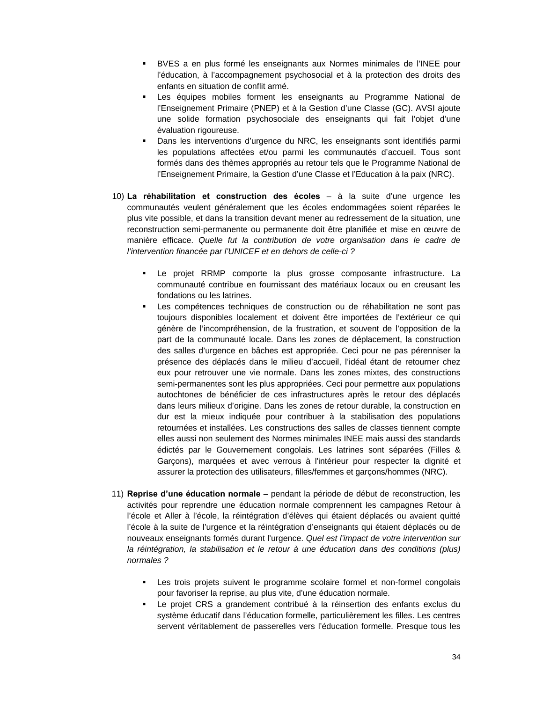- BVES a en plus formé les enseignants aux Normes minimales de l'INEE pour l'éducation, à l'accompagnement psychosocial et à la protection des droits des enfants en situation de conflit armé.
- Les équipes mobiles forment les enseignants au Programme National de l'Enseignement Primaire (PNEP) et à la Gestion d'une Classe (GC). AVSI ajoute une solide formation psychosociale des enseignants qui fait l'objet d'une évaluation rigoureuse.
- Dans les interventions d'urgence du NRC, les enseignants sont identifiés parmi les populations affectées et/ou parmi les communautés d'accueil. Tous sont formés dans des thèmes appropriés au retour tels que le Programme National de l'Enseignement Primaire, la Gestion d'une Classe et l'Education à la paix (NRC).
- 10) **La réhabilitation et construction des écoles** à la suite d'une urgence les communautés veulent généralement que les écoles endommagées soient réparées le plus vite possible, et dans la transition devant mener au redressement de la situation, une reconstruction semi-permanente ou permanente doit être planifiée et mise en œuvre de manière efficace. *Quelle fut la contribution de votre organisation dans le cadre de l'intervention financée par l'UNICEF et en dehors de celle-ci ?*
	- Le projet RRMP comporte la plus grosse composante infrastructure. La communauté contribue en fournissant des matériaux locaux ou en creusant les fondations ou les latrines.
	- Les compétences techniques de construction ou de réhabilitation ne sont pas toujours disponibles localement et doivent être importées de l'extérieur ce qui génère de l'incompréhension, de la frustration, et souvent de l'opposition de la part de la communauté locale. Dans les zones de déplacement, la construction des salles d'urgence en bâches est appropriée. Ceci pour ne pas pérenniser la présence des déplacés dans le milieu d'accueil, l'idéal étant de retourner chez eux pour retrouver une vie normale. Dans les zones mixtes, des constructions semi-permanentes sont les plus appropriées. Ceci pour permettre aux populations autochtones de bénéficier de ces infrastructures après le retour des déplacés dans leurs milieux d'origine. Dans les zones de retour durable, la construction en dur est la mieux indiquée pour contribuer à la stabilisation des populations retournées et installées. Les constructions des salles de classes tiennent compte elles aussi non seulement des Normes minimales INEE mais aussi des standards édictés par le Gouvernement congolais. Les latrines sont séparées (Filles & Garçons), marquées et avec verrous à l'intérieur pour respecter la dignité et assurer la protection des utilisateurs, filles/femmes et garçons/hommes (NRC).
- 11) **Reprise d'une éducation normale** pendant la période de début de reconstruction, les activités pour reprendre une éducation normale comprennent les campagnes Retour à l'école et Aller à l'école, la réintégration d'élèves qui étaient déplacés ou avaient quitté l'école à la suite de l'urgence et la réintégration d'enseignants qui étaient déplacés ou de nouveaux enseignants formés durant l'urgence. *Quel est l'impact de votre intervention sur*  la réintégration, la stabilisation et le retour à une éducation dans des conditions (plus) *normales ?*
	- Les trois projets suivent le programme scolaire formel et non-formel congolais pour favoriser la reprise, au plus vite, d'une éducation normale.
	- Le projet CRS a grandement contribué à la réinsertion des enfants exclus du système éducatif dans l'éducation formelle, particulièrement les filles. Les centres servent véritablement de passerelles vers l'éducation formelle. Presque tous les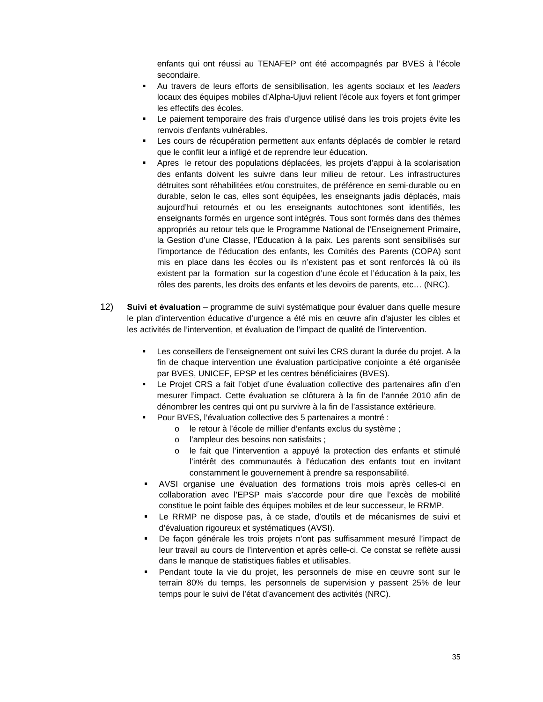enfants qui ont réussi au TENAFEP ont été accompagnés par BVES à l'école secondaire.

- Au travers de leurs efforts de sensibilisation, les agents sociaux et les *leaders* locaux des équipes mobiles d'Alpha-Ujuvi relient l'école aux foyers et font grimper les effectifs des écoles.
- Le paiement temporaire des frais d'urgence utilisé dans les trois projets évite les renvois d'enfants vulnérables.
- Les cours de récupération permettent aux enfants déplacés de combler le retard que le conflit leur a infligé et de reprendre leur éducation.
- Apres le retour des populations déplacées, les projets d'appui à la scolarisation des enfants doivent les suivre dans leur milieu de retour. Les infrastructures détruites sont réhabilitées et/ou construites, de préférence en semi-durable ou en durable, selon le cas, elles sont équipées, les enseignants jadis déplacés, mais aujourd'hui retournés et ou les enseignants autochtones sont identifiés, les enseignants formés en urgence sont intégrés. Tous sont formés dans des thèmes appropriés au retour tels que le Programme National de l'Enseignement Primaire, la Gestion d'une Classe, l'Education à la paix. Les parents sont sensibilisés sur l'importance de l'éducation des enfants, les Comités des Parents (COPA) sont mis en place dans les écoles ou ils n'existent pas et sont renforcés là où ils existent par la formation sur la cogestion d'une école et l'éducation à la paix, les rôles des parents, les droits des enfants et les devoirs de parents, etc… (NRC).
- 12) **Suivi et évaluation** programme de suivi systématique pour évaluer dans quelle mesure le plan d'intervention éducative d'urgence a été mis en œuvre afin d'ajuster les cibles et les activités de l'intervention, et évaluation de l'impact de qualité de l'intervention.
	- Les conseillers de l'enseignement ont suivi les CRS durant la durée du projet. A la fin de chaque intervention une évaluation participative conjointe a été organisée par BVES, UNICEF, EPSP et les centres bénéficiaires (BVES).
	- Le Projet CRS a fait l'objet d'une évaluation collective des partenaires afin d'en mesurer l'impact. Cette évaluation se clôturera à la fin de l'année 2010 afin de dénombrer les centres qui ont pu survivre à la fin de l'assistance extérieure.
	- Pour BVES, l'évaluation collective des 5 partenaires a montré :
		- o le retour à l'école de millier d'enfants exclus du système ;
		- o l'ampleur des besoins non satisfaits ;
		- o le fait que l'intervention a appuyé la protection des enfants et stimulé l'intérêt des communautés à l'éducation des enfants tout en invitant constamment le gouvernement à prendre sa responsabilité.
	- AVSI organise une évaluation des formations trois mois après celles-ci en collaboration avec l'EPSP mais s'accorde pour dire que l'excès de mobilité constitue le point faible des équipes mobiles et de leur successeur, le RRMP.
	- Le RRMP ne dispose pas, à ce stade, d'outils et de mécanismes de suivi et d'évaluation rigoureux et systématiques (AVSI).
	- De façon générale les trois projets n'ont pas suffisamment mesuré l'impact de leur travail au cours de l'intervention et après celle-ci. Ce constat se reflète aussi dans le manque de statistiques fiables et utilisables.
	- Pendant toute la vie du projet, les personnels de mise en œuvre sont sur le terrain 80% du temps, les personnels de supervision y passent 25% de leur temps pour le suivi de l'état d'avancement des activités (NRC).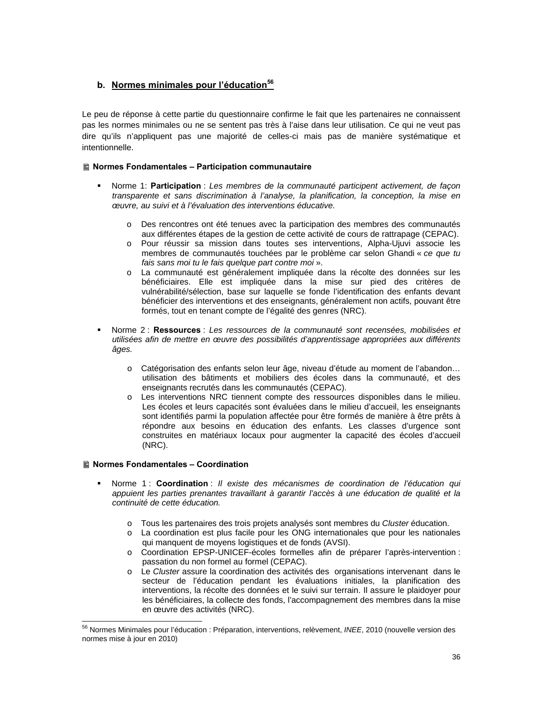## **b.** Normes minimales pour l'éducation<sup>56</sup>

Le peu de réponse à cette partie du questionnaire confirme le fait que les partenaires ne connaissent pas les normes minimales ou ne se sentent pas très à l'aise dans leur utilisation. Ce qui ne veut pas dire qu'ils n'appliquent pas une majorité de celles-ci mais pas de manière systématique et intentionnelle.

### **Normes Fondamentales – Participation communautaire**

- Norme 1: **Participation** : *Les membres de la communauté participent activement, de façon transparente et sans discrimination à l'analyse, la planification, la conception, la mise en œuvre, au suivi et à l'évaluation des interventions éducative.* 
	- o Des rencontres ont été tenues avec la participation des membres des communautés aux différentes étapes de la gestion de cette activité de cours de rattrapage (CEPAC).
	- o Pour réussir sa mission dans toutes ses interventions, Alpha-Ujuvi associe les membres de communautés touchées par le problème car selon Ghandi « *ce que tu fais sans moi tu le fais quelque part contre moi* ».
	- o La communauté est généralement impliquée dans la récolte des données sur les bénéficiaires. Elle est impliquée dans la mise sur pied des critères de vulnérabilité/sélection, base sur laquelle se fonde l'identification des enfants devant bénéficier des interventions et des enseignants, généralement non actifs, pouvant être formés, tout en tenant compte de l'égalité des genres (NRC).
- Norme 2 : **Ressources** : *Les ressources de la communauté sont recensées, mobilisées et utilisées afin de mettre en œuvre des possibilités d'apprentissage appropriées aux différents âges.*
	- o Catégorisation des enfants selon leur âge, niveau d'étude au moment de l'abandon… utilisation des bâtiments et mobiliers des écoles dans la communauté, et des enseignants recrutés dans les communautés (CEPAC).
	- o Les interventions NRC tiennent compte des ressources disponibles dans le milieu. Les écoles et leurs capacités sont évaluées dans le milieu d'accueil, les enseignants sont identifiés parmi la population affectée pour être formés de manière à être prêts à répondre aux besoins en éducation des enfants. Les classes d'urgence sont construites en matériaux locaux pour augmenter la capacité des écoles d'accueil (NRC).

#### **Normes Fondamentales – Coordination**

- Norme 1 : **Coordination** : *Il existe des mécanismes de coordination de l'éducation qui appuient les parties prenantes travaillant à garantir l'accès à une éducation de qualité et la continuité de cette éducation.* 
	- o Tous les partenaires des trois projets analysés sont membres du *Cluster* éducation.
	- o La coordination est plus facile pour les ONG internationales que pour les nationales qui manquent de moyens logistiques et de fonds (AVSI).
	- o Coordination EPSP-UNICEF-écoles formelles afin de préparer l'après-intervention : passation du non formel au formel (CEPAC).
	- o Le *Cluster* assure la coordination des activités des organisations intervenant dans le secteur de l'éducation pendant les évaluations initiales, la planification des interventions, la récolte des données et le suivi sur terrain. Il assure le plaidoyer pour les bénéficiaires, la collecte des fonds, l'accompagnement des membres dans la mise en œuvre des activités (NRC).

<sup>56</sup> Normes Minimales pour l'éducation : Préparation, interventions, relèvement, *INEE*, 2010 (nouvelle version des normes mise à jour en 2010)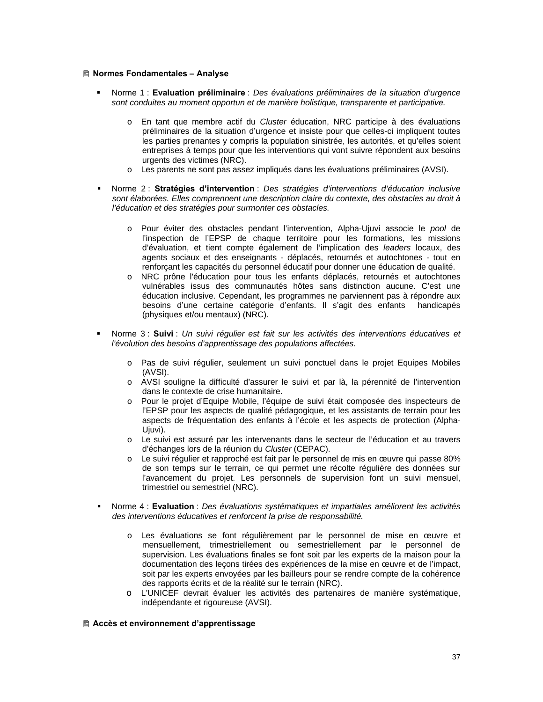#### **Normes Fondamentales – Analyse**

- Norme 1 : **Evaluation préliminaire** : *Des évaluations préliminaires de la situation d'urgence sont conduites au moment opportun et de manière holistique, transparente et participative.* 
	- o En tant que membre actif du *Cluster* éducation, NRC participe à des évaluations préliminaires de la situation d'urgence et insiste pour que celles-ci impliquent toutes les parties prenantes y compris la population sinistrée, les autorités, et qu'elles soient entreprises à temps pour que les interventions qui vont suivre répondent aux besoins urgents des victimes (NRC).
	- o Les parents ne sont pas assez impliqués dans les évaluations préliminaires (AVSI).
- Norme 2 : **Stratégies d'intervention** : *Des stratégies d'interventions d'éducation inclusive sont élaborées. Elles comprennent une description claire du contexte, des obstacles au droit à l'éducation et des stratégies pour surmonter ces obstacles.* 
	- o Pour éviter des obstacles pendant l'intervention, Alpha-Ujuvi associe le *pool* de l'inspection de l'EPSP de chaque territoire pour les formations, les missions d'évaluation, et tient compte également de l'implication des *leaders* locaux, des agents sociaux et des enseignants - déplacés, retournés et autochtones - tout en renforçant les capacités du personnel éducatif pour donner une éducation de qualité.
	- o NRC prône l'éducation pour tous les enfants déplacés, retournés et autochtones vulnérables issus des communautés hôtes sans distinction aucune. C'est une éducation inclusive. Cependant, les programmes ne parviennent pas à répondre aux besoins d'une certaine catégorie d'enfants. Il s'agit des enfants handicapés (physiques et/ou mentaux) (NRC).
- Norme 3 : **Suivi** : *Un suivi régulier est fait sur les activités des interventions éducatives et l'évolution des besoins d'apprentissage des populations affectées.*
	- o Pas de suivi régulier, seulement un suivi ponctuel dans le projet Equipes Mobiles (AVSI).
	- o AVSI souligne la difficulté d'assurer le suivi et par là, la pérennité de l'intervention dans le contexte de crise humanitaire.
	- o Pour le projet d'Equipe Mobile, l'équipe de suivi était composée des inspecteurs de l'EPSP pour les aspects de qualité pédagogique, et les assistants de terrain pour les aspects de fréquentation des enfants à l'école et les aspects de protection (Alpha-Ujuvi).
	- o Le suivi est assuré par les intervenants dans le secteur de l'éducation et au travers d'échanges lors de la réunion du *Cluster* (CEPAC).
	- o Le suivi régulier et rapproché est fait par le personnel de mis en œuvre qui passe 80% de son temps sur le terrain, ce qui permet une récolte régulière des données sur l'avancement du projet. Les personnels de supervision font un suivi mensuel, trimestriel ou semestriel (NRC).
- Norme 4 : **Evaluation** : *Des évaluations systématiques et impartiales améliorent les activités des interventions éducatives et renforcent la prise de responsabilité.* 
	- o Les évaluations se font régulièrement par le personnel de mise en œuvre et mensuellement, trimestriellement ou semestriellement par le personnel de supervision. Les évaluations finales se font soit par les experts de la maison pour la documentation des leçons tirées des expériences de la mise en œuvre et de l'impact, soit par les experts envoyées par les bailleurs pour se rendre compte de la cohérence des rapports écrits et de la réalité sur le terrain (NRC).
	- o L'UNICEF devrait évaluer les activités des partenaires de manière systématique, indépendante et rigoureuse (AVSI).

#### **Accès et environnement d'apprentissage**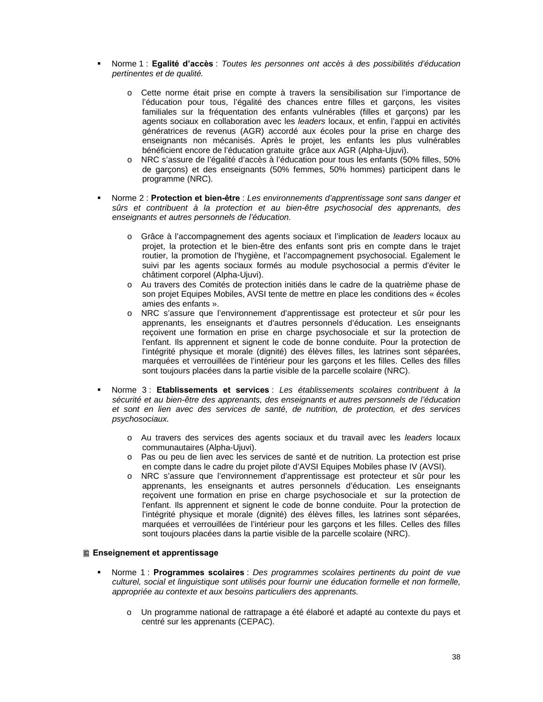- Norme 1 : **Egalité d'accès** : *Toutes les personnes ont accès à des possibilités d'éducation pertinentes et de qualité.* 
	- o Cette norme était prise en compte à travers la sensibilisation sur l'importance de l'éducation pour tous, l'égalité des chances entre filles et garçons, les visites familiales sur la fréquentation des enfants vulnérables (filles et garçons) par les agents sociaux en collaboration avec les *leaders* locaux, et enfin, l'appui en activités génératrices de revenus (AGR) accordé aux écoles pour la prise en charge des enseignants non mécanisés. Après le projet, les enfants les plus vulnérables bénéficient encore de l'éducation gratuite grâce aux AGR (Alpha-Ujuvi).
	- o NRC s'assure de l'égalité d'accès à l'éducation pour tous les enfants (50% filles, 50% de garçons) et des enseignants (50% femmes, 50% hommes) participent dans le programme (NRC).
- Norme 2 : **Protection et bien-être** : *Les environnements d'apprentissage sont sans danger et sûrs et contribuent à la protection et au bien-être psychosocial des apprenants, des enseignants et autres personnels de l'éducation.* 
	- o Grâce à l'accompagnement des agents sociaux et l'implication de *leaders* locaux au projet, la protection et le bien-être des enfants sont pris en compte dans le trajet routier, la promotion de l'hygiène, et l'accompagnement psychosocial. Egalement le suivi par les agents sociaux formés au module psychosocial a permis d'éviter le châtiment corporel (Alpha-Ujuvi).
	- o Au travers des Comités de protection initiés dans le cadre de la quatrième phase de son projet Equipes Mobiles, AVSI tente de mettre en place les conditions des « écoles amies des enfants ».
	- o NRC s'assure que l'environnement d'apprentissage est protecteur et sûr pour les apprenants, les enseignants et d'autres personnels d'éducation. Les enseignants reçoivent une formation en prise en charge psychosociale et sur la protection de l'enfant. Ils apprennent et signent le code de bonne conduite. Pour la protection de l'intégrité physique et morale (dignité) des élèves filles, les latrines sont séparées, marquées et verrouillées de l'intérieur pour les garçons et les filles. Celles des filles sont toujours placées dans la partie visible de la parcelle scolaire (NRC).
- Norme 3 : **Etablissements et services** : *Les établissements scolaires contribuent à la sécurité et au bien-être des apprenants, des enseignants et autres personnels de l'éducation et sont en lien avec des services de santé, de nutrition, de protection, et des services psychosociaux.* 
	- o Au travers des services des agents sociaux et du travail avec les *leaders* locaux communautaires (Alpha-Ujuvi).
	- o Pas ou peu de lien avec les services de santé et de nutrition. La protection est prise en compte dans le cadre du projet pilote d'AVSI Equipes Mobiles phase IV (AVSI).
	- o NRC s'assure que l'environnement d'apprentissage est protecteur et sûr pour les apprenants, les enseignants et autres personnels d'éducation. Les enseignants reçoivent une formation en prise en charge psychosociale et sur la protection de l'enfant. Ils apprennent et signent le code de bonne conduite. Pour la protection de l'intégrité physique et morale (dignité) des élèves filles, les latrines sont séparées, marquées et verrouillées de l'intérieur pour les garçons et les filles. Celles des filles sont toujours placées dans la partie visible de la parcelle scolaire (NRC).

#### **Enseignement et apprentissage**

- Norme 1 : **Programmes scolaires** : *Des programmes scolaires pertinents du point de vue culturel, social et linguistique sont utilisés pour fournir une éducation formelle et non formelle, appropriée au contexte et aux besoins particuliers des apprenants.* 
	- o Un programme national de rattrapage a été élaboré et adapté au contexte du pays et centré sur les apprenants (CEPAC).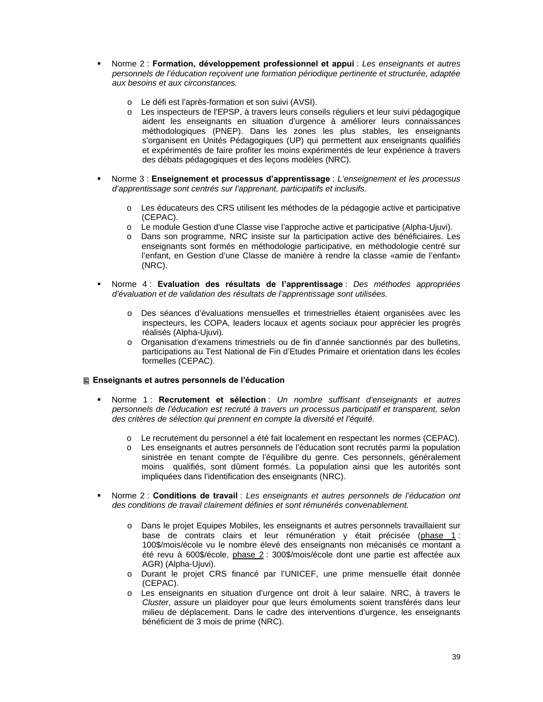- Norme 2 : **Formation, développement professionnel et appui** : *Les enseignants et autres personnels de l'éducation reçoivent une formation périodique pertinente et structurée, adaptée aux besoins et aux circonstances.* 
	- o Le défi est l'après-formation et son suivi (AVSI).
	- o Les inspecteurs de l'EPSP, à travers leurs conseils réguliers et leur suivi pédagogique aident les enseignants en situation d'urgence à améliorer leurs connaissances méthodologiques (PNEP). Dans les zones les plus stables, les enseignants s'organisent en Unités Pédagogiques (UP) qui permettent aux enseignants qualifiés et expérimentés de faire profiter les moins expérimentés de leur expérience à travers des débats pédagogiques et des leçons modèles (NRC).
- Norme 3 : **Enseignement et processus d'apprentissage** : *L'enseignement et les processus d'apprentissage sont centrés sur l'apprenant, participatifs et inclusifs.* 
	- o Les éducateurs des CRS utilisent les méthodes de la pédagogie active et participative (CEPAC).
	- o Le module Gestion d'une Classe vise l'approche active et participative (Alpha-Ujuvi).
	- o Dans son programme, NRC insiste sur la participation active des bénéficiaires. Les enseignants sont formés en méthodologie participative, en méthodologie centré sur l'enfant, en Gestion d'une Classe de manière à rendre la classe «amie de l'enfant» (NRC).
- Norme 4 : **Evaluation des résultats de l'apprentissage** : *Des méthodes appropriées d'évaluation et de validation des résultats de l'apprentissage sont utilisées.* 
	- o Des séances d'évaluations mensuelles et trimestrielles étaient organisées avec les inspecteurs, les COPA, leaders locaux et agents sociaux pour apprécier les progrès réalisés (Alpha-Ujuvi).
	- o Organisation d'examens trimestriels ou de fin d'année sanctionnés par des bulletins, participations au Test National de Fin d'Etudes Primaire et orientation dans les écoles formelles (CEPAC).

#### **Enseignants et autres personnels de l'éducation**

- Norme 1 : **Recrutement et sélection** : *Un nombre suffisant d'enseignants et autres personnels de l'éducation est recruté à travers un processus participatif et transparent, selon des critères de sélection qui prennent en compte la diversité et l'équité.* 
	- o Le recrutement du personnel a été fait localement en respectant les normes (CEPAC).
	- o Les enseignants et autres personnels de l'éducation sont recrutés parmi la population sinistrée en tenant compte de l'équilibre du genre. Ces personnels, généralement moins qualifiés, sont dûment formés. La population ainsi que les autorités sont impliquées dans l'identification des enseignants (NRC).
- Norme 2 : **Conditions de travail** : *Les enseignants et autres personnels de l'éducation ont des conditions de travail clairement définies et sont rémunérés convenablement.* 
	- o Dans le projet Equipes Mobiles, les enseignants et autres personnels travaillaient sur base de contrats clairs et leur rémunération y était précisée (phase 1 : 100\$/mois/école vu le nombre élevé des enseignants non mécanisés ce montant a été revu à 600\$/école, phase 2 : 300\$/mois/école dont une partie est affectée aux AGR) (Alpha-Ujuvi).
	- o Durant le projet CRS financé par l'UNICEF, une prime mensuelle était donnée (CEPAC).
	- o Les enseignants en situation d'urgence ont droit à leur salaire. NRC, à travers le *Cluster*, assure un plaidoyer pour que leurs émoluments soient transférés dans leur milieu de déplacement. Dans le cadre des interventions d'urgence, les enseignants bénéficient de 3 mois de prime (NRC).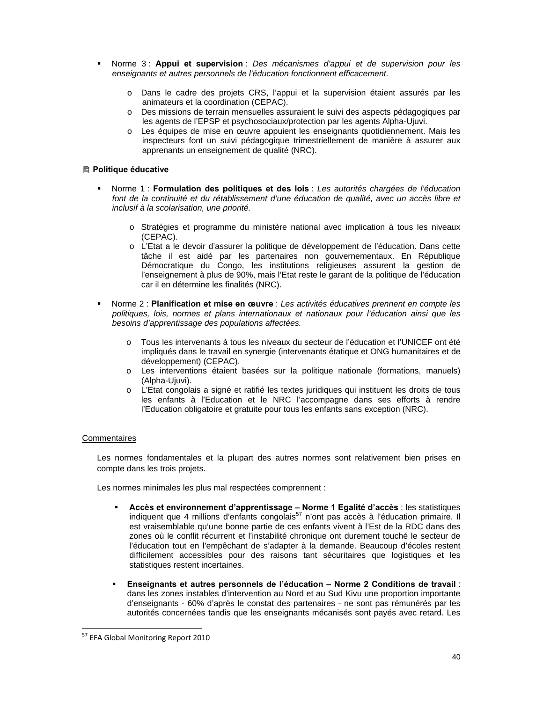- Norme 3 : **Appui et supervision** : *Des mécanismes d'appui et de supervision pour les enseignants et autres personnels de l'éducation fonctionnent efficacement.* 
	- o Dans le cadre des projets CRS, l'appui et la supervision étaient assurés par les animateurs et la coordination (CEPAC).
	- o Des missions de terrain mensuelles assuraient le suivi des aspects pédagogiques par les agents de l'EPSP et psychosociaux/protection par les agents Alpha-Ujuvi.
	- o Les équipes de mise en œuvre appuient les enseignants quotidiennement. Mais les inspecteurs font un suivi pédagogique trimestriellement de manière à assurer aux apprenants un enseignement de qualité (NRC).

#### **■ Politique éducative**

- Norme 1 : **Formulation des politiques et des lois** : *Les autorités chargées de l'éducation font de la continuité et du rétablissement d'une éducation de qualité, avec un accès libre et inclusif à la scolarisation, une priorité.* 
	- o Stratégies et programme du ministère national avec implication à tous les niveaux (CEPAC).
	- o L'Etat a le devoir d'assurer la politique de développement de l'éducation. Dans cette tâche il est aidé par les partenaires non gouvernementaux. En République Démocratique du Congo, les institutions religieuses assurent la gestion de l'enseignement à plus de 90%, mais l'Etat reste le garant de la politique de l'éducation car il en détermine les finalités (NRC).
- Norme 2 : **Planification et mise en œuvre** : *Les activités éducatives prennent en compte les politiques, lois, normes et plans internationaux et nationaux pour l'éducation ainsi que les besoins d'apprentissage des populations affectées.* 
	- o Tous les intervenants à tous les niveaux du secteur de l'éducation et l'UNICEF ont été impliqués dans le travail en synergie (intervenants étatique et ONG humanitaires et de développement) (CEPAC).
	- o Les interventions étaient basées sur la politique nationale (formations, manuels) (Alpha-Ujuvi).
	- o L'Etat congolais a signé et ratifié les textes juridiques qui instituent les droits de tous les enfants à l'Education et le NRC l'accompagne dans ses efforts à rendre l'Education obligatoire et gratuite pour tous les enfants sans exception (NRC).

#### **Commentaires**

Les normes fondamentales et la plupart des autres normes sont relativement bien prises en compte dans les trois projets.

Les normes minimales les plus mal respectées comprennent :

- **Accès et environnement d'apprentissage Norme 1 Egalité d'accès** : les statistiques indiquent que 4 millions d'enfants congolais<sup>57</sup> n'ont pas accès à l'éducation primaire. Il est vraisemblable qu'une bonne partie de ces enfants vivent à l'Est de la RDC dans des zones où le conflit récurrent et l'instabilité chronique ont durement touché le secteur de l'éducation tout en l'empêchant de s'adapter à la demande. Beaucoup d'écoles restent difficilement accessibles pour des raisons tant sécuritaires que logistiques et les statistiques restent incertaines.
- **Enseignants et autres personnels de l'éducation Norme 2 Conditions de travail** : dans les zones instables d'intervention au Nord et au Sud Kivu une proportion importante d'enseignants - 60% d'après le constat des partenaires - ne sont pas rémunérés par les autorités concernées tandis que les enseignants mécanisés sont payés avec retard. Les

 <sup>57</sup> EFA Global Monitoring Report 2010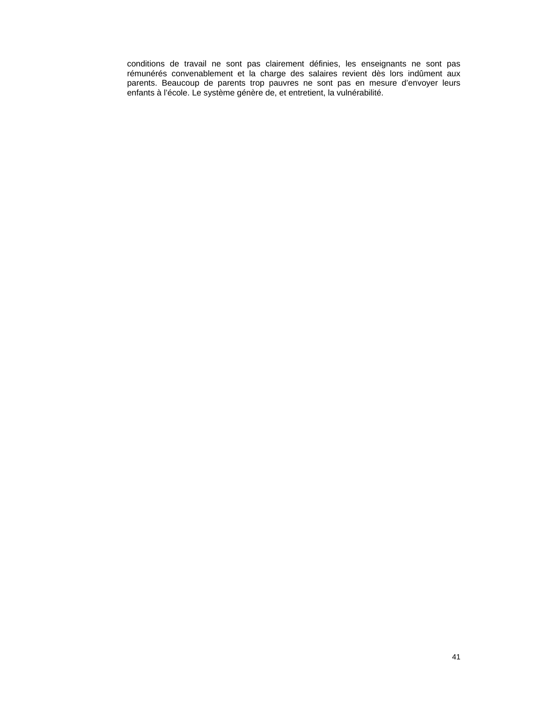conditions de travail ne sont pas clairement définies, les enseignants ne sont pas rémunérés convenablement et la charge des salaires revient dès lors indûment aux parents. Beaucoup de parents trop pauvres ne sont pas en mesure d'envoyer leurs enfants à l'école. Le système génère de, et entretient, la vulnérabilité.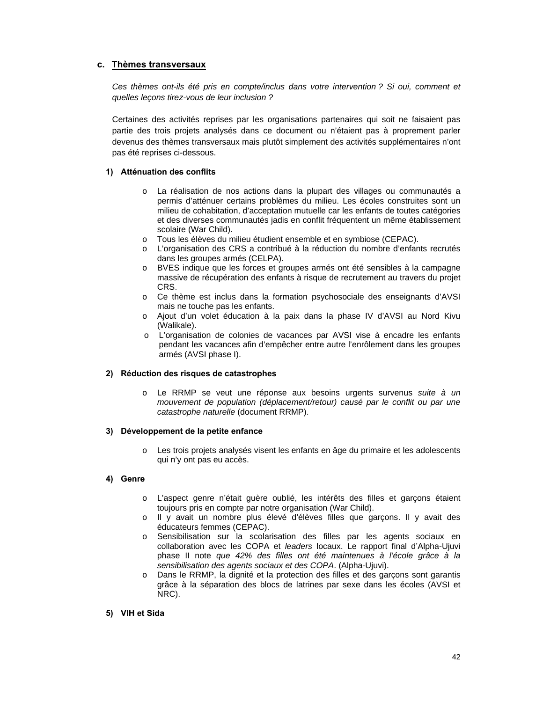### **c. Thèmes transversaux**

*Ces thèmes ont-ils été pris en compte/inclus dans votre intervention ? Si oui, comment et quelles leçons tirez-vous de leur inclusion ?* 

Certaines des activités reprises par les organisations partenaires qui soit ne faisaient pas partie des trois projets analysés dans ce document ou n'étaient pas à proprement parler devenus des thèmes transversaux mais plutôt simplement des activités supplémentaires n'ont pas été reprises ci-dessous.

#### **1) Atténuation des conflits**

- o La réalisation de nos actions dans la plupart des villages ou communautés a permis d'atténuer certains problèmes du milieu. Les écoles construites sont un milieu de cohabitation, d'acceptation mutuelle car les enfants de toutes catégories et des diverses communautés jadis en conflit fréquentent un même établissement scolaire (War Child).
- o Tous les élèves du milieu étudient ensemble et en symbiose (CEPAC).
- o L'organisation des CRS a contribué à la réduction du nombre d'enfants recrutés dans les groupes armés (CELPA).
- o BVES indique que les forces et groupes armés ont été sensibles à la campagne massive de récupération des enfants à risque de recrutement au travers du projet CRS.
- o Ce thème est inclus dans la formation psychosociale des enseignants d'AVSI mais ne touche pas les enfants.
- o Ajout d'un volet éducation à la paix dans la phase IV d'AVSI au Nord Kivu (Walikale).
- o L'organisation de colonies de vacances par AVSI vise à encadre les enfants pendant les vacances afin d'empêcher entre autre l'enrôlement dans les groupes armés (AVSI phase I).

#### **2) Réduction des risques de catastrophes**

o Le RRMP se veut une réponse aux besoins urgents survenus *suite à un mouvement de population (déplacement/retour) causé par le conflit ou par une catastrophe naturelle* (document RRMP).

#### **3) Développement de la petite enfance**

o Les trois projets analysés visent les enfants en âge du primaire et les adolescents qui n'y ont pas eu accès.

#### **4) Genre**

- o L'aspect genre n'était guère oublié, les intérêts des filles et garçons étaient toujours pris en compte par notre organisation (War Child).
- o Il y avait un nombre plus élevé d'élèves filles que garçons. Il y avait des éducateurs femmes (CEPAC).
- o Sensibilisation sur la scolarisation des filles par les agents sociaux en collaboration avec les COPA et *leaders* locaux. Le rapport final d'Alpha-Ujuvi phase II note *que 42% des filles ont été maintenues à l'école grâce à la sensibilisation des agents sociaux et des COPA*. (Alpha-Ujuvi).
- o Dans le RRMP, la dignité et la protection des filles et des garçons sont garantis grâce à la séparation des blocs de latrines par sexe dans les écoles (AVSI et NRC).
- **5) VIH et Sida**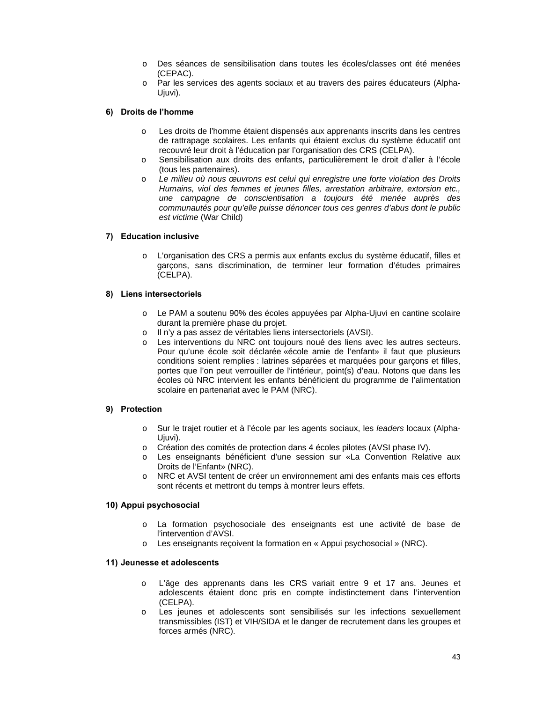- o Des séances de sensibilisation dans toutes les écoles/classes ont été menées (CEPAC).
- o Par les services des agents sociaux et au travers des paires éducateurs (Alpha-Ujuvi).

#### **6) Droits de l'homme**

- o Les droits de l'homme étaient dispensés aux apprenants inscrits dans les centres de rattrapage scolaires. Les enfants qui étaient exclus du système éducatif ont recouvré leur droit à l'éducation par l'organisation des CRS (CELPA).
- o Sensibilisation aux droits des enfants, particulièrement le droit d'aller à l'école (tous les partenaires).
- o *Le milieu où nous œuvrons est celui qui enregistre une forte violation des Droits Humains, viol des femmes et jeunes filles, arrestation arbitraire, extorsion etc., une campagne de conscientisation a toujours été menée auprès des communautés pour qu'elle puisse dénoncer tous ces genres d'abus dont le public est victime* (War Child)

#### **7) Education inclusive**

o L'organisation des CRS a permis aux enfants exclus du système éducatif, filles et garçons, sans discrimination, de terminer leur formation d'études primaires (CELPA).

#### **8) Liens intersectoriels**

- o Le PAM a soutenu 90% des écoles appuyées par Alpha-Ujuvi en cantine scolaire durant la première phase du projet.
- o Il n'y a pas assez de véritables liens intersectoriels (AVSI).
- o Les interventions du NRC ont toujours noué des liens avec les autres secteurs. Pour qu'une école soit déclarée «école amie de l'enfant» il faut que plusieurs conditions soient remplies : latrines séparées et marquées pour garçons et filles, portes que l'on peut verrouiller de l'intérieur, point(s) d'eau. Notons que dans les écoles où NRC intervient les enfants bénéficient du programme de l'alimentation scolaire en partenariat avec le PAM (NRC).

#### **9) Protection**

- o Sur le trajet routier et à l'école par les agents sociaux, les *leaders* locaux (Alpha-Ujuvi).
- o Création des comités de protection dans 4 écoles pilotes (AVSI phase IV).
- o Les enseignants bénéficient d'une session sur «La Convention Relative aux Droits de l'Enfant» (NRC).
- o NRC et AVSI tentent de créer un environnement ami des enfants mais ces efforts sont récents et mettront du temps à montrer leurs effets.

#### **10) Appui psychosocial**

- o La formation psychosociale des enseignants est une activité de base de l'intervention d'AVSI.
- o Les enseignants reçoivent la formation en « Appui psychosocial » (NRC).

#### **11) Jeunesse et adolescents**

- o L'âge des apprenants dans les CRS variait entre 9 et 17 ans. Jeunes et adolescents étaient donc pris en compte indistinctement dans l'intervention (CELPA).
- o Les jeunes et adolescents sont sensibilisés sur les infections sexuellement transmissibles (IST) et VIH/SIDA et le danger de recrutement dans les groupes et forces armés (NRC).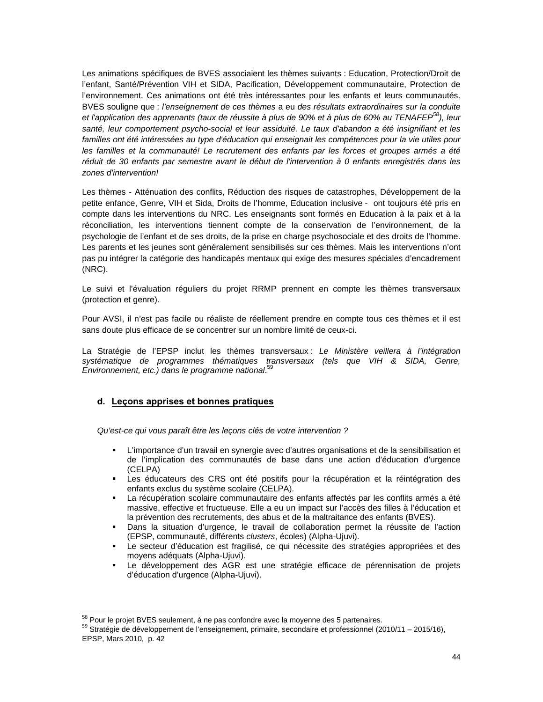Les animations spécifiques de BVES associaient les thèmes suivants : Education, Protection/Droit de l'enfant, Santé/Prévention VIH et SIDA, Pacification, Développement communautaire, Protection de l'environnement. Ces animations ont été très intéressantes pour les enfants et leurs communautés. BVES souligne que : *l'enseignement de ces thèmes* a eu *des résultats extraordinaires sur la conduite et l'application des apprenants (taux de réussite à plus de 90% et à plus de 60% au TENAFEP58), leur santé, leur comportement psycho-social et leur assiduité. Le taux d'abandon a été insignifiant et les familles ont été intéressées au type d'éducation qui enseignait les compétences pour la vie utiles pour les familles et la communauté! Le recrutement des enfants par les forces et groupes armés a été réduit de 30 enfants par semestre avant le début de l'intervention à 0 enfants enregistrés dans les zones d'intervention!* 

Les thèmes - Atténuation des conflits, Réduction des risques de catastrophes, Développement de la petite enfance, Genre, VIH et Sida, Droits de l'homme, Education inclusive - ont toujours été pris en compte dans les interventions du NRC. Les enseignants sont formés en Education à la paix et à la réconciliation, les interventions tiennent compte de la conservation de l'environnement, de la psychologie de l'enfant et de ses droits, de la prise en charge psychosociale et des droits de l'homme. Les parents et les jeunes sont généralement sensibilisés sur ces thèmes. Mais les interventions n'ont pas pu intégrer la catégorie des handicapés mentaux qui exige des mesures spéciales d'encadrement (NRC).

Le suivi et l'évaluation réguliers du projet RRMP prennent en compte les thèmes transversaux (protection et genre).

Pour AVSI, il n'est pas facile ou réaliste de réellement prendre en compte tous ces thèmes et il est sans doute plus efficace de se concentrer sur un nombre limité de ceux-ci.

La Stratégie de l'EPSP inclut les thèmes transversaux : *Le Ministère veillera à l'intégration systématique de programmes thématiques transversaux (tels que VIH & SIDA, Genre, Environnement, etc.) dans le programme national*. 59

#### **d. Leçons apprises et bonnes pratiques**

*Qu'est-ce qui vous paraît être les leçons clés de votre intervention ?* 

- L'importance d'un travail en synergie avec d'autres organisations et de la sensibilisation et de l'implication des communautés de base dans une action d'éducation d'urgence (CELPA)
- Les éducateurs des CRS ont été positifs pour la récupération et la réintégration des enfants exclus du système scolaire (CELPA).
- La récupération scolaire communautaire des enfants affectés par les conflits armés a été massive, effective et fructueuse. Elle a eu un impact sur l'accès des filles à l'éducation et la prévention des recrutements, des abus et de la maltraitance des enfants (BVES).
- Dans la situation d'urgence, le travail de collaboration permet la réussite de l'action (EPSP, communauté, différents *clusters*, écoles) (Alpha-Ujuvi).
- Le secteur d'éducation est fragilisé, ce qui nécessite des stratégies appropriées et des moyens adéquats (Alpha-Ujuvi).
- Le développement des AGR est une stratégie efficace de pérennisation de projets d'éducation d'urgence (Alpha-Ujuvi).

<sup>58</sup> Pour le projet BVES seulement, à ne pas confondre avec la moyenne des 5 partenaires.

 $59$  Stratégie de développement de l'enseignement, primaire, secondaire et professionnel (2010/11 – 2015/16), EPSP, Mars 2010, p. 42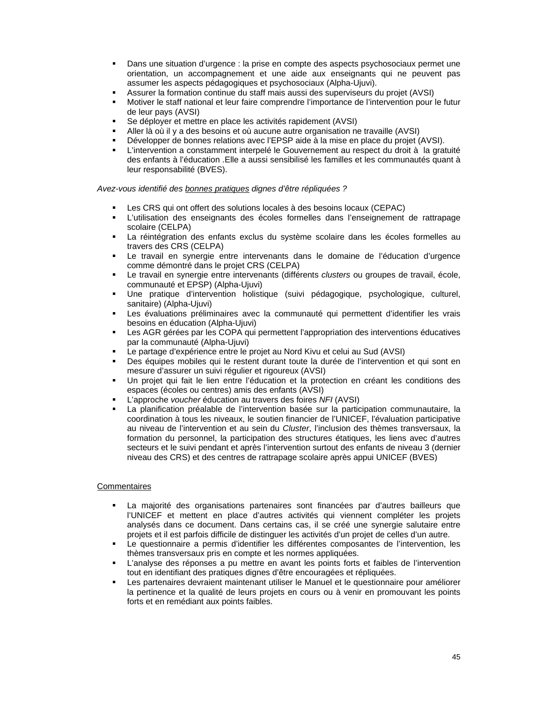- Dans une situation d'urgence : la prise en compte des aspects psychosociaux permet une orientation, un accompagnement et une aide aux enseignants qui ne peuvent pas assumer les aspects pédagogiques et psychosociaux (Alpha-Ujuvi).
- Assurer la formation continue du staff mais aussi des superviseurs du projet (AVSI)
- Motiver le staff national et leur faire comprendre l'importance de l'intervention pour le futur de leur pays (AVSI)
- Se déployer et mettre en place les activités rapidement (AVSI)
- Aller là où il y a des besoins et où aucune autre organisation ne travaille (AVSI)
- Développer de bonnes relations avec l'EPSP aide à la mise en place du projet (AVSI).
- L'intervention a constamment interpelé le Gouvernement au respect du droit à la gratuité des enfants à l'éducation .Elle a aussi sensibilisé les familles et les communautés quant à leur responsabilité (BVES).

*Avez-vous identifié des bonnes pratiques dignes d'être répliquées ?*

- Les CRS qui ont offert des solutions locales à des besoins locaux (CEPAC)
- L'utilisation des enseignants des écoles formelles dans l'enseignement de rattrapage scolaire (CELPA)
- La réintégration des enfants exclus du système scolaire dans les écoles formelles au travers des CRS (CELPA)
- Le travail en synergie entre intervenants dans le domaine de l'éducation d'urgence comme démontré dans le projet CRS (CELPA)
- Le travail en synergie entre intervenants (différents *clusters* ou groupes de travail, école, communauté et EPSP) (Alpha-Ujuvi)
- Une pratique d'intervention holistique (suivi pédagogique, psychologique, culturel, sanitaire) (Alpha-Ujuvi)
- Les évaluations préliminaires avec la communauté qui permettent d'identifier les vrais besoins en éducation (Alpha-Ujuvi)
- Les AGR gérées par les COPA qui permettent l'appropriation des interventions éducatives par la communauté (Alpha-Ujuvi)
- Le partage d'expérience entre le projet au Nord Kivu et celui au Sud (AVSI)
- Des équipes mobiles qui le restent durant toute la durée de l'intervention et qui sont en mesure d'assurer un suivi régulier et rigoureux (AVSI)
- Un projet qui fait le lien entre l'éducation et la protection en créant les conditions des espaces (écoles ou centres) amis des enfants (AVSI)
- L'approche *voucher* éducation au travers des foires *NFI* (AVSI)
- La planification préalable de l'intervention basée sur la participation communautaire, la coordination à tous les niveaux, le soutien financier de l'UNICEF, l'évaluation participative au niveau de l'intervention et au sein du *Cluster*, l'inclusion des thèmes transversaux, la formation du personnel, la participation des structures étatiques, les liens avec d'autres secteurs et le suivi pendant et après l'intervention surtout des enfants de niveau 3 (dernier niveau des CRS) et des centres de rattrapage scolaire après appui UNICEF (BVES)

#### **Commentaires**

- La majorité des organisations partenaires sont financées par d'autres bailleurs que l'UNICEF et mettent en place d'autres activités qui viennent compléter les projets analysés dans ce document. Dans certains cas, il se créé une synergie salutaire entre projets et il est parfois difficile de distinguer les activités d'un projet de celles d'un autre.
- Le questionnaire a permis d'identifier les différentes composantes de l'intervention, les thèmes transversaux pris en compte et les normes appliquées.
- L'analyse des réponses a pu mettre en avant les points forts et faibles de l'intervention tout en identifiant des pratiques dignes d'être encouragées et répliquées.
- Les partenaires devraient maintenant utiliser le Manuel et le questionnaire pour améliorer la pertinence et la qualité de leurs projets en cours ou à venir en promouvant les points forts et en remédiant aux points faibles.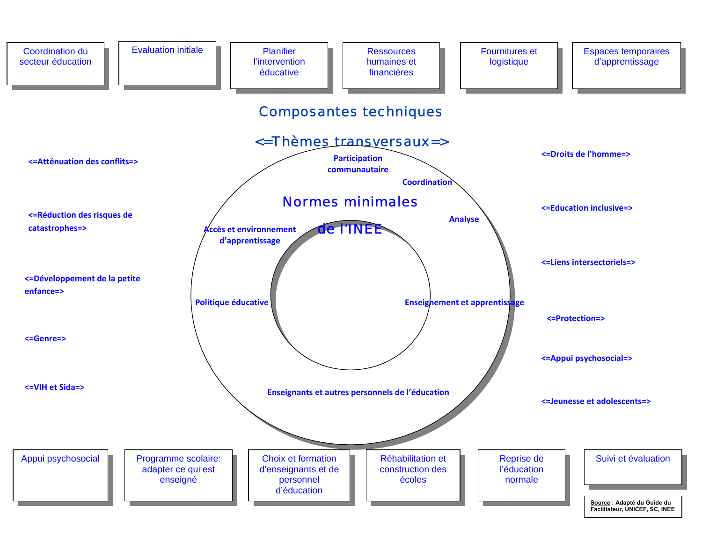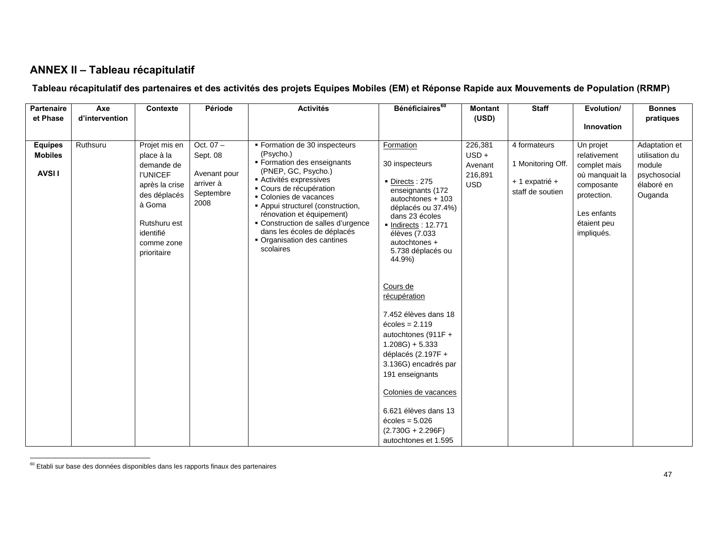## **ANNEX II – Tableau récapitulatif**

## **Tableau récapitulatif des partenaires et des activités des projets Equipes Mobiles (EM) et Réponse Rapide aux Mouvements de Population (RRMP)**

| <b>Partenaire</b> | Axe            | Contexte        | Période      | <b>Activités</b>                             | Bénéficiaires <sup>60</sup>           | <b>Montant</b> | <b>Staff</b>      | Evolution/     | <b>Bonnes</b>  |
|-------------------|----------------|-----------------|--------------|----------------------------------------------|---------------------------------------|----------------|-------------------|----------------|----------------|
| et Phase          | d'intervention |                 |              |                                              |                                       | (USD)          |                   |                | pratiques      |
|                   |                |                 |              |                                              |                                       |                |                   | Innovation     |                |
|                   |                |                 |              |                                              |                                       |                |                   |                |                |
| <b>Equipes</b>    | Ruthsuru       | Projet mis en   | Oct. $07 -$  | ■ Formation de 30 inspecteurs                | Formation                             | 226,381        | 4 formateurs      | Un projet      | Adaptation et  |
| <b>Mobiles</b>    |                | place à la      | Sept. 08     | (Psycho.)                                    |                                       | $USD +$        |                   | relativement   | utilisation du |
|                   |                | demande de      |              | • Formation des enseignants                  | 30 inspecteurs                        | Avenant        | 1 Monitoring Off. | complet mais   | module         |
| <b>AVSII</b>      |                | <b>I'UNICEF</b> | Avenant pour | (PNEP, GC, Psycho.)<br>Activités expressives |                                       | 216,891        |                   | où manquait la | psychosocial   |
|                   |                | après la crise  | arriver à    | • Cours de récupération                      | Directs: 275                          | <b>USD</b>     | + 1 expatrié +    | composante     | élaboré en     |
|                   |                | des déplacés    | Septembre    | • Colonies de vacances                       | enseignants (172<br>autochtones + 103 |                | staff de soutien  | protection.    | Ouganda        |
|                   |                | à Goma          | 2008         | • Appui structurel (construction,            | déplacés ou 37.4%)                    |                |                   |                |                |
|                   |                |                 |              | rénovation et équipement)                    | dans 23 écoles                        |                |                   | Les enfants    |                |
|                   |                | Rutshuru est    |              | • Construction de salles d'urgence           | • Indirects: 12.771                   |                |                   | étaient peu    |                |
|                   |                | identifié       |              | dans les écoles de déplacés                  | élèves (7.033                         |                |                   | impliqués.     |                |
|                   |                | comme zone      |              | • Organisation des cantines<br>scolaires     | autochtones +                         |                |                   |                |                |
|                   |                | prioritaire     |              |                                              | 5.738 déplacés ou                     |                |                   |                |                |
|                   |                |                 |              |                                              | 44.9%)                                |                |                   |                |                |
|                   |                |                 |              |                                              |                                       |                |                   |                |                |
|                   |                |                 |              |                                              | Cours de                              |                |                   |                |                |
|                   |                |                 |              |                                              | récupération                          |                |                   |                |                |
|                   |                |                 |              |                                              |                                       |                |                   |                |                |
|                   |                |                 |              |                                              | 7.452 élèves dans 18                  |                |                   |                |                |
|                   |                |                 |              |                                              | $\acute{\text{e}}$ coles = 2.119      |                |                   |                |                |
|                   |                |                 |              |                                              | autochtones (911F +                   |                |                   |                |                |
|                   |                |                 |              |                                              | $1.208G$ ) + 5.333                    |                |                   |                |                |
|                   |                |                 |              |                                              | déplacés (2.197F +                    |                |                   |                |                |
|                   |                |                 |              |                                              | 3.136G) encadrés par                  |                |                   |                |                |
|                   |                |                 |              |                                              | 191 enseignants                       |                |                   |                |                |
|                   |                |                 |              |                                              |                                       |                |                   |                |                |
|                   |                |                 |              |                                              | Colonies de vacances                  |                |                   |                |                |
|                   |                |                 |              |                                              |                                       |                |                   |                |                |
|                   |                |                 |              |                                              | 6.621 élèves dans 13                  |                |                   |                |                |
|                   |                |                 |              |                                              | $\acute{\text{e}}$ coles = 5.026      |                |                   |                |                |
|                   |                |                 |              |                                              | $(2.730G + 2.296F)$                   |                |                   |                |                |
|                   |                |                 |              |                                              | autochtones et 1.595                  |                |                   |                |                |

 $60$  Etabli sur base des données disponibles dans les rapports finaux des partenaires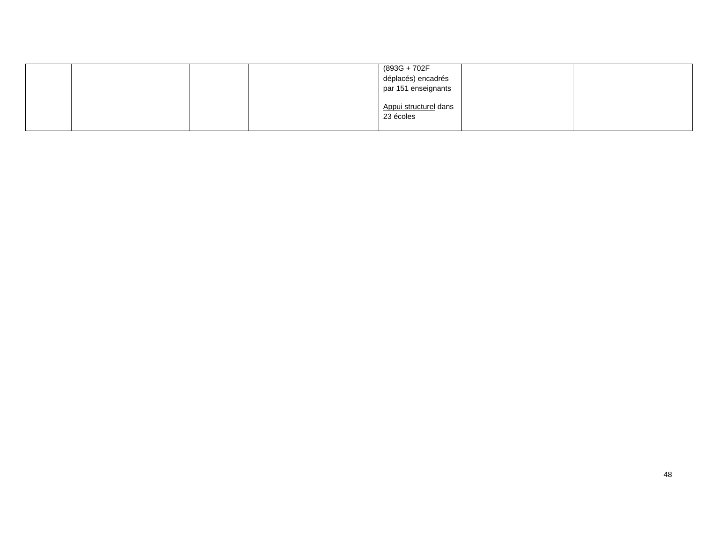|  |  | (893G + 702F          |  |  |
|--|--|-----------------------|--|--|
|  |  | déplacés) encadrés    |  |  |
|  |  | par 151 enseignants   |  |  |
|  |  |                       |  |  |
|  |  | Appui structurel dans |  |  |
|  |  | 23 écoles             |  |  |
|  |  |                       |  |  |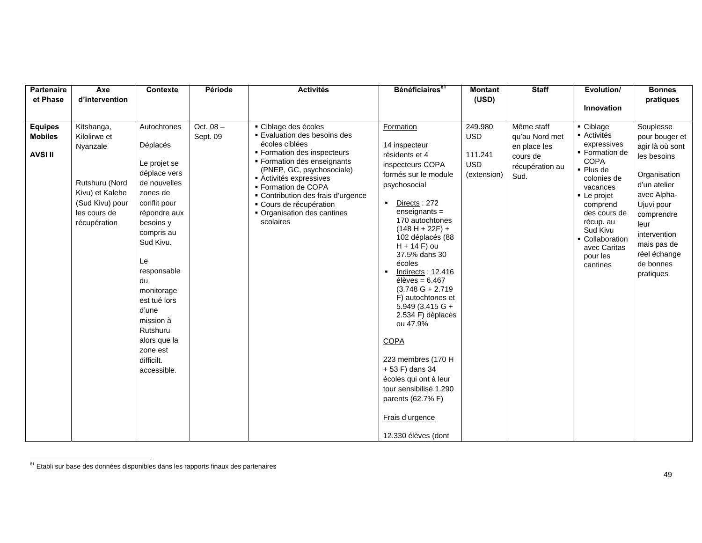| Partenaire     | Axe             | Contexte                   | Période    | <b>Activités</b>                                           | Bénéficiaires <sup>61</sup>                         | <b>Montant</b>        | <b>Staff</b>             | Evolution/                       | <b>Bonnes</b>                  |
|----------------|-----------------|----------------------------|------------|------------------------------------------------------------|-----------------------------------------------------|-----------------------|--------------------------|----------------------------------|--------------------------------|
| et Phase       | d'intervention  |                            |            |                                                            |                                                     | (USD)                 |                          | Innovation                       | pratiques                      |
|                |                 |                            |            |                                                            |                                                     |                       |                          |                                  |                                |
| <b>Equipes</b> | Kitshanga,      | Autochtones                | Oct. $08-$ | • Ciblage des écoles                                       | Formation                                           | 249.980               | Même staff               | $\overline{\phantom{a}}$ Ciblage | Souplesse                      |
| <b>Mobiles</b> | Kilolirwe et    |                            | Sept. 09   | <b>Evaluation des besoins des</b><br>écoles ciblées        |                                                     | <b>USD</b>            | qu'au Nord met           | - Activités<br>expressives       | pour bouger et                 |
| <b>AVSI II</b> | Nyanzale        | Déplacés<br>Le projet se   |            | ■ Formation des inspecteurs<br>• Formation des enseignants | 14 inspecteur<br>résidents et 4<br>inspecteurs COPA | 111.241<br><b>USD</b> | en place les<br>cours de | • Formation de<br><b>COPA</b>    | agir là où sont<br>les besoins |
|                |                 | déplace vers               |            | (PNEP, GC, psychosociale)                                  | formés sur le module                                | (extension)           | récupération au<br>Sud.  | • Plus de                        | Organisation                   |
|                | Rutshuru (Nord  | de nouvelles               |            | ■ Activités expressives<br>■ Formation de COPA             | psychosocial                                        |                       |                          | colonies de<br>vacances          | d'un atelier                   |
|                | Kivu) et Kalehe | zones de                   |            | • Contribution des frais d'urgence                         |                                                     |                       |                          | • Le projet                      | avec Alpha-                    |
|                | (Sud Kivu) pour | conflit pour               |            | • Cours de récupération                                    | Directs: 272<br>$\blacksquare$                      |                       |                          | comprend                         | Ujuvi pour                     |
|                | les cours de    | répondre aux               |            | • Organisation des cantines<br>scolaires                   | $enseignants =$<br>170 autochtones                  |                       |                          | des cours de<br>récup. au        | comprendre                     |
|                | récupération    | besoins y<br>compris au    |            |                                                            | $(148 H + 22F) +$                                   |                       |                          | Sud Kivu                         | leur                           |
|                |                 | Sud Kivu.                  |            |                                                            | 102 déplacés (88                                    |                       |                          | • Collaboration                  | intervention<br>mais pas de    |
|                |                 |                            |            |                                                            | $H + 14 F$ ) ou<br>37.5% dans 30                    |                       |                          | avec Caritas<br>pour les         | réel échange                   |
|                |                 | Le                         |            |                                                            | écoles                                              |                       |                          | cantines                         | de bonnes                      |
|                |                 | responsable                |            |                                                            | Indirects: 12.416<br>$\blacksquare$                 |                       |                          |                                  | pratiques                      |
|                |                 | du                         |            |                                                            | élèves = $6.467$<br>$(3.748 G + 2.719$              |                       |                          |                                  |                                |
|                |                 | monitorage<br>est tué lors |            |                                                            | F) autochtones et                                   |                       |                          |                                  |                                |
|                |                 | d'une                      |            |                                                            | $5.949(3.415 \text{ G} +$                           |                       |                          |                                  |                                |
|                |                 | mission à                  |            |                                                            | 2.534 F) déplacés<br>ou 47.9%                       |                       |                          |                                  |                                |
|                |                 | Rutshuru                   |            |                                                            |                                                     |                       |                          |                                  |                                |
|                |                 | alors que la               |            |                                                            | <b>COPA</b>                                         |                       |                          |                                  |                                |
|                |                 | zone est                   |            |                                                            |                                                     |                       |                          |                                  |                                |
|                |                 | difficilt.<br>accessible.  |            |                                                            | 223 membres (170 H)<br>+53 F) dans 34               |                       |                          |                                  |                                |
|                |                 |                            |            |                                                            | écoles qui ont à leur                               |                       |                          |                                  |                                |
|                |                 |                            |            |                                                            | tour sensibilisé 1.290                              |                       |                          |                                  |                                |
|                |                 |                            |            |                                                            | parents (62.7% F)                                   |                       |                          |                                  |                                |
|                |                 |                            |            |                                                            | Frais d'urgence                                     |                       |                          |                                  |                                |
|                |                 |                            |            |                                                            | 12.330 élèves (dont                                 |                       |                          |                                  |                                |

 $61$  Etabli sur base des données disponibles dans les rapports finaux des partenaires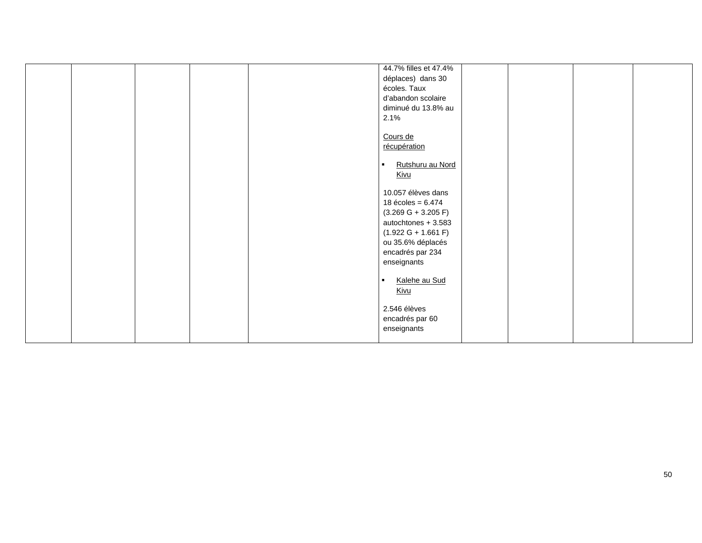|  |  | 44.7% filles et 47.4%              |  |  |
|--|--|------------------------------------|--|--|
|  |  | déplaces) dans 30                  |  |  |
|  |  | écoles. Taux                       |  |  |
|  |  | d'abandon scolaire                 |  |  |
|  |  | diminué du 13.8% au                |  |  |
|  |  |                                    |  |  |
|  |  | 2.1%                               |  |  |
|  |  |                                    |  |  |
|  |  | Cours de                           |  |  |
|  |  | récupération                       |  |  |
|  |  | Rutshuru au Nord<br>$\blacksquare$ |  |  |
|  |  |                                    |  |  |
|  |  | <u>Kivu</u>                        |  |  |
|  |  | 10.057 élèves dans                 |  |  |
|  |  | 18 écoles = $6.474$                |  |  |
|  |  |                                    |  |  |
|  |  | $(3.269 G + 3.205 F)$              |  |  |
|  |  | autochtones + 3.583                |  |  |
|  |  | $(1.922 G + 1.661 F)$              |  |  |
|  |  | ou 35.6% déplacés                  |  |  |
|  |  | encadrés par 234                   |  |  |
|  |  | enseignants                        |  |  |
|  |  |                                    |  |  |
|  |  | Kalehe au Sud<br>$\blacksquare$    |  |  |
|  |  | <b>Kivu</b>                        |  |  |
|  |  |                                    |  |  |
|  |  | 2.546 élèves                       |  |  |
|  |  | encadrés par 60                    |  |  |
|  |  | enseignants                        |  |  |
|  |  |                                    |  |  |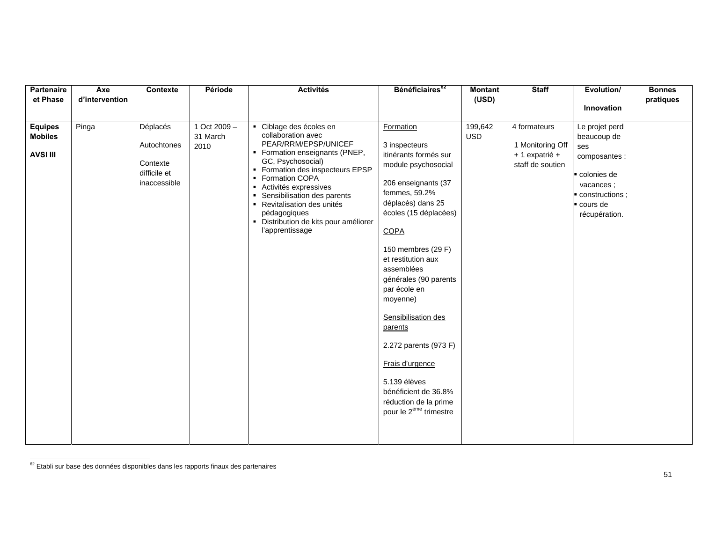| Partenaire<br>et Phase                              | Axe<br>d'intervention | Contexte                                                            | Période                            | <b>Activités</b>                                                                                                                                                                                                                                                                                                                                        | Bénéficiaires <sup>62</sup>                                                                                                                                                                                                                                                                                                                                                                                                                                                  | <b>Montant</b><br>(USD) | <b>Staff</b>                                                           | Evolution/                                                                                                                       | <b>Bonnes</b><br>pratiques |
|-----------------------------------------------------|-----------------------|---------------------------------------------------------------------|------------------------------------|---------------------------------------------------------------------------------------------------------------------------------------------------------------------------------------------------------------------------------------------------------------------------------------------------------------------------------------------------------|------------------------------------------------------------------------------------------------------------------------------------------------------------------------------------------------------------------------------------------------------------------------------------------------------------------------------------------------------------------------------------------------------------------------------------------------------------------------------|-------------------------|------------------------------------------------------------------------|----------------------------------------------------------------------------------------------------------------------------------|----------------------------|
|                                                     |                       |                                                                     |                                    |                                                                                                                                                                                                                                                                                                                                                         |                                                                                                                                                                                                                                                                                                                                                                                                                                                                              |                         |                                                                        | Innovation                                                                                                                       |                            |
| <b>Equipes</b><br><b>Mobiles</b><br><b>AVSI III</b> | Pinga                 | Déplacés<br>Autochtones<br>Contexte<br>difficile et<br>inaccessible | 1 Oct $2009 -$<br>31 March<br>2010 | • Ciblage des écoles en<br>collaboration avec<br>PEAR/RRM/EPSP/UNICEF<br>• Formation enseignants (PNEP,<br>GC, Psychosocial)<br>• Formation des inspecteurs EPSP<br>• Formation COPA<br>Activités expressives<br>Sensibilisation des parents<br>• Revitalisation des unités<br>pédagogiques<br>· Distribution de kits pour améliorer<br>l'apprentissage | Formation<br>3 inspecteurs<br>itinérants formés sur<br>module psychosocial<br>206 enseignants (37<br>femmes, 59.2%<br>déplacés) dans 25<br>écoles (15 déplacées)<br>COPA<br>150 membres (29 F)<br>et restitution aux<br>assemblées<br>générales (90 parents<br>par école en<br>moyenne)<br>Sensibilisation des<br>parents<br>2.272 parents (973 F)<br>Frais d'urgence<br>5.139 élèves<br>bénéficient de 36.8%<br>réduction de la prime<br>pour le 2 <sup>ème</sup> trimestre | 199,642<br><b>USD</b>   | 4 formateurs<br>1 Monitoring Off<br>+ 1 expatrié +<br>staff de soutien | Le projet perd<br>beaucoup de<br>ses<br>composantes :<br>colonies de<br>vacances;<br>constructions;<br>cours de<br>récupération. |                            |

 $62$  Etabli sur base des données disponibles dans les rapports finaux des partenaires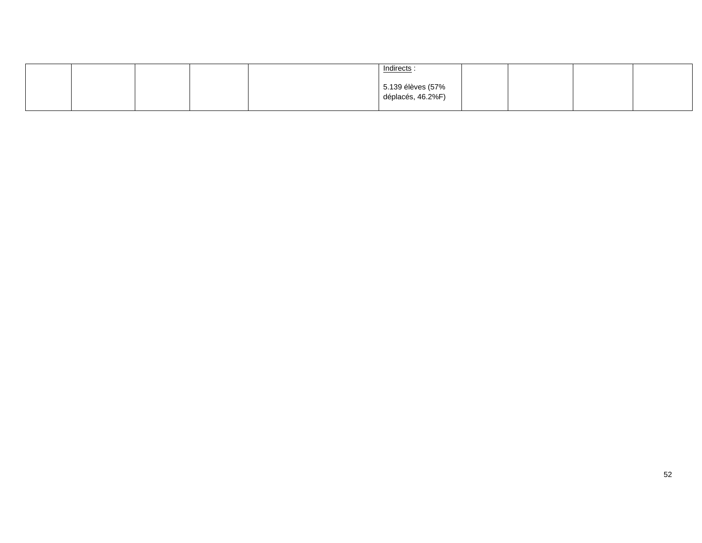|  | Indirects:                             |  |  |
|--|----------------------------------------|--|--|
|  | 5.139 élèves (57%<br>déplacés, 46.2%F) |  |  |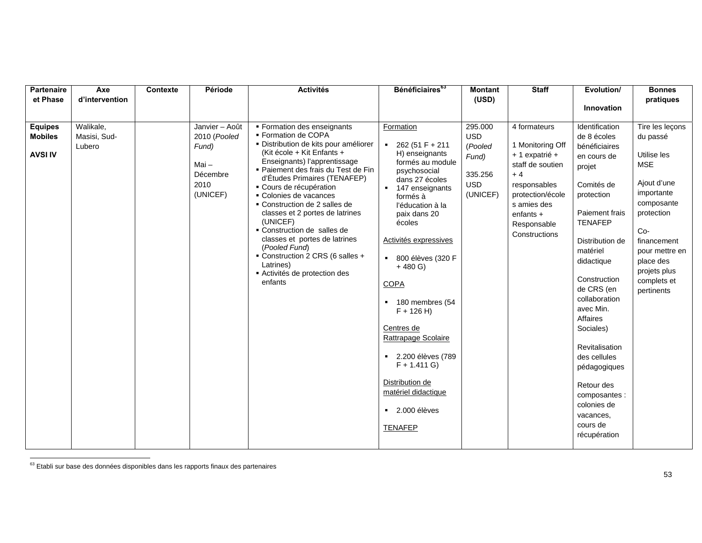| <b>Partenaire</b><br>et Phase                      | Axe<br>d'intervention               | Contexte | Période                                                                            | <b>Activités</b>                                                                                                                                                                                                                                                                                                                                                                                                                                                                                                                              | Bénéficiaires <sup>63</sup>                                                                                                                                                                                                                                                                                                                                                                                                                                     | <b>Montant</b><br>(USD)                                                        | <b>Staff</b>                                                                                                                                                                   | Evolution/                                                                                                                                                                                                                                                                                                                                                                                                         | <b>Bonnes</b><br>pratiques                                                                                                                                                                                            |
|----------------------------------------------------|-------------------------------------|----------|------------------------------------------------------------------------------------|-----------------------------------------------------------------------------------------------------------------------------------------------------------------------------------------------------------------------------------------------------------------------------------------------------------------------------------------------------------------------------------------------------------------------------------------------------------------------------------------------------------------------------------------------|-----------------------------------------------------------------------------------------------------------------------------------------------------------------------------------------------------------------------------------------------------------------------------------------------------------------------------------------------------------------------------------------------------------------------------------------------------------------|--------------------------------------------------------------------------------|--------------------------------------------------------------------------------------------------------------------------------------------------------------------------------|--------------------------------------------------------------------------------------------------------------------------------------------------------------------------------------------------------------------------------------------------------------------------------------------------------------------------------------------------------------------------------------------------------------------|-----------------------------------------------------------------------------------------------------------------------------------------------------------------------------------------------------------------------|
|                                                    |                                     |          |                                                                                    |                                                                                                                                                                                                                                                                                                                                                                                                                                                                                                                                               |                                                                                                                                                                                                                                                                                                                                                                                                                                                                 |                                                                                |                                                                                                                                                                                | Innovation                                                                                                                                                                                                                                                                                                                                                                                                         |                                                                                                                                                                                                                       |
| <b>Equipes</b><br><b>Mobiles</b><br><b>AVSI IV</b> | Walikale,<br>Masisi, Sud-<br>Lubero |          | Janvier - Août<br>2010 (Pooled<br>Fund)<br>$Mai -$<br>Décembre<br>2010<br>(UNICEF) | Formation des enseignants<br>• Formation de COPA<br>· Distribution de kits pour améliorer<br>(Kit école + Kit Enfants +<br>Enseignants) l'apprentissage<br>■ Paiement des frais du Test de Fin<br>d'Études Primaires (TENAFEP)<br>• Cours de récupération<br>• Colonies de vacances<br>• Construction de 2 salles de<br>classes et 2 portes de latrines<br>(UNICEF)<br>• Construction de salles de<br>classes et portes de latrines<br>(Pooled Fund)<br>Construction 2 CRS (6 salles +<br>Latrines)<br>Activités de protection des<br>enfants | Formation<br>$-262(51 F + 211$<br>H) enseignants<br>formés au module<br>psychosocial<br>dans 27 écoles<br>■ 147 enseignants<br>formés à<br>l'éducation à la<br>paix dans 20<br>écoles<br>Activités expressives<br>■ 800 élèves (320 F<br>$+480$ G)<br><b>COPA</b><br>180 membres (54<br>$F + 126 H$<br>Centres de<br>Rattrapage Scolaire<br>■ 2.200 élèves (789<br>$F + 1.411 G$<br>Distribution de<br>matériel didactique<br>$-2.000$ élèves<br><b>TENAFEP</b> | 295.000<br><b>USD</b><br>(Pooled<br>Fund)<br>335.256<br><b>USD</b><br>(UNICEF) | 4 formateurs<br>1 Monitoring Off<br>+ 1 expatrié +<br>staff de soutien<br>$+4$<br>responsables<br>protection/école<br>s amies des<br>enfants +<br>Responsable<br>Constructions | Identification<br>de 8 écoles<br>bénéficiaires<br>en cours de<br>projet<br>Comités de<br>protection<br>Paiement frais<br><b>TENAFEP</b><br>Distribution de<br>matériel<br>didactique<br>Construction<br>de CRS (en<br>collaboration<br>avec Min.<br>Affaires<br>Sociales)<br>Revitalisation<br>des cellules<br>pédagogiques<br>Retour des<br>composantes :<br>colonies de<br>vacances,<br>cours de<br>récupération | Tire les leçons<br>du passé<br>Utilise les<br><b>MSE</b><br>Ajout d'une<br>importante<br>composante<br>protection<br>$Co-$<br>financement<br>pour mettre en<br>place des<br>projets plus<br>complets et<br>pertinents |

 $63$  Etabli sur base des données disponibles dans les rapports finaux des partenaires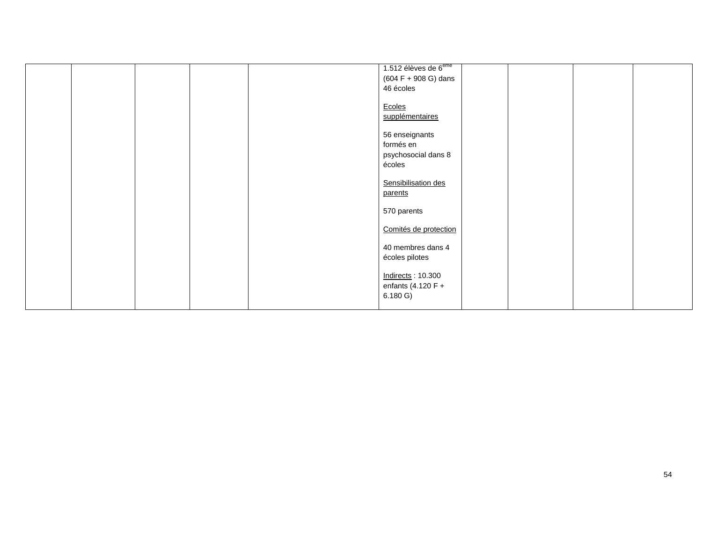|  |  | 1.512 élèves de 6 <sup>ème</sup> |  |  |
|--|--|----------------------------------|--|--|
|  |  | $(604 F + 908 G)$ dans           |  |  |
|  |  | 46 écoles                        |  |  |
|  |  |                                  |  |  |
|  |  | Ecoles                           |  |  |
|  |  | supplémentaires                  |  |  |
|  |  | 56 enseignants                   |  |  |
|  |  | formés en                        |  |  |
|  |  | psychosocial dans 8              |  |  |
|  |  | écoles                           |  |  |
|  |  |                                  |  |  |
|  |  | Sensibilisation des              |  |  |
|  |  | parents                          |  |  |
|  |  |                                  |  |  |
|  |  | 570 parents                      |  |  |
|  |  |                                  |  |  |
|  |  | Comités de protection            |  |  |
|  |  | 40 membres dans 4                |  |  |
|  |  | écoles pilotes                   |  |  |
|  |  |                                  |  |  |
|  |  | Indirects: 10.300                |  |  |
|  |  | enfants (4.120 $F +$             |  |  |
|  |  | 6.180 G)                         |  |  |
|  |  |                                  |  |  |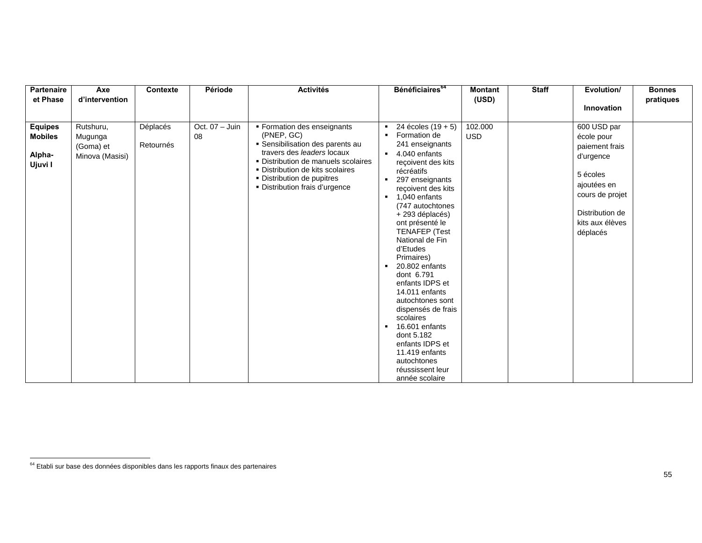| <b>Partenaire</b><br>et Phase                         | Axe<br>d'intervention                                | Contexte              | Période                | <b>Activités</b>                                                                                                                                                                                                                                       | Bénéficiaires <sup>64</sup>                                                                                                                                                                                                                                                                                                                                                                                                                                                                                                                                                                                                       | <b>Montant</b><br>(USD) | <b>Staff</b> | Evolution/                                                                                                                                               | <b>Bonnes</b><br>pratiques |
|-------------------------------------------------------|------------------------------------------------------|-----------------------|------------------------|--------------------------------------------------------------------------------------------------------------------------------------------------------------------------------------------------------------------------------------------------------|-----------------------------------------------------------------------------------------------------------------------------------------------------------------------------------------------------------------------------------------------------------------------------------------------------------------------------------------------------------------------------------------------------------------------------------------------------------------------------------------------------------------------------------------------------------------------------------------------------------------------------------|-------------------------|--------------|----------------------------------------------------------------------------------------------------------------------------------------------------------|----------------------------|
|                                                       |                                                      |                       |                        |                                                                                                                                                                                                                                                        |                                                                                                                                                                                                                                                                                                                                                                                                                                                                                                                                                                                                                                   |                         |              | Innovation                                                                                                                                               |                            |
| <b>Equipes</b><br><b>Mobiles</b><br>Alpha-<br>Ujuvi I | Rutshuru,<br>Mugunga<br>(Goma) et<br>Minova (Masisi) | Déplacés<br>Retournés | Oct. $07 -$ Juin<br>08 | • Formation des enseignants<br>(PNEP, GC)<br>• Sensibilisation des parents au<br>travers des leaders locaux<br>• Distribution de manuels scolaires<br>• Distribution de kits scolaires<br>• Distribution de pupitres<br>• Distribution frais d'urgence | 24 écoles (19 + 5)<br>Formation de<br>241 enseignants<br>4.040 enfants<br>$\blacksquare$<br>reçoivent des kits<br>récréatifs<br>297 enseignants<br>$\blacksquare$<br>recoivent des kits<br>1,040 enfants<br>(747 autochtones<br>+ 293 déplacés)<br>ont présenté le<br><b>TENAFEP (Test</b><br>National de Fin<br>d'Etudes<br>Primaires)<br>20.802 enfants<br>$\blacksquare$<br>dont 6.791<br>enfants IDPS et<br>14.011 enfants<br>autochtones sont<br>dispensés de frais<br>scolaires<br>16.601 enfants<br>$\blacksquare$<br>dont 5.182<br>enfants IDPS et<br>11.419 enfants<br>autochtones<br>réussissent leur<br>année scolaire | 102.000<br><b>USD</b>   |              | 600 USD par<br>école pour<br>paiement frais<br>d'urgence<br>5 écoles<br>ajoutées en<br>cours de projet<br>Distribution de<br>kits aux élèves<br>déplacés |                            |

 $^{64}$  Etabli sur base des données disponibles dans les rapports finaux des partenaires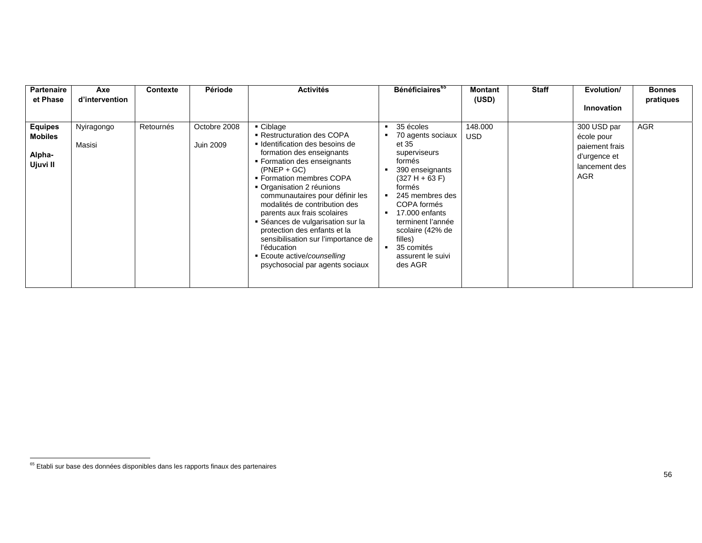| <b>Partenaire</b><br>et Phase                          | Axe<br>d'intervention | Contexte  | Période                          | <b>Activités</b>                                                                                                                                                                                                                                                                                                                                                                                                                                                                                                 | Bénéficiaires <sup>65</sup>                                                                                                                                                                                                                                                                | <b>Montant</b><br>(USD) | <b>Staff</b> | Evolution/                                                                                 | <b>Bonnes</b><br>pratiques |
|--------------------------------------------------------|-----------------------|-----------|----------------------------------|------------------------------------------------------------------------------------------------------------------------------------------------------------------------------------------------------------------------------------------------------------------------------------------------------------------------------------------------------------------------------------------------------------------------------------------------------------------------------------------------------------------|--------------------------------------------------------------------------------------------------------------------------------------------------------------------------------------------------------------------------------------------------------------------------------------------|-------------------------|--------------|--------------------------------------------------------------------------------------------|----------------------------|
|                                                        |                       |           |                                  |                                                                                                                                                                                                                                                                                                                                                                                                                                                                                                                  |                                                                                                                                                                                                                                                                                            |                         |              | <b>Innovation</b>                                                                          |                            |
| <b>Equipes</b><br><b>Mobiles</b><br>Alpha-<br>Ujuvi II | Nyiragongo<br>Masisi  | Retournés | Octobre 2008<br><b>Juin 2009</b> | • Ciblage<br>■ Restructuration des COPA<br>■ Identification des besoins de<br>formation des enseignants<br>• Formation des enseignants<br>$(PNEP + GC)$<br>• Formation membres COPA<br>• Organisation 2 réunions<br>communautaires pour définir les<br>modalités de contribution des<br>parents aux frais scolaires<br>• Séances de vulgarisation sur la<br>protection des enfants et la<br>sensibilisation sur l'importance de<br>l'éducation<br>■ Ecoute active/counselling<br>psychosocial par agents sociaux | 35 écoles<br>70 agents sociaux<br>et 35<br>superviseurs<br>formés<br>390 enseignants<br>$(327 H + 63 F)$<br>formés<br>245 membres des<br>COPA formés<br>17.000 enfants<br>$\blacksquare$<br>terminent l'année<br>scolaire (42% de<br>filles)<br>35 comités<br>assurent le suivi<br>des AGR | 148.000<br><b>USD</b>   |              | 300 USD par<br>école pour<br>paiement frais<br>d'urgence et<br>lancement des<br><b>AGR</b> | <b>AGR</b>                 |

 $<sup>65</sup>$  Etabli sur base des données disponibles dans les rapports finaux des partenaires</sup>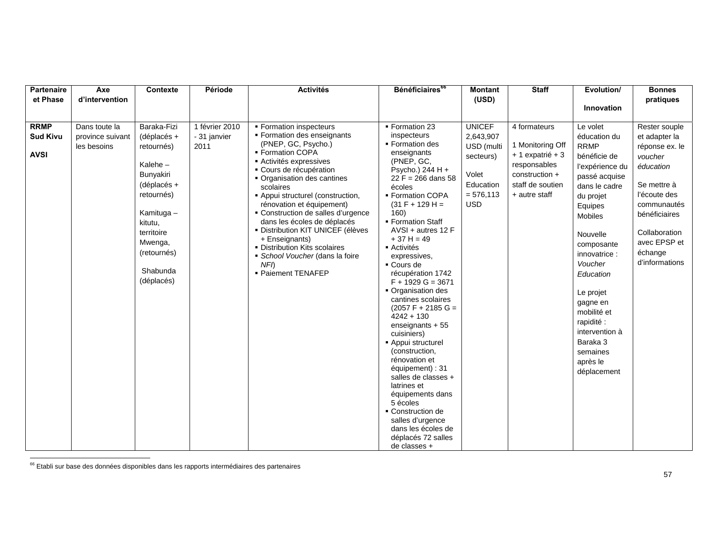| Partenaire                                    | Axe                                              | Contexte                                                                                                                                                                                      | Période                                | <b>Activités</b>                                                                                                                                                                                                                                                                                                                                                                                                                                                                               | Bénéficiaires <sup>66</sup>                                                                                                                                                                                                                                                                                                                                                                                                                                                                                                                                                                          | <b>Montant</b>                                                                                           | <b>Staff</b>                                                                                                                | Evolution/                                                                                                                                                                                                                                                                                                                                   | <b>Bonnes</b>                                                                                                                                                                                         |
|-----------------------------------------------|--------------------------------------------------|-----------------------------------------------------------------------------------------------------------------------------------------------------------------------------------------------|----------------------------------------|------------------------------------------------------------------------------------------------------------------------------------------------------------------------------------------------------------------------------------------------------------------------------------------------------------------------------------------------------------------------------------------------------------------------------------------------------------------------------------------------|------------------------------------------------------------------------------------------------------------------------------------------------------------------------------------------------------------------------------------------------------------------------------------------------------------------------------------------------------------------------------------------------------------------------------------------------------------------------------------------------------------------------------------------------------------------------------------------------------|----------------------------------------------------------------------------------------------------------|-----------------------------------------------------------------------------------------------------------------------------|----------------------------------------------------------------------------------------------------------------------------------------------------------------------------------------------------------------------------------------------------------------------------------------------------------------------------------------------|-------------------------------------------------------------------------------------------------------------------------------------------------------------------------------------------------------|
| et Phase                                      | d'intervention                                   |                                                                                                                                                                                               |                                        |                                                                                                                                                                                                                                                                                                                                                                                                                                                                                                |                                                                                                                                                                                                                                                                                                                                                                                                                                                                                                                                                                                                      | (USD)                                                                                                    |                                                                                                                             |                                                                                                                                                                                                                                                                                                                                              | pratiques                                                                                                                                                                                             |
|                                               |                                                  |                                                                                                                                                                                               |                                        |                                                                                                                                                                                                                                                                                                                                                                                                                                                                                                |                                                                                                                                                                                                                                                                                                                                                                                                                                                                                                                                                                                                      |                                                                                                          |                                                                                                                             | Innovation                                                                                                                                                                                                                                                                                                                                   |                                                                                                                                                                                                       |
|                                               |                                                  |                                                                                                                                                                                               |                                        |                                                                                                                                                                                                                                                                                                                                                                                                                                                                                                |                                                                                                                                                                                                                                                                                                                                                                                                                                                                                                                                                                                                      |                                                                                                          |                                                                                                                             |                                                                                                                                                                                                                                                                                                                                              |                                                                                                                                                                                                       |
|                                               |                                                  |                                                                                                                                                                                               |                                        |                                                                                                                                                                                                                                                                                                                                                                                                                                                                                                |                                                                                                                                                                                                                                                                                                                                                                                                                                                                                                                                                                                                      |                                                                                                          |                                                                                                                             |                                                                                                                                                                                                                                                                                                                                              |                                                                                                                                                                                                       |
|                                               |                                                  |                                                                                                                                                                                               |                                        |                                                                                                                                                                                                                                                                                                                                                                                                                                                                                                |                                                                                                                                                                                                                                                                                                                                                                                                                                                                                                                                                                                                      |                                                                                                          |                                                                                                                             |                                                                                                                                                                                                                                                                                                                                              |                                                                                                                                                                                                       |
| <b>RRMP</b><br><b>Sud Kivu</b><br><b>AVSI</b> | Dans toute la<br>province suivant<br>les besoins | Baraka-Fizi<br>(déplacés +<br>retournés)<br>Kalehe $-$<br>Bunyakiri<br>$(déplacés +$<br>retournés)<br>Kamituga -<br>kitutu.<br>territoire<br>Mwenga,<br>(retournés)<br>Shabunda<br>(déplacés) | 1 février 2010<br>- 31 janvier<br>2011 | ■ Formation inspecteurs<br>• Formation des enseignants<br>(PNEP, GC, Psycho.)<br>• Formation COPA<br>Activités expressives<br>• Cours de récupération<br>• Organisation des cantines<br>scolaires<br>- Appui structurel (construction,<br>rénovation et équipement)<br>• Construction de salles d'urgence<br>dans les écoles de déplacés<br>· Distribution KIT UNICEF (élèves<br>+ Enseignants)<br>• Distribution Kits scolaires<br>School Voucher (dans la foire<br>NFD<br>· Paiement TENAFEP | • Formation 23<br>inspecteurs<br>• Formation des<br>enseignants<br>(PNEP, GC,<br>Psycho.) 244 H +<br>$22 F = 266$ dans 58<br>écoles<br>• Formation COPA<br>$(31 F + 129 H =$<br>160)<br>• Formation Staff<br>AVSI + autres 12 F<br>$+37 H = 49$<br>■ Activités<br>expressives,<br>• Cours de<br>récupération 1742<br>$F + 1929 G = 3671$<br>Organisation des<br>cantines scolaires<br>$(2057 F + 2185 G =$<br>$4242 + 130$<br>enseignants + 55<br>cuisiniers)<br>- Appui structurel<br>(construction,<br>rénovation et<br>équipement) : 31<br>salles de classes +<br>latrines et<br>équipements dans | <b>UNICEF</b><br>2,643,907<br>USD (multi<br>secteurs)<br>Volet<br>Education<br>$= 576,113$<br><b>USD</b> | 4 formateurs<br>1 Monitoring Off<br>+ 1 expatrié + 3<br>responsables<br>construction +<br>staff de soutien<br>+ autre staff | Le volet<br>éducation du<br><b>RRMP</b><br>bénéficie de<br>l'expérience du<br>passé acquise<br>dans le cadre<br>du projet<br>Equipes<br>Mobiles<br>Nouvelle<br>composante<br>innovatrice:<br>Voucher<br>Education<br>Le projet<br>gagne en<br>mobilité et<br>rapidité :<br>intervention à<br>Baraka 3<br>semaines<br>après le<br>déplacement | Rester souple<br>et adapter la<br>réponse ex. le<br>voucher<br>éducation<br>Se mettre à<br>l'écoute des<br>communautés<br>bénéficiaires<br>Collaboration<br>avec EPSP et<br>échange<br>d'informations |
|                                               |                                                  |                                                                                                                                                                                               |                                        |                                                                                                                                                                                                                                                                                                                                                                                                                                                                                                | 5 écoles<br>• Construction de<br>salles d'urgence                                                                                                                                                                                                                                                                                                                                                                                                                                                                                                                                                    |                                                                                                          |                                                                                                                             |                                                                                                                                                                                                                                                                                                                                              |                                                                                                                                                                                                       |
|                                               |                                                  |                                                                                                                                                                                               |                                        |                                                                                                                                                                                                                                                                                                                                                                                                                                                                                                | dans les écoles de                                                                                                                                                                                                                                                                                                                                                                                                                                                                                                                                                                                   |                                                                                                          |                                                                                                                             |                                                                                                                                                                                                                                                                                                                                              |                                                                                                                                                                                                       |
|                                               |                                                  |                                                                                                                                                                                               |                                        |                                                                                                                                                                                                                                                                                                                                                                                                                                                                                                | déplacés 72 salles                                                                                                                                                                                                                                                                                                                                                                                                                                                                                                                                                                                   |                                                                                                          |                                                                                                                             |                                                                                                                                                                                                                                                                                                                                              |                                                                                                                                                                                                       |
|                                               |                                                  |                                                                                                                                                                                               |                                        |                                                                                                                                                                                                                                                                                                                                                                                                                                                                                                | de classes +                                                                                                                                                                                                                                                                                                                                                                                                                                                                                                                                                                                         |                                                                                                          |                                                                                                                             |                                                                                                                                                                                                                                                                                                                                              |                                                                                                                                                                                                       |

 $<sup>66</sup>$  Etabli sur base des données disponibles dans les rapports intermédiaires des partenaires</sup>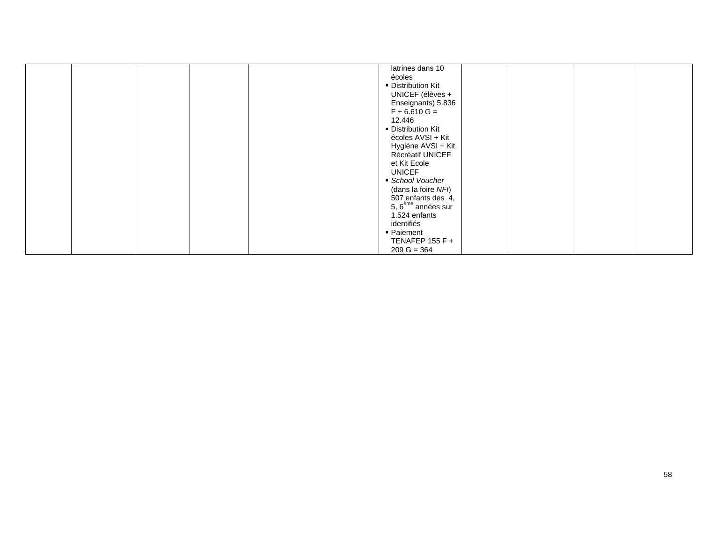|  | latrines dans 10               |  |  |
|--|--------------------------------|--|--|
|  |                                |  |  |
|  | écoles                         |  |  |
|  | • Distribution Kit             |  |  |
|  | UNICEF (élèves +               |  |  |
|  | Enseignants) 5.836             |  |  |
|  | $F + 6.610 G =$                |  |  |
|  | 12.446                         |  |  |
|  | Distribution Kit               |  |  |
|  | écoles AVSI + Kit              |  |  |
|  |                                |  |  |
|  | Hygiène AVSI + Kit             |  |  |
|  | Récréatif UNICEF               |  |  |
|  | et Kit Ecole                   |  |  |
|  | <b>UNICEF</b>                  |  |  |
|  | School Voucher                 |  |  |
|  | (dans la foire NFI)            |  |  |
|  | 507 enfants des 4,             |  |  |
|  | 5, 6 <sup>ème</sup> années sur |  |  |
|  |                                |  |  |
|  | 1.524 enfants                  |  |  |
|  | identifiés                     |  |  |
|  | ■ Paiement                     |  |  |
|  | TENAFEP 155 F $+$              |  |  |
|  | $209 G = 364$                  |  |  |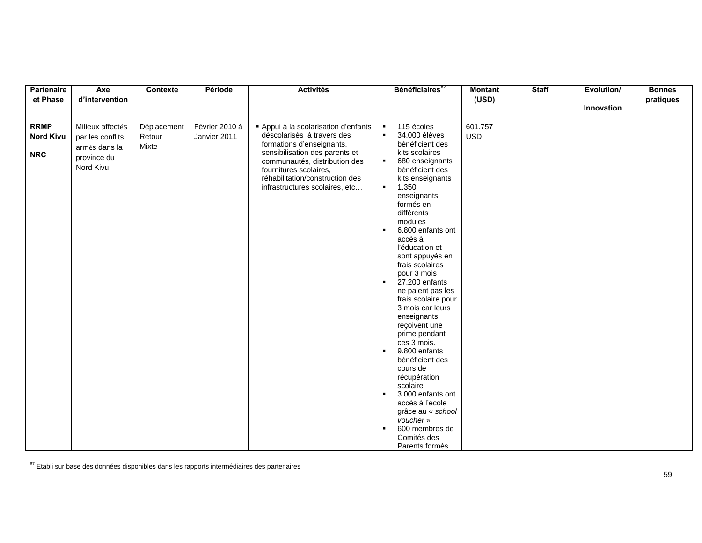| Partenaire       | Axe                                       | Contexte    | Période        | <b>Activités</b>                                                                                                                                                                            |                                                                 | Bénéficiaires <sup>67</sup>                                                                                                                                                                                                                                                                                                                                                                                                                                                                    | <b>Montant</b> | <b>Staff</b> | Evolution/ | <b>Bonnes</b> |
|------------------|-------------------------------------------|-------------|----------------|---------------------------------------------------------------------------------------------------------------------------------------------------------------------------------------------|-----------------------------------------------------------------|------------------------------------------------------------------------------------------------------------------------------------------------------------------------------------------------------------------------------------------------------------------------------------------------------------------------------------------------------------------------------------------------------------------------------------------------------------------------------------------------|----------------|--------------|------------|---------------|
| et Phase         | d'intervention                            |             |                |                                                                                                                                                                                             |                                                                 |                                                                                                                                                                                                                                                                                                                                                                                                                                                                                                | (USD)          |              | Innovation | pratiques     |
|                  |                                           |             |                |                                                                                                                                                                                             |                                                                 |                                                                                                                                                                                                                                                                                                                                                                                                                                                                                                |                |              |            |               |
| <b>RRMP</b>      | Milieux affectés                          | Déplacement | Février 2010 à | Appui à la scolarisation d'enfants                                                                                                                                                          | $\blacksquare$                                                  | 115 écoles                                                                                                                                                                                                                                                                                                                                                                                                                                                                                     | 601.757        |              |            |               |
| <b>Nord Kivu</b> | par les conflits                          | Retour      | Janvier 2011   | déscolarisés à travers des                                                                                                                                                                  | $\blacksquare$                                                  | 34.000 élèves                                                                                                                                                                                                                                                                                                                                                                                                                                                                                  | <b>USD</b>     |              |            |               |
| <b>NRC</b>       | armés dans la<br>province du<br>Nord Kivu | Mixte       |                | formations d'enseignants,<br>sensibilisation des parents et<br>communautés, distribution des<br>fournitures scolaires,<br>réhabilitation/construction des<br>infrastructures scolaires, etc | $\blacksquare$<br>$\bullet$<br>$\blacksquare$<br>$\blacksquare$ | bénéficient des<br>kits scolaires<br>680 enseignants<br>bénéficient des<br>kits enseignants<br>1.350<br>enseignants<br>formés en<br>différents<br>modules<br>6.800 enfants ont<br>accès à<br>l'éducation et<br>sont appuyés en<br>frais scolaires<br>pour 3 mois<br>27.200 enfants<br>ne paient pas les<br>frais scolaire pour<br>3 mois car leurs<br>enseignants<br>reçoivent une<br>prime pendant<br>ces 3 mois.<br>9.800 enfants<br>bénéficient des<br>cours de<br>récupération<br>scolaire |                |              |            |               |
|                  |                                           |             |                |                                                                                                                                                                                             | $\blacksquare$                                                  | 3.000 enfants ont<br>accès à l'école<br>grâce au « school                                                                                                                                                                                                                                                                                                                                                                                                                                      |                |              |            |               |
|                  |                                           |             |                |                                                                                                                                                                                             | $\blacksquare$                                                  | voucher »<br>600 membres de<br>Comités des<br>Parents formés                                                                                                                                                                                                                                                                                                                                                                                                                                   |                |              |            |               |

 $67$  Etabli sur base des données disponibles dans les rapports intermédiaires des partenaires